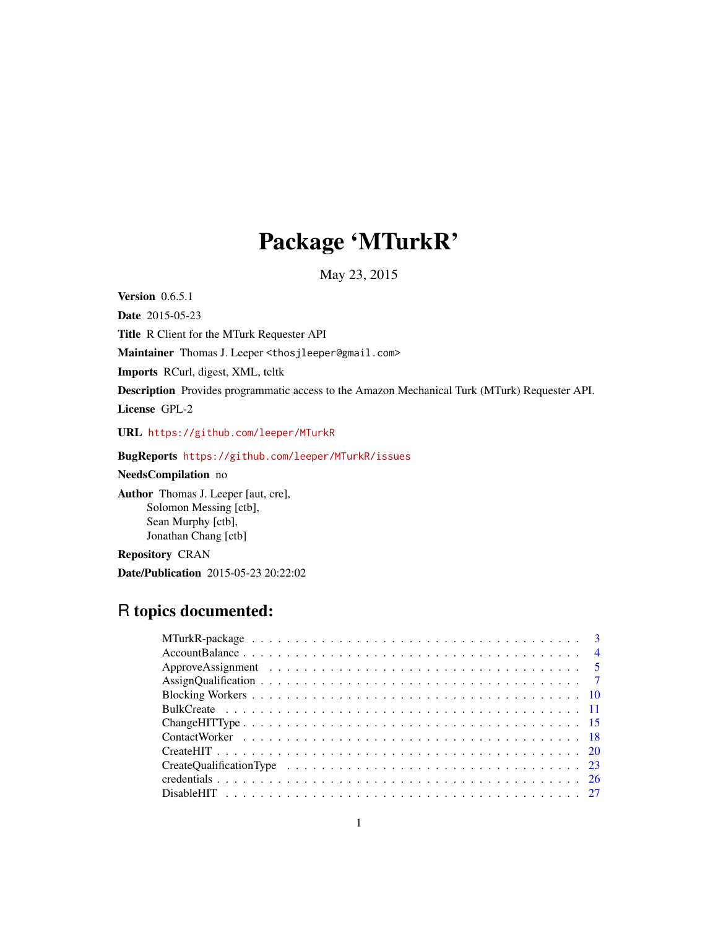# Package 'MTurkR'

May 23, 2015

**Version** 0.6.5.1

Date 2015-05-23

Title R Client for the MTurk Requester API

Maintainer Thomas J. Leeper <thosjleeper@gmail.com>

Imports RCurl, digest, XML, tcltk

Description Provides programmatic access to the Amazon Mechanical Turk (MTurk) Requester API.

License GPL-2

URL <https://github.com/leeper/MTurkR>

# BugReports <https://github.com/leeper/MTurkR/issues>

NeedsCompilation no

Author Thomas J. Leeper [aut, cre], Solomon Messing [ctb], Sean Murphy [ctb], Jonathan Chang [ctb]

Repository CRAN

Date/Publication 2015-05-23 20:22:02

# R topics documented: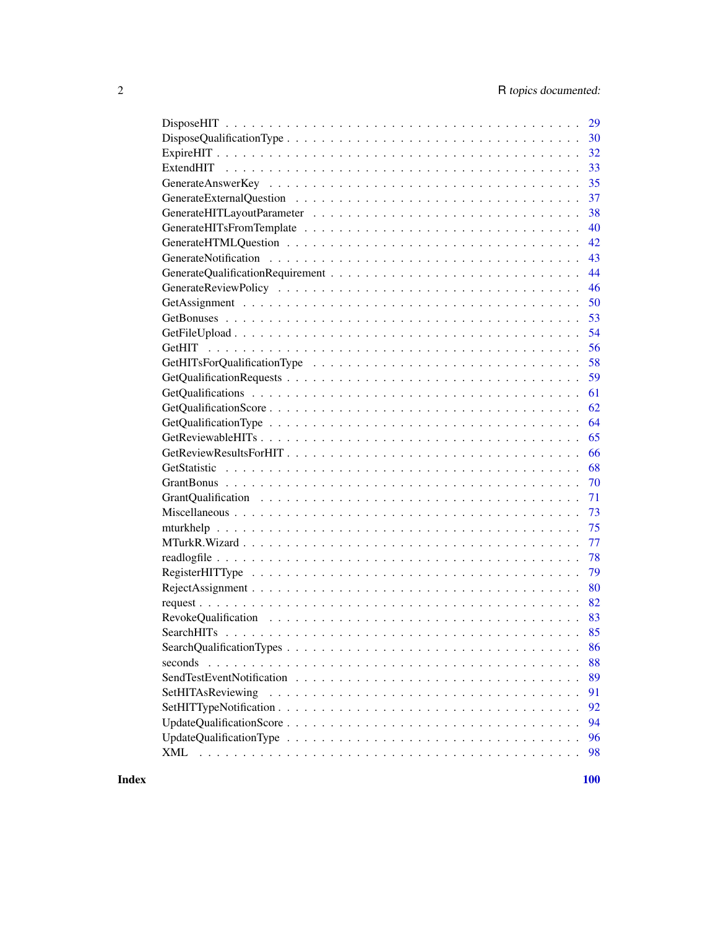| 29                      |
|-------------------------|
| 30                      |
| 32                      |
| 33                      |
| 35                      |
| 37                      |
| 38                      |
| 40                      |
| 42                      |
| 43                      |
| 44                      |
| 46                      |
| 50                      |
| 53                      |
| 54                      |
| 56                      |
| 58                      |
| 59                      |
| 61                      |
| 62                      |
| 64                      |
| 65                      |
| 66                      |
| 68                      |
| 70                      |
| 71                      |
| 73                      |
| 75                      |
| 77                      |
| 78                      |
| 79                      |
| 80                      |
| 82                      |
| 83                      |
| 85                      |
| 86                      |
| 88<br>seconds           |
| 89                      |
| SetHITAsReviewing<br>91 |
| 92                      |
| 94                      |
| 96                      |
| 98<br>XML               |
|                         |

 $\blacksquare$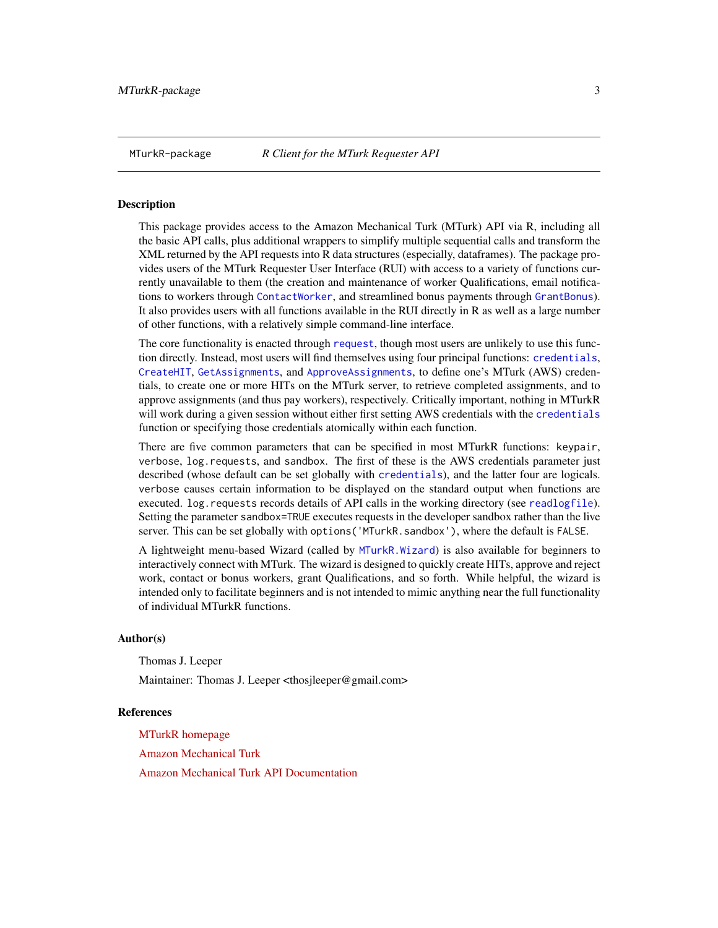# <span id="page-2-0"></span>Description

This package provides access to the Amazon Mechanical Turk (MTurk) API via R, including all the basic API calls, plus additional wrappers to simplify multiple sequential calls and transform the XML returned by the API requests into R data structures (especially, dataframes). The package provides users of the MTurk Requester User Interface (RUI) with access to a variety of functions currently unavailable to them (the creation and maintenance of worker Qualifications, email notifications to workers through [ContactWorker](#page-17-1), and streamlined bonus payments through [GrantBonus](#page-69-1)). It also provides users with all functions available in the RUI directly in R as well as a large number of other functions, with a relatively simple command-line interface.

The core functionality is enacted through [request](#page-81-1), though most users are unlikely to use this function directly. Instead, most users will find themselves using four principal functions: [credentials](#page-25-1), [CreateHIT](#page-19-1), [GetAssignments](#page-49-1), and [ApproveAssignments](#page-4-1), to define one's MTurk (AWS) credentials, to create one or more HITs on the MTurk server, to retrieve completed assignments, and to approve assignments (and thus pay workers), respectively. Critically important, nothing in MTurkR will work during a given session without either first setting AWS credentials with the [credentials](#page-25-1) function or specifying those credentials atomically within each function.

There are five common parameters that can be specified in most MTurkR functions: keypair, verbose, log.requests, and sandbox. The first of these is the AWS credentials parameter just described (whose default can be set globally with [credentials](#page-25-1)), and the latter four are logicals. verbose causes certain information to be displayed on the standard output when functions are executed. log.requests records details of API calls in the working directory (see [readlogfile](#page-77-1)). Setting the parameter sandbox=TRUE executes requests in the developer sandbox rather than the live server. This can be set globally with options('MTurkR.sandbox'), where the default is FALSE.

A lightweight menu-based Wizard (called by [MTurkR.Wizard](#page-76-1)) is also available for beginners to interactively connect with MTurk. The wizard is designed to quickly create HITs, approve and reject work, contact or bonus workers, grant Qualifications, and so forth. While helpful, the wizard is intended only to facilitate beginners and is not intended to mimic anything near the full functionality of individual MTurkR functions.

#### Author(s)

Thomas J. Leeper

Maintainer: Thomas J. Leeper <thosjleeper@gmail.com>

#### References

[MTurkR homepage](http://leeper.github.io/MTurkR/) [Amazon Mechanical Turk](http://www.mturk.com) [Amazon Mechanical Turk API Documentation](http://aws.amazon.com/documentation/mturk/)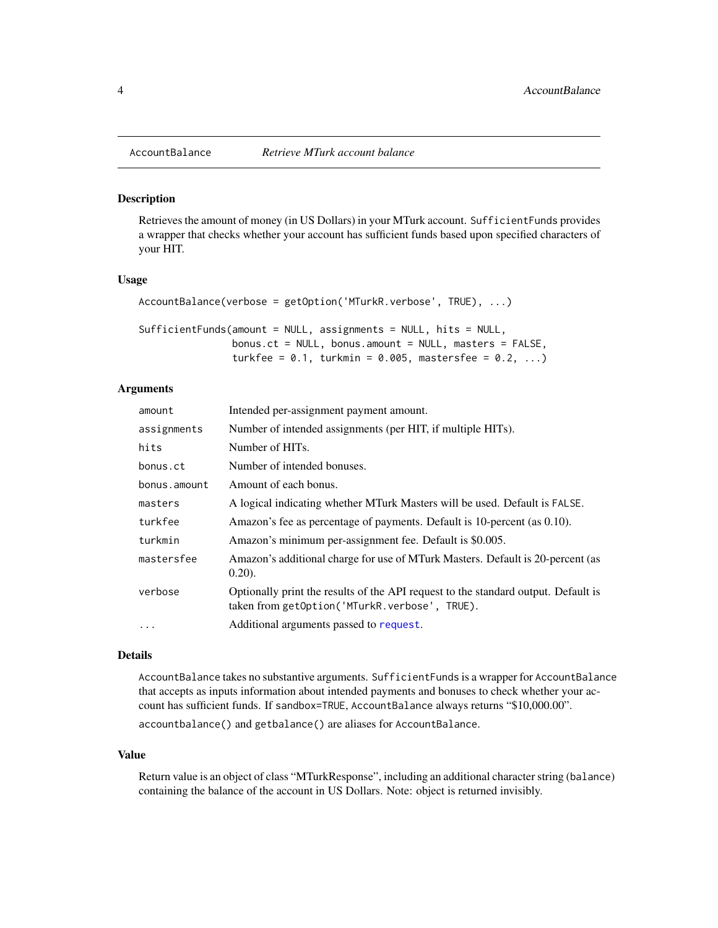# Description

Retrieves the amount of money (in US Dollars) in your MTurk account. SufficientFunds provides a wrapper that checks whether your account has sufficient funds based upon specified characters of your HIT.

#### Usage

```
AccountBalance(verbose = getOption('MTurkR.verbose', TRUE), ...)
```

| SufficientFunds(amount = NULL, assignments = NULL, hits = NULL, |  |
|-----------------------------------------------------------------|--|
| bonus.ct = $NULL$ , bonus.amount = $NULL$ , masters = $FALSE$ , |  |
| turkfee = $0.1$ , turkmin = $0.005$ , mastersfee = $0.2$ , )    |  |

# Arguments

| amount       | Intended per-assignment payment amount.                                                                                             |
|--------------|-------------------------------------------------------------------------------------------------------------------------------------|
| assignments  | Number of intended assignments (per HIT, if multiple HITs).                                                                         |
| hits         | Number of HITs.                                                                                                                     |
| bonus.ct     | Number of intended bonuses.                                                                                                         |
| bonus.amount | Amount of each bonus.                                                                                                               |
| masters      | A logical indicating whether MTurk Masters will be used. Default is FALSE.                                                          |
| turkfee      | Amazon's fee as percentage of payments. Default is 10-percent (as 0.10).                                                            |
| turkmin      | Amazon's minimum per-assignment fee. Default is \$0.005.                                                                            |
| mastersfee   | Amazon's additional charge for use of MTurk Masters. Default is 20-percent (as<br>$(0.20)$ .                                        |
| verbose      | Optionally print the results of the API request to the standard output. Default is<br>taken from getOption('MTurkR.verbose', TRUE). |
|              | Additional arguments passed to request.                                                                                             |

#### Details

AccountBalance takes no substantive arguments. SufficientFunds is a wrapper for AccountBalance that accepts as inputs information about intended payments and bonuses to check whether your account has sufficient funds. If sandbox=TRUE, AccountBalance always returns "\$10,000.00".

accountbalance() and getbalance() are aliases for AccountBalance.

# Value

Return value is an object of class "MTurkResponse", including an additional character string (balance) containing the balance of the account in US Dollars. Note: object is returned invisibly.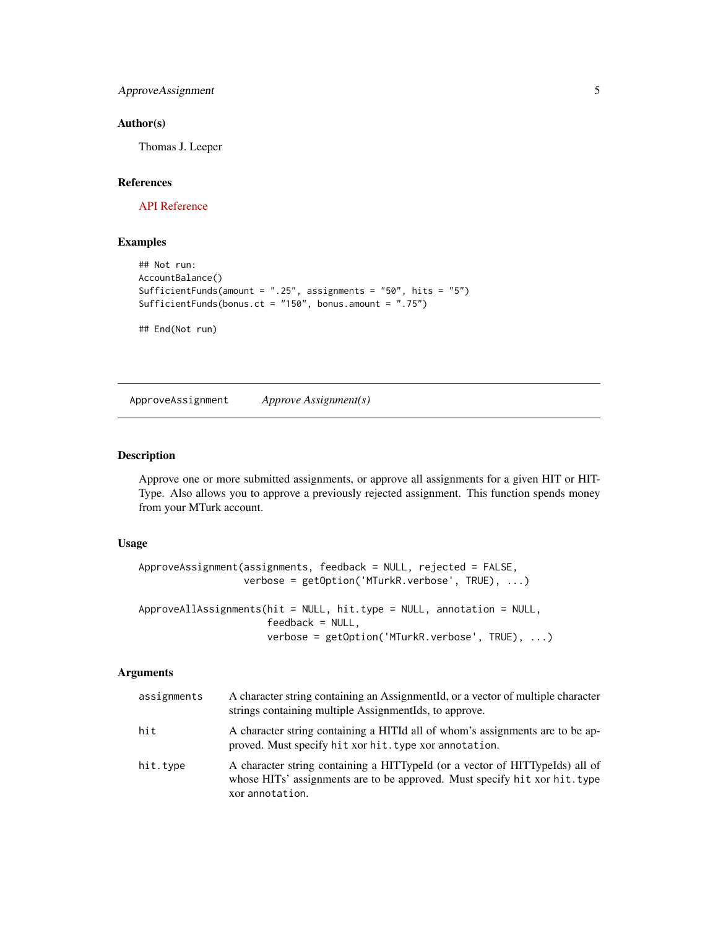<span id="page-4-0"></span>ApproveAssignment 5

#### Author(s)

Thomas J. Leeper

#### References

[API Reference](http://docs.amazonwebservices.com/AWSMechTurk/latest/AWSMturkAPI/ApiReference_GetAccountBalanceOperation.html)

# Examples

```
## Not run:
AccountBalance()
SufficientFunds(amount = ".25", assignments = "50", hits = "5")
SufficientFunds(bonus.ct = "150", bonus.amount = ".75")
## End(Not run)
```
ApproveAssignment *Approve Assignment(s)*

# <span id="page-4-1"></span>Description

Approve one or more submitted assignments, or approve all assignments for a given HIT or HIT-Type. Also allows you to approve a previously rejected assignment. This function spends money from your MTurk account.

#### Usage

```
ApproveAssignment(assignments, feedback = NULL, rejected = FALSE,
                  verbose = getOption('MTurkR.verbose', TRUE), ...)
ApproveAllAssignments(hit = NULL, hit.type = NULL, annotation = NULL,
                      feedback = NULL,
                      verbose = getOption('MTurkR.verbose', TRUE), ...)
```

| assignments | A character string containing an AssignmentId, or a vector of multiple character<br>strings containing multiple AssignmentIds, to approve.                                    |
|-------------|-------------------------------------------------------------------------------------------------------------------------------------------------------------------------------|
| hit         | A character string containing a HITId all of whom's assignments are to be ap-<br>proved. Must specify hit xor hit. type xor annotation.                                       |
| hit.type    | A character string containing a HITTypeId (or a vector of HITTypeIds) all of<br>whose HITs' assignments are to be approved. Must specify hit xor hit. type<br>xor annotation. |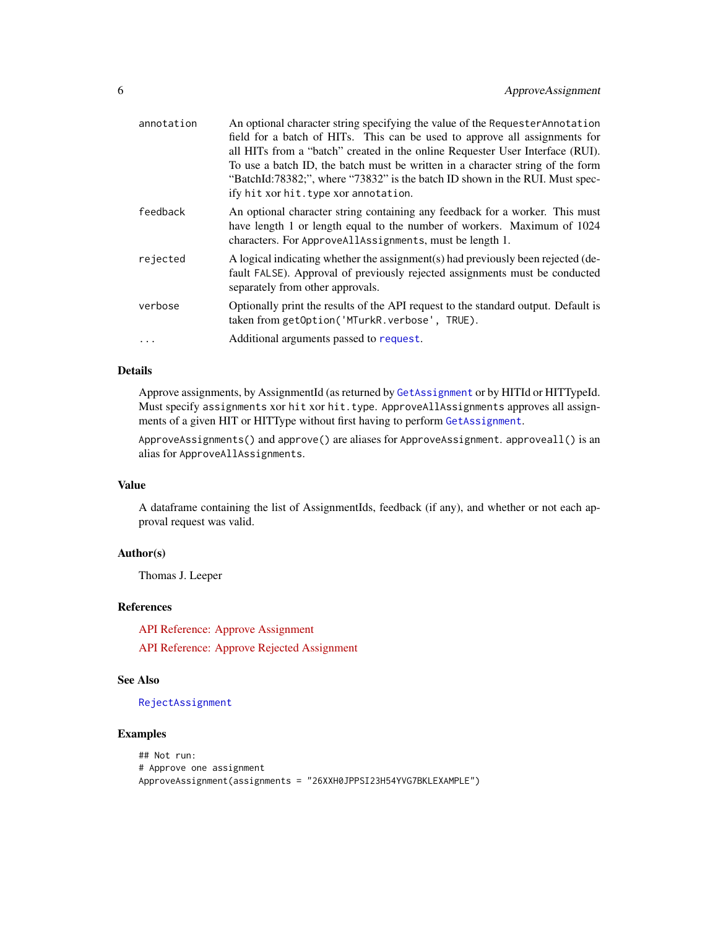| annotation | An optional character string specifying the value of the Requester Annotation<br>field for a batch of HITs. This can be used to approve all assignments for<br>all HITs from a "batch" created in the online Requester User Interface (RUI).<br>To use a batch ID, the batch must be written in a character string of the form<br>"BatchId:78382;", where "73832" is the batch ID shown in the RUI. Must spec-<br>ify hit xor hit. type xor annotation. |
|------------|---------------------------------------------------------------------------------------------------------------------------------------------------------------------------------------------------------------------------------------------------------------------------------------------------------------------------------------------------------------------------------------------------------------------------------------------------------|
| feedback   | An optional character string containing any feedback for a worker. This must<br>have length 1 or length equal to the number of workers. Maximum of 1024<br>characters. For ApproveAllAssignments, must be length 1.                                                                                                                                                                                                                                     |
| rejected   | A logical indicating whether the assignment(s) had previously been rejected (de-<br>fault FALSE). Approval of previously rejected assignments must be conducted<br>separately from other approvals.                                                                                                                                                                                                                                                     |
| verbose    | Optionally print the results of the API request to the standard output. Default is<br>taken from getOption('MTurkR.verbose', TRUE).                                                                                                                                                                                                                                                                                                                     |
|            | Additional arguments passed to request.                                                                                                                                                                                                                                                                                                                                                                                                                 |

# Details

Approve assignments, by AssignmentId (as returned by [GetAssignment](#page-49-2) or by HITId or HITTypeId. Must specify assignments xor hit xor hit.type. ApproveAllAssignments approves all assignments of a given HIT or HITType without first having to perform [GetAssignment](#page-49-2).

ApproveAssignments() and approve() are aliases for ApproveAssignment. approveall() is an alias for ApproveAllAssignments.

#### Value

A dataframe containing the list of AssignmentIds, feedback (if any), and whether or not each approval request was valid.

# Author(s)

Thomas J. Leeper

# References

[API Reference: Approve Assignment](http://docs.amazonwebservices.com/AWSMechTurk/latest/AWSMturkAPI/ApiReference_ApproveAssignmentOperation.html)

[API Reference: Approve Rejected Assignment](http://docs.amazonwebservices.com/AWSMechTurk/latest/AWSMturkAPI/ApiReference_ApproveRejectedAssignmentOperation.html)

# See Also

#### [RejectAssignment](#page-79-1)

# Examples

```
## Not run:
# Approve one assignment
ApproveAssignment(assignments = "26XXH0JPPSI23H54YVG7BKLEXAMPLE")
```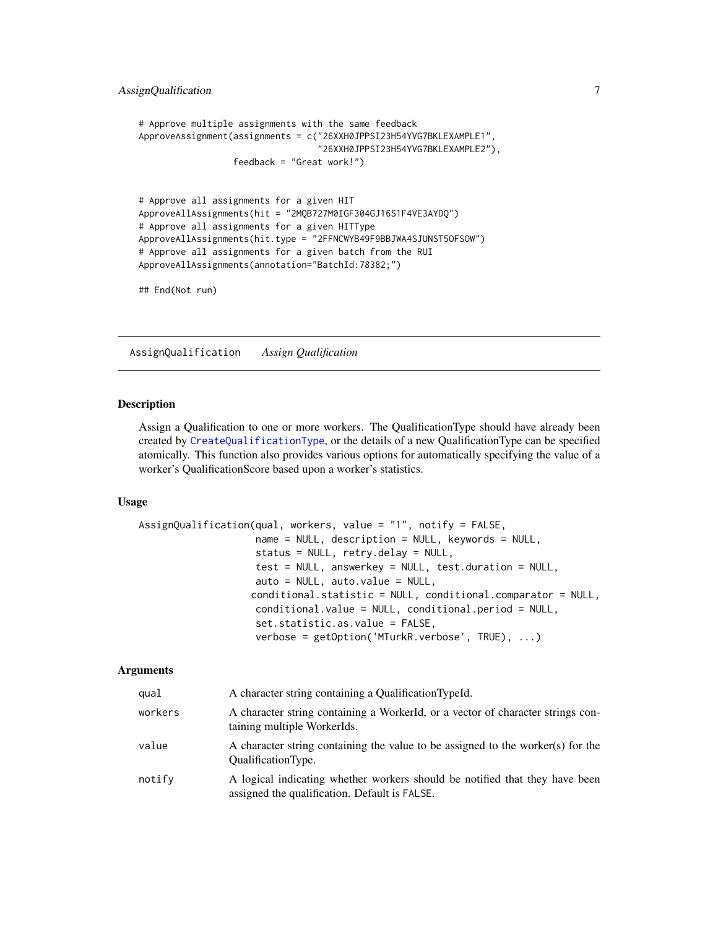```
# Approve multiple assignments with the same feedback
ApproveAssignment(assignments = c("26XXH0JPPSI23H54YVG7BKLEXAMPLE1",
                                  "26XXH0JPPSI23H54YVG7BKLEXAMPLE2"),
                  feedback = "Great work!")
# Approve all assignments for a given HIT
ApproveAllAssignments(hit = "2MQB727M0IGF304GJ16S1F4VE3AYDQ")
# Approve all assignments for a given HITType
ApproveAllAssignments(hit.type = "2FFNCWYB49F9BBJWA4SJUNST5OFSOW")
# Approve all assignments for a given batch from the RUI
ApproveAllAssignments(annotation="BatchId:78382;")
```
## End(Not run)

<span id="page-6-1"></span>AssignQualification *Assign Qualification*

#### Description

Assign a Qualification to one or more workers. The QualificationType should have already been created by [CreateQualificationType](#page-22-1), or the details of a new QualificationType can be specified atomically. This function also provides various options for automatically specifying the value of a worker's QualificationScore based upon a worker's statistics.

# Usage

```
AssignQualification(qual, workers, value = "1", notify = FALSE,
                    name = NULL, description = NULL, keywords = NULL,
                    status = NULL, retry.delay = NULL,
                    test = NULL, answerkey = NULL, test.duration = NULL,
                    auto = NULL, auto.value = NULL,
                   conditional.statistic = NULL, conditional.comparator = NULL,
                    conditional.value = NULL, conditional.period = NULL,
                    set.statistic.as.value = FALSE,
                    verbose = getOption('MTurkR.verbose', TRUE), ...)
```

| qual    | A character string containing a QualificationTypeId.                                                                         |
|---------|------------------------------------------------------------------------------------------------------------------------------|
| workers | A character string containing a WorkerId, or a vector of character strings con-<br>taining multiple WorkerIds.               |
| value   | A character string containing the value to be assigned to the worker(s) for the<br><b>OualificationType.</b>                 |
| notify  | A logical indicating whether workers should be notified that they have been<br>assigned the qualification. Default is FALSE. |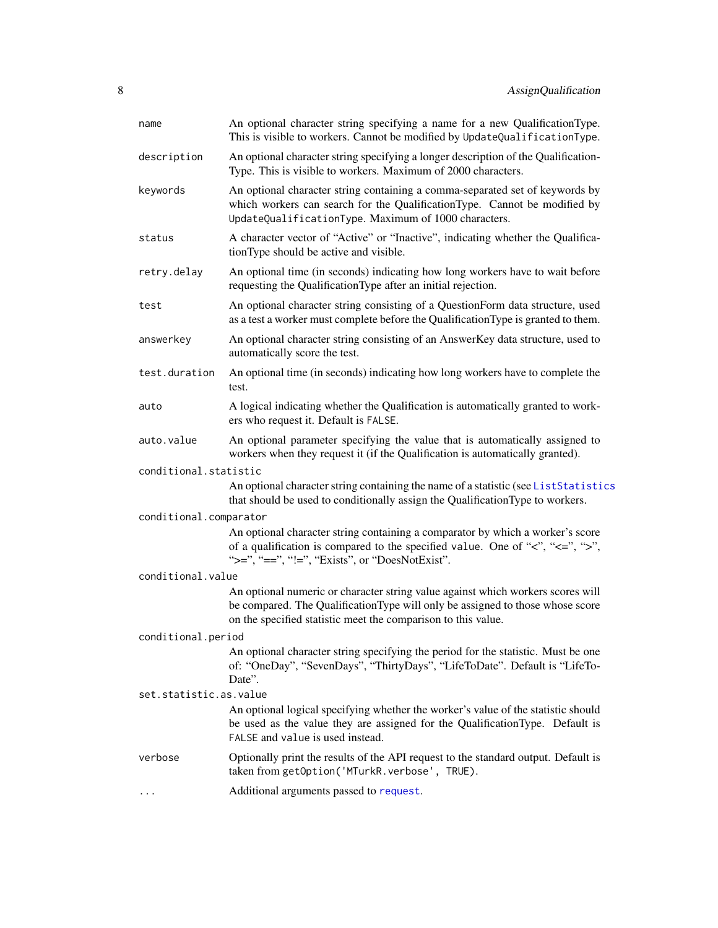| name                   | An optional character string specifying a name for a new QualificationType.<br>This is visible to workers. Cannot be modified by UpdateQualificationType.                                                                            |  |
|------------------------|--------------------------------------------------------------------------------------------------------------------------------------------------------------------------------------------------------------------------------------|--|
| description            | An optional character string specifying a longer description of the Qualification-<br>Type. This is visible to workers. Maximum of 2000 characters.                                                                                  |  |
| keywords               | An optional character string containing a comma-separated set of keywords by<br>which workers can search for the QualificationType. Cannot be modified by<br>UpdateQualificationType. Maximum of 1000 characters.                    |  |
| status                 | A character vector of "Active" or "Inactive", indicating whether the Qualifica-<br>tionType should be active and visible.                                                                                                            |  |
| retry.delay            | An optional time (in seconds) indicating how long workers have to wait before<br>requesting the QualificationType after an initial rejection.                                                                                        |  |
| test                   | An optional character string consisting of a QuestionForm data structure, used<br>as a test a worker must complete before the Qualification Type is granted to them.                                                                 |  |
| answerkey              | An optional character string consisting of an AnswerKey data structure, used to<br>automatically score the test.                                                                                                                     |  |
| test.duration          | An optional time (in seconds) indicating how long workers have to complete the<br>test.                                                                                                                                              |  |
| auto                   | A logical indicating whether the Qualification is automatically granted to work-<br>ers who request it. Default is FALSE.                                                                                                            |  |
| auto.value             | An optional parameter specifying the value that is automatically assigned to<br>workers when they request it (if the Qualification is automatically granted).                                                                        |  |
| conditional.statistic  |                                                                                                                                                                                                                                      |  |
|                        | An optional character string containing the name of a statistic (see ListStatistics<br>that should be used to conditionally assign the QualificationType to workers.                                                                 |  |
| conditional.comparator |                                                                                                                                                                                                                                      |  |
|                        | An optional character string containing a comparator by which a worker's score<br>of a qualification is compared to the specified value. One of " $\lt$ ", " $\lt =$ ", " $\gt$ ",<br>">=", "==", "!=", "Exists", or "DoesNotExist". |  |
| conditional.value      |                                                                                                                                                                                                                                      |  |
|                        | An optional numeric or character string value against which workers scores will<br>be compared. The QualificationType will only be assigned to those whose score<br>on the specified statistic meet the comparison to this value.    |  |
| conditional.period     |                                                                                                                                                                                                                                      |  |
|                        | An optional character string specifying the period for the statistic. Must be one<br>of: "OneDay", "SevenDays", "ThirtyDays", "LifeToDate". Default is "LifeTo-<br>Date".                                                            |  |
| set.statistic.as.value |                                                                                                                                                                                                                                      |  |
|                        | An optional logical specifying whether the worker's value of the statistic should<br>be used as the value they are assigned for the QualificationType. Default is<br>FALSE and value is used instead.                                |  |
| verbose                | Optionally print the results of the API request to the standard output. Default is<br>taken from getOption('MTurkR.verbose', TRUE).                                                                                                  |  |
|                        | Additional arguments passed to request.                                                                                                                                                                                              |  |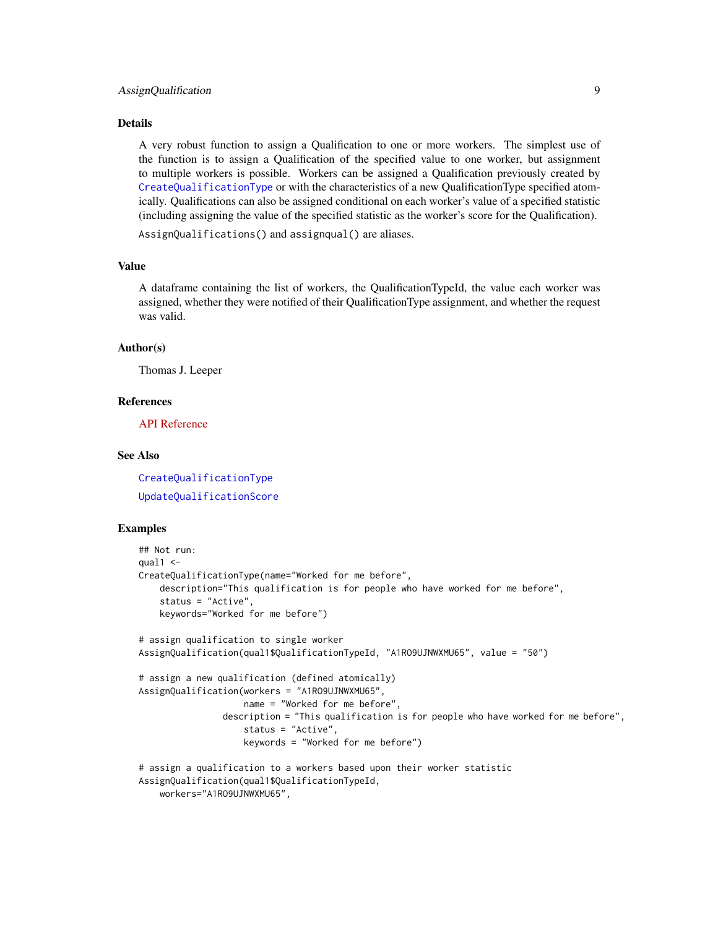#### Details

A very robust function to assign a Qualification to one or more workers. The simplest use of the function is to assign a Qualification of the specified value to one worker, but assignment to multiple workers is possible. Workers can be assigned a Qualification previously created by [CreateQualificationType](#page-22-1) or with the characteristics of a new QualificationType specified atomically. Qualifications can also be assigned conditional on each worker's value of a specified statistic (including assigning the value of the specified statistic as the worker's score for the Qualification).

AssignQualifications() and assignqual() are aliases.

#### Value

A dataframe containing the list of workers, the QualificationTypeId, the value each worker was assigned, whether they were notified of their QualificationType assignment, and whether the request was valid.

# Author(s)

Thomas J. Leeper

#### References

[API Reference](http://docs.amazonwebservices.com/AWSMechTurk/latest/AWSMturkAPI/ApiReference_AssignQualificationOperation.html)

#### See Also

[CreateQualificationType](#page-22-1) [UpdateQualificationScore](#page-93-1)

#### Examples

```
## Not run:
qual1 < -CreateQualificationType(name="Worked for me before",
    description="This qualification is for people who have worked for me before",
    status = "Active",
   keywords="Worked for me before")
# assign qualification to single worker
AssignQualification(qual1$QualificationTypeId, "A1RO9UJNWXMU65", value = "50")
# assign a new qualification (defined atomically)
AssignQualification(workers = "A1RO9UJNWXMU65",
                    name = "Worked for me before",
                description = "This qualification is for people who have worked for me before",
                    status = "Active",
                    keywords = "Worked for me before")
# assign a qualification to a workers based upon their worker statistic
AssignQualification(qual1$QualificationTypeId,
```
workers="A1RO9UJNWXMU65",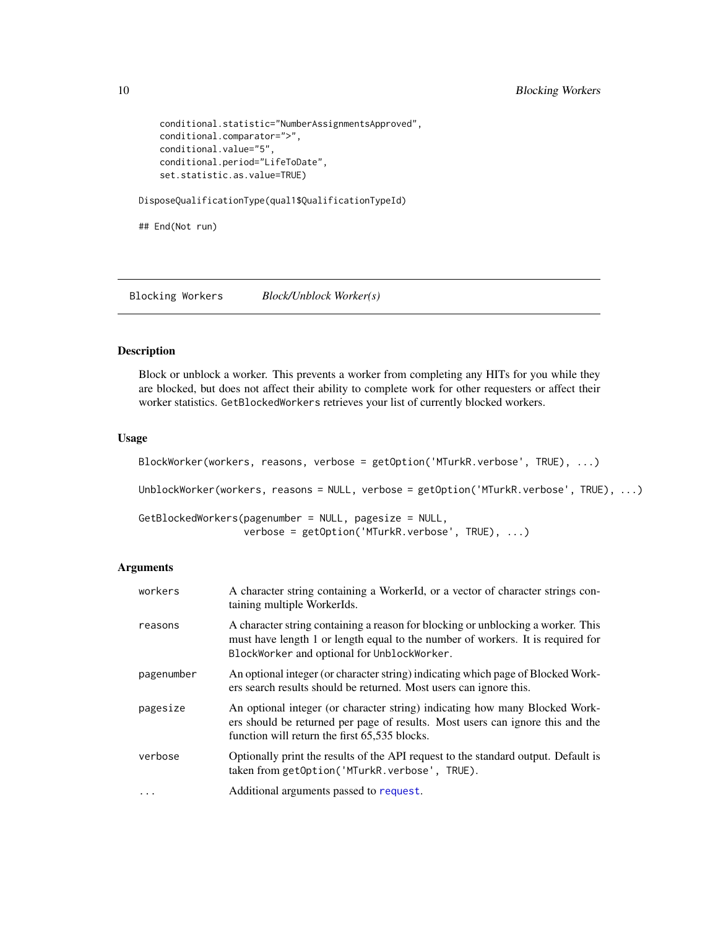```
conditional.statistic="NumberAssignmentsApproved",
conditional.comparator=">",
conditional.value="5",
conditional.period="LifeToDate",
set.statistic.as.value=TRUE)
```
DisposeQualificationType(qual1\$QualificationTypeId)

## End(Not run)

Blocking Workers *Block/Unblock Worker(s)*

#### Description

Block or unblock a worker. This prevents a worker from completing any HITs for you while they are blocked, but does not affect their ability to complete work for other requesters or affect their worker statistics. GetBlockedWorkers retrieves your list of currently blocked workers.

# Usage

```
BlockWorker(workers, reasons, verbose = getOption('MTurkR.verbose', TRUE), ...)
UnblockWorker(workers, reasons = NULL, verbose = getOption('MTurkR.verbose', TRUE), ...)
GetBlockedWorkers(pagenumber = NULL, pagesize = NULL,
                  verbose = getOption('MTurkR.verbose', TRUE), ...)
```

| workers    | A character string containing a WorkerId, or a vector of character strings con-<br>taining multiple WorkerIds.                                                                                                     |
|------------|--------------------------------------------------------------------------------------------------------------------------------------------------------------------------------------------------------------------|
| reasons    | A character string containing a reason for blocking or unblocking a worker. This<br>must have length 1 or length equal to the number of workers. It is required for<br>BlockWorker and optional for UnblockWorker. |
| pagenumber | An optional integer (or character string) indicating which page of Blocked Work-<br>ers search results should be returned. Most users can ignore this.                                                             |
| pagesize   | An optional integer (or character string) indicating how many Blocked Work-<br>ers should be returned per page of results. Most users can ignore this and the<br>function will return the first 65,535 blocks.     |
| verbose    | Optionally print the results of the API request to the standard output. Default is<br>taken from getOption('MTurkR.verbose', TRUE).                                                                                |
| $\cdots$   | Additional arguments passed to request.                                                                                                                                                                            |

<span id="page-9-0"></span>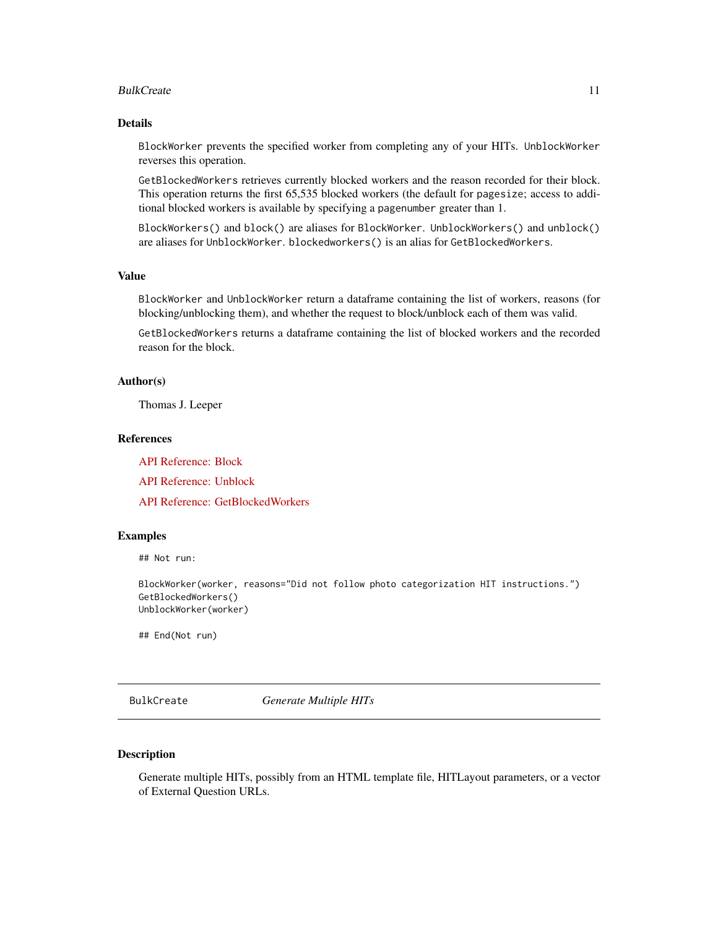#### <span id="page-10-0"></span>BulkCreate 2012 and 2012 and 2012 and 2012 and 2012 and 2012 and 2012 and 2012 and 2012 and 2012 and 2012 and 2013 and 2013 and 2013 and 2013 and 2013 and 2013 and 2013 and 2013 and 2013 and 2013 and 2013 and 2013 and 2013

# Details

BlockWorker prevents the specified worker from completing any of your HITs. UnblockWorker reverses this operation.

GetBlockedWorkers retrieves currently blocked workers and the reason recorded for their block. This operation returns the first 65,535 blocked workers (the default for pagesize; access to additional blocked workers is available by specifying a pagenumber greater than 1.

BlockWorkers() and block() are aliases for BlockWorker. UnblockWorkers() and unblock() are aliases for UnblockWorker. blockedworkers() is an alias for GetBlockedWorkers.

# Value

BlockWorker and UnblockWorker return a dataframe containing the list of workers, reasons (for blocking/unblocking them), and whether the request to block/unblock each of them was valid.

GetBlockedWorkers returns a dataframe containing the list of blocked workers and the recorded reason for the block.

# Author(s)

Thomas J. Leeper

#### References

[API Reference: Block](http://docs.amazonwebservices.com/AWSMechTurk/latest/AWSMturkAPI/ApiReference_BlockWorkerOperation.html)

[API Reference: Unblock](http://docs.amazonwebservices.com/AWSMechTurk/latest/AWSMturkAPI/ApiReference_UnblockWorkerOperation.html)

[API Reference: GetBlockedWorkers](http://docs.amazonwebservices.com/AWSMechTurk/latest/AWSMturkAPI/ApiReference_GetBlockedWorkersOperation.html)

# Examples

## Not run:

BlockWorker(worker, reasons="Did not follow photo categorization HIT instructions.") GetBlockedWorkers() UnblockWorker(worker)

## End(Not run)

<span id="page-10-1"></span>BulkCreate *Generate Multiple HITs*

#### Description

Generate multiple HITs, possibly from an HTML template file, HITLayout parameters, or a vector of External Question URLs.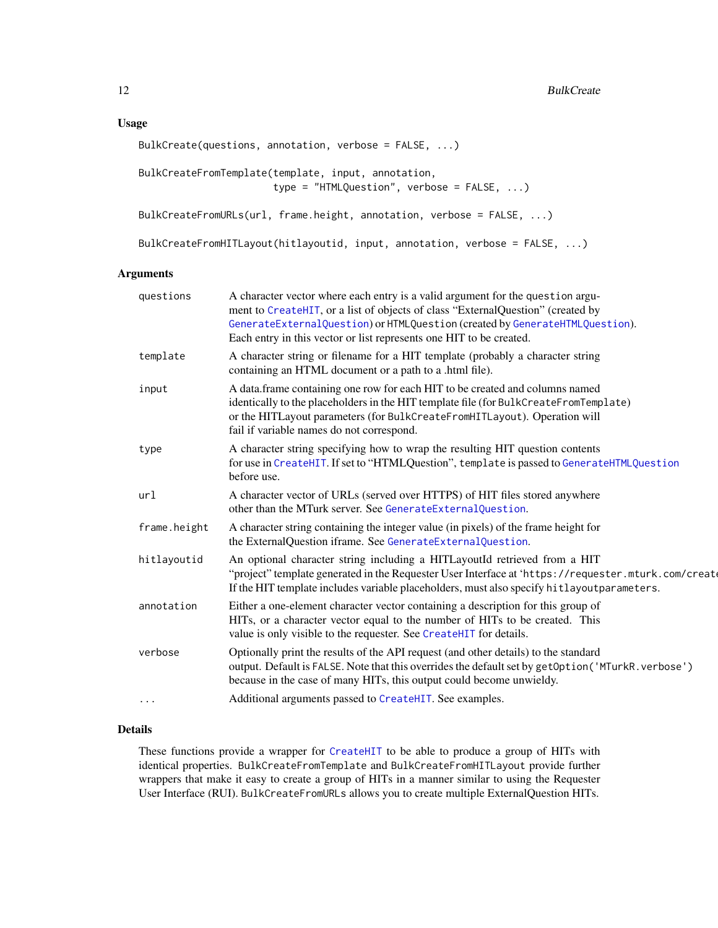# Usage

```
BulkCreate(questions, annotation, verbose = FALSE, ...)
BulkCreateFromTemplate(template, input, annotation,
                       type = "HTMLQuestion", verbose = FALSE, ...)
BulkCreateFromURLs(url, frame.height, annotation, verbose = FALSE, ...)
```
BulkCreateFromHITLayout(hitlayoutid, input, annotation, verbose = FALSE, ...)

# Arguments

| questions    | A character vector where each entry is a valid argument for the question argu-<br>ment to CreateHIT, or a list of objects of class "ExternalQuestion" (created by<br>GenerateExternalQuestion) or HTMLQuestion (created by GenerateHTMLQuestion).<br>Each entry in this vector or list represents one HIT to be created. |
|--------------|--------------------------------------------------------------------------------------------------------------------------------------------------------------------------------------------------------------------------------------------------------------------------------------------------------------------------|
| template     | A character string or filename for a HIT template (probably a character string<br>containing an HTML document or a path to a .html file).                                                                                                                                                                                |
| input        | A data.frame containing one row for each HIT to be created and columns named<br>identically to the placeholders in the HIT template file (for BulkCreateFromTemplate)<br>or the HITLayout parameters (for BulkCreateFromHITLayout). Operation will<br>fail if variable names do not correspond.                          |
| type         | A character string specifying how to wrap the resulting HIT question contents<br>for use in CreateHIT. If set to "HTMLQuestion", template is passed to GenerateHTMLQuestion<br>before use.                                                                                                                               |
| url          | A character vector of URLs (served over HTTPS) of HIT files stored anywhere<br>other than the MTurk server. See GenerateExternalQuestion.                                                                                                                                                                                |
| frame.height | A character string containing the integer value (in pixels) of the frame height for<br>the ExternalQuestion iframe. See GenerateExternalQuestion.                                                                                                                                                                        |
| hitlayoutid  | An optional character string including a HITLayoutId retrieved from a HIT<br>"project" template generated in the Requester User Interface at 'https://requester.mturk.com/create<br>If the HIT template includes variable placeholders, must also specify hitlayoutparameters.                                           |
| annotation   | Either a one-element character vector containing a description for this group of<br>HITs, or a character vector equal to the number of HITs to be created. This<br>value is only visible to the requester. See CreateHIT for details.                                                                                    |
| verbose      | Optionally print the results of the API request (and other details) to the standard<br>output. Default is FALSE. Note that this overrides the default set by getOption ('MTurkR. verbose')<br>because in the case of many HITs, this output could become unwieldy.                                                       |
| $\cdots$     | Additional arguments passed to CreateHIT. See examples.                                                                                                                                                                                                                                                                  |

# Details

These functions provide a wrapper for [CreateHIT](#page-19-1) to be able to produce a group of HITs with identical properties. BulkCreateFromTemplate and BulkCreateFromHITLayout provide further wrappers that make it easy to create a group of HITs in a manner similar to using the Requester User Interface (RUI). BulkCreateFromURLs allows you to create multiple ExternalQuestion HITs.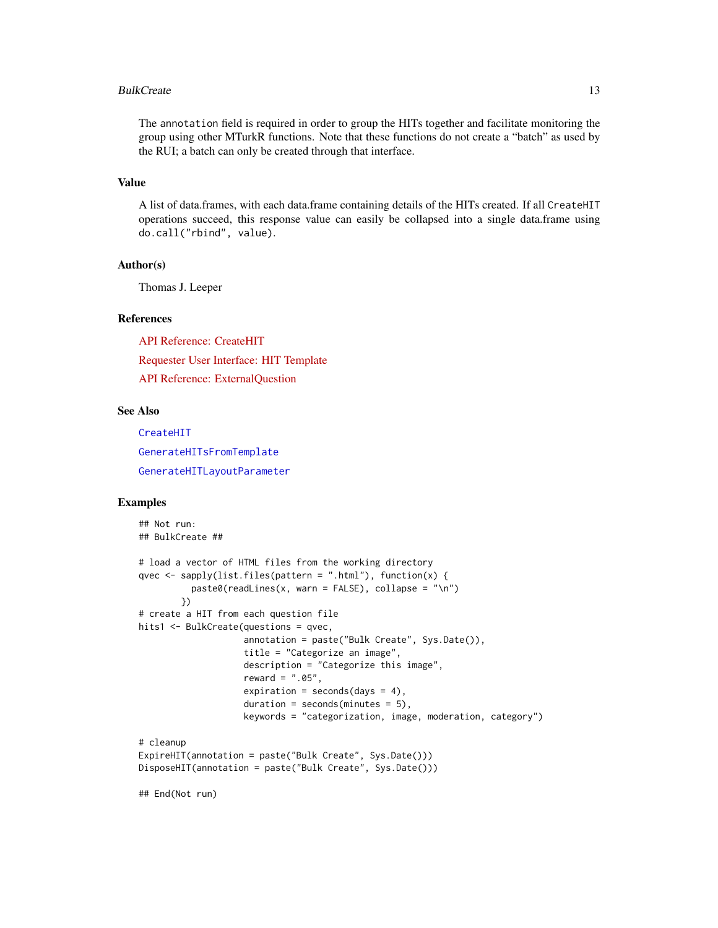#### BulkCreate 23 and 23 and 23 and 23 and 23 and 23 and 23 and 23 and 23 and 23 and 23 and 23 and 23 and 23 and 23 and 23 and 23 and 23 and 23 and 23 and 23 and 23 and 23 and 23 and 23 and 23 and 23 and 23 and 23 and 23 and 2

The annotation field is required in order to group the HITs together and facilitate monitoring the group using other MTurkR functions. Note that these functions do not create a "batch" as used by the RUI; a batch can only be created through that interface.

# Value

A list of data.frames, with each data.frame containing details of the HITs created. If all CreateHIT operations succeed, this response value can easily be collapsed into a single data.frame using do.call("rbind", value).

# Author(s)

Thomas J. Leeper

#### References

[API Reference: CreateHIT](http://docs.amazonwebservices.com/AWSMechTurk/latest/AWSMturkAPI/ApiReference_CreateHITOperation.html) [Requester User Interface: HIT Template](http://docs.amazonwebservices.com/AWSMechTurk/latest/RequesterUI/CreatingaHITTemplate.html) [API Reference: ExternalQuestion](http://docs.amazonwebservices.com/AWSMechTurk/latest/AWSMturkAPI/ApiReference_ExternalQuestionArticle.html)

#### See Also

[CreateHIT](#page-19-1) [GenerateHITsFromTemplate](#page-39-1) [GenerateHITLayoutParameter](#page-37-1)

# Examples

```
## Not run:
## BulkCreate ##
# load a vector of HTML files from the working directory
qvec \leq sapply(list.files(pattern = ".html"), function(x) {
          past@(readLines(x, warn = FALSE), collapse = "\\n")})
# create a HIT from each question file
hits1 <- BulkCreate(questions = qvec,
                    annotation = paste("Bulk Create", Sys.Date()),
                    title = "Categorize an image",
                    description = "Categorize this image",
                    reward = ".05",
                    expiration = seconds(days = 4),
                    duration = seconds(minutes = 5),
                    keywords = "categorization, image, moderation, category")
# cleanup
ExpireHIT(annotation = paste("Bulk Create", Sys.Date()))
DisposeHIT(annotation = paste("Bulk Create", Sys.Date()))
## End(Not run)
```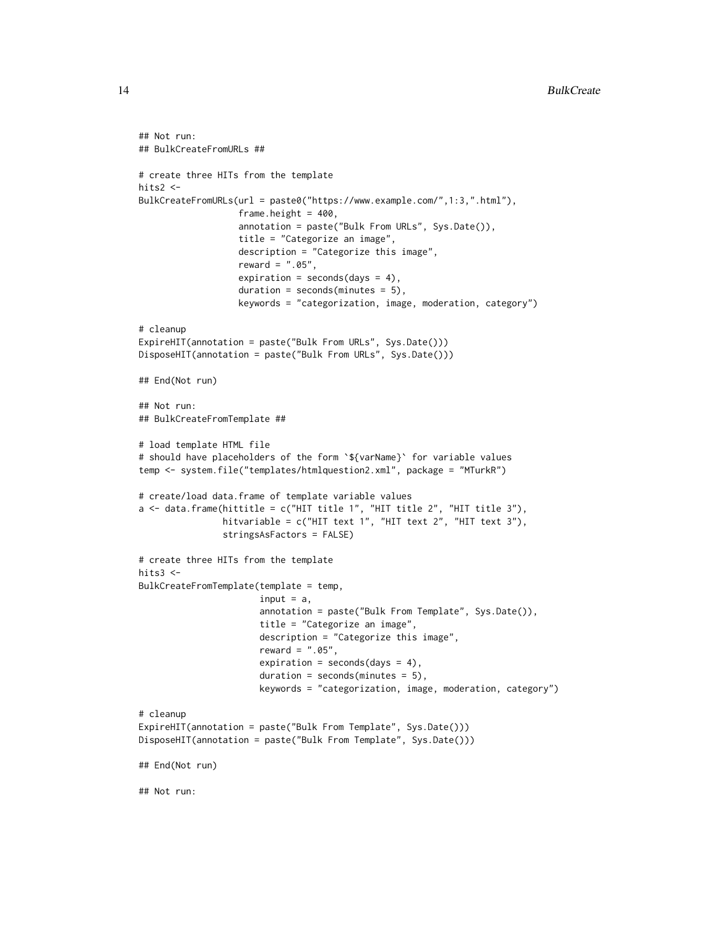```
## Not run:
## BulkCreateFromURLs ##
# create three HITs from the template
hits2 <-
BulkCreateFromURLs(url = paste0("https://www.example.com/",1:3,".html"),
                   frame.height = 400,
                   annotation = paste("Bulk From URLs", Sys.Date()),
                   title = "Categorize an image",
                   description = "Categorize this image",
                   reward = ".05",expiration = seconds(days = 4),
                   duration = seconds(minutes = 5),
                   keywords = "categorization, image, moderation, category")
# cleanup
ExpireHIT(annotation = paste("Bulk From URLs", Sys.Date()))
DisposeHIT(annotation = paste("Bulk From URLs", Sys.Date()))
## End(Not run)
## Not run:
## BulkCreateFromTemplate ##
# load template HTML file
# should have placeholders of the form `${varName}` for variable values
temp <- system.file("templates/htmlquestion2.xml", package = "MTurkR")
# create/load data.frame of template variable values
a \leq data.frame(hittitle = c("HIT title 1", "HIT title 2", "HIT title 3"),
                hitvariable = c("HIT text 1", "HIT text 2", "HIT text 3"),
                stringsAsFactors = FALSE)
# create three HITs from the template
hits3 <-
BulkCreateFromTemplate(template = temp,
                       input = a,
                       annotation = paste("Bulk From Template", Sys.Date()),
                       title = "Categorize an image",
                       description = "Categorize this image",
                       reward = ".05",expiration = seconds(days = 4),
                       duration = seconds(minutes = 5),
                       keywords = "categorization, image, moderation, category")
# cleanup
ExpireHIT(annotation = paste("Bulk From Template", Sys.Date()))
DisposeHIT(annotation = paste("Bulk From Template", Sys.Date()))
## End(Not run)
## Not run:
```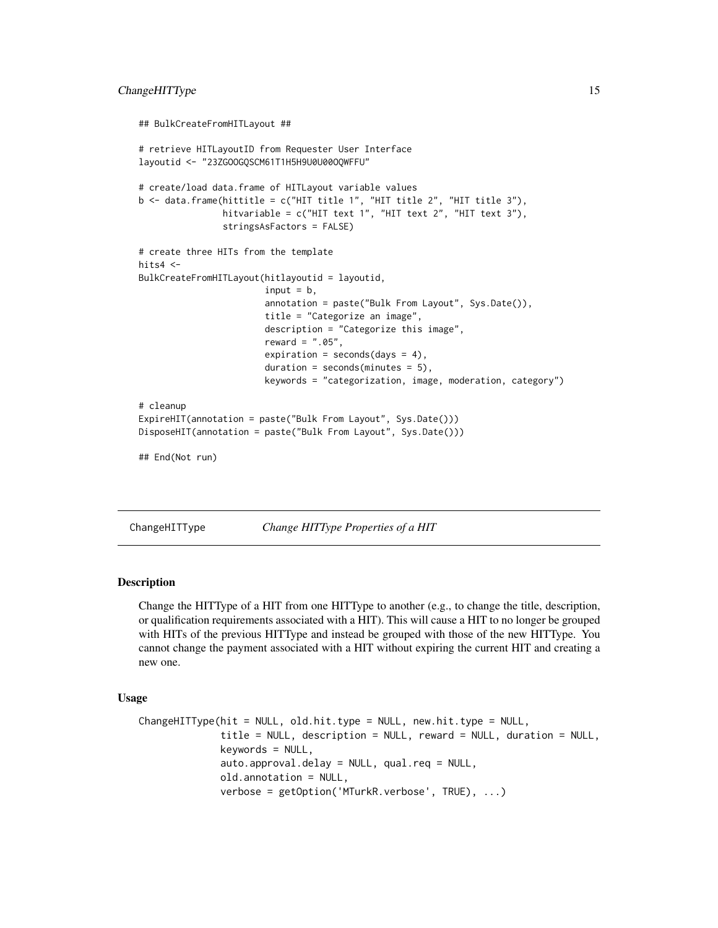#### <span id="page-14-0"></span>ChangeHITType 15

```
## BulkCreateFromHITLayout ##
# retrieve HITLayoutID from Requester User Interface
layoutid <- "23ZGOOGQSCM61T1H5H9U0U00OQWFFU"
# create/load data.frame of HITLayout variable values
b \leq data.frame(hittitle = c("HIT title 1", "HIT title 2", "HIT title 3"),
                hitvariable = c("HIT text 1", "HIT text 2", "HIT text 3"),
                stringsAsFactors = FALSE)
# create three HITs from the template
hits4 <-
BulkCreateFromHITLayout(hitlayoutid = layoutid,
                        input = b,
                        annotation = paste("Bulk From Layout", Sys.Date()),
                        title = "Categorize an image",
                        description = "Categorize this image",
                        reward = ".05",expiration = seconds(days = 4),
                        duration = seconds(minutes = 5),
                        keywords = "categorization, image, moderation, category")
# cleanup
ExpireHIT(annotation = paste("Bulk From Layout", Sys.Date()))
DisposeHIT(annotation = paste("Bulk From Layout", Sys.Date()))
## End(Not run)
```
ChangeHITType *Change HITType Properties of a HIT*

#### **Description**

Change the HITType of a HIT from one HITType to another (e.g., to change the title, description, or qualification requirements associated with a HIT). This will cause a HIT to no longer be grouped with HITs of the previous HITType and instead be grouped with those of the new HITType. You cannot change the payment associated with a HIT without expiring the current HIT and creating a new one.

#### Usage

```
ChangeHITType(hit = NULL, old.hit.type = NULL, new.hit.type = NULL,
              title = NULL, description = NULL, reward = NULL, duration = NULL,
              keywords = NULL,
              auto.approval.delay = NULL, qual.req = NULL,
              old.annotation = NULL,
              verbose = getOption('MTurkR.verbose', TRUE), ...)
```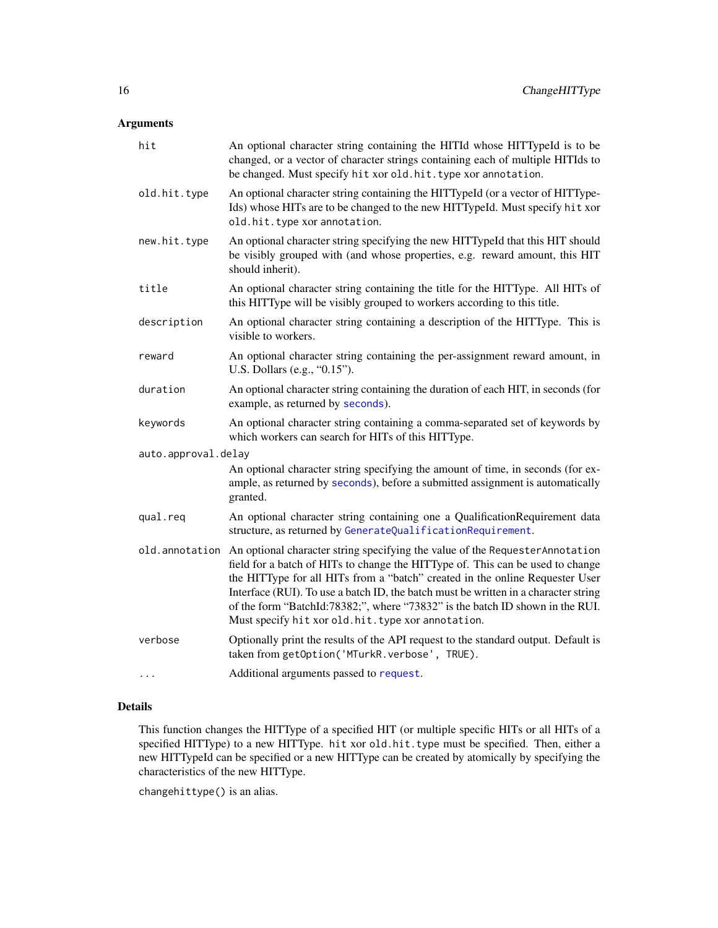# Arguments

| hit                 | An optional character string containing the HITId whose HITTypeId is to be<br>changed, or a vector of character strings containing each of multiple HITIds to<br>be changed. Must specify hit xor old.hit.type xor annotation.                                                                                                                                                                                                                                                                 |  |
|---------------------|------------------------------------------------------------------------------------------------------------------------------------------------------------------------------------------------------------------------------------------------------------------------------------------------------------------------------------------------------------------------------------------------------------------------------------------------------------------------------------------------|--|
| old.hit.type        | An optional character string containing the HITTypeId (or a vector of HITType-<br>Ids) whose HITs are to be changed to the new HITTypeId. Must specify hit xor<br>old.hit.type xor annotation.                                                                                                                                                                                                                                                                                                 |  |
| new.hit.type        | An optional character string specifying the new HITTypeId that this HIT should<br>be visibly grouped with (and whose properties, e.g. reward amount, this HIT<br>should inherit).                                                                                                                                                                                                                                                                                                              |  |
| title               | An optional character string containing the title for the HITType. All HITs of<br>this HITType will be visibly grouped to workers according to this title.                                                                                                                                                                                                                                                                                                                                     |  |
| description         | An optional character string containing a description of the HITType. This is<br>visible to workers.                                                                                                                                                                                                                                                                                                                                                                                           |  |
| reward              | An optional character string containing the per-assignment reward amount, in<br>U.S. Dollars (e.g., "0.15").                                                                                                                                                                                                                                                                                                                                                                                   |  |
| duration            | An optional character string containing the duration of each HIT, in seconds (for<br>example, as returned by seconds).                                                                                                                                                                                                                                                                                                                                                                         |  |
| keywords            | An optional character string containing a comma-separated set of keywords by<br>which workers can search for HITs of this HITType.                                                                                                                                                                                                                                                                                                                                                             |  |
| auto.approval.delay |                                                                                                                                                                                                                                                                                                                                                                                                                                                                                                |  |
|                     | An optional character string specifying the amount of time, in seconds (for ex-<br>ample, as returned by seconds), before a submitted assignment is automatically<br>granted.                                                                                                                                                                                                                                                                                                                  |  |
| qual.reg            | An optional character string containing one a QualificationRequirement data<br>structure, as returned by GenerateQualificationRequirement.                                                                                                                                                                                                                                                                                                                                                     |  |
|                     | old. annotation An optional character string specifying the value of the Requester Annotation<br>field for a batch of HITs to change the HITType of. This can be used to change<br>the HITType for all HITs from a "batch" created in the online Requester User<br>Interface (RUI). To use a batch ID, the batch must be written in a character string<br>of the form "BatchId:78382;", where "73832" is the batch ID shown in the RUI.<br>Must specify hit xor old. hit. type xor annotation. |  |
| verbose             | Optionally print the results of the API request to the standard output. Default is<br>taken from getOption('MTurkR.verbose', TRUE).                                                                                                                                                                                                                                                                                                                                                            |  |
| $\cdots$            | Additional arguments passed to request.                                                                                                                                                                                                                                                                                                                                                                                                                                                        |  |

# Details

This function changes the HITType of a specified HIT (or multiple specific HITs or all HITs of a specified HITType) to a new HITType. hit xor old.hit.type must be specified. Then, either a new HITTypeId can be specified or a new HITType can be created by atomically by specifying the characteristics of the new HITType.

changehittype() is an alias.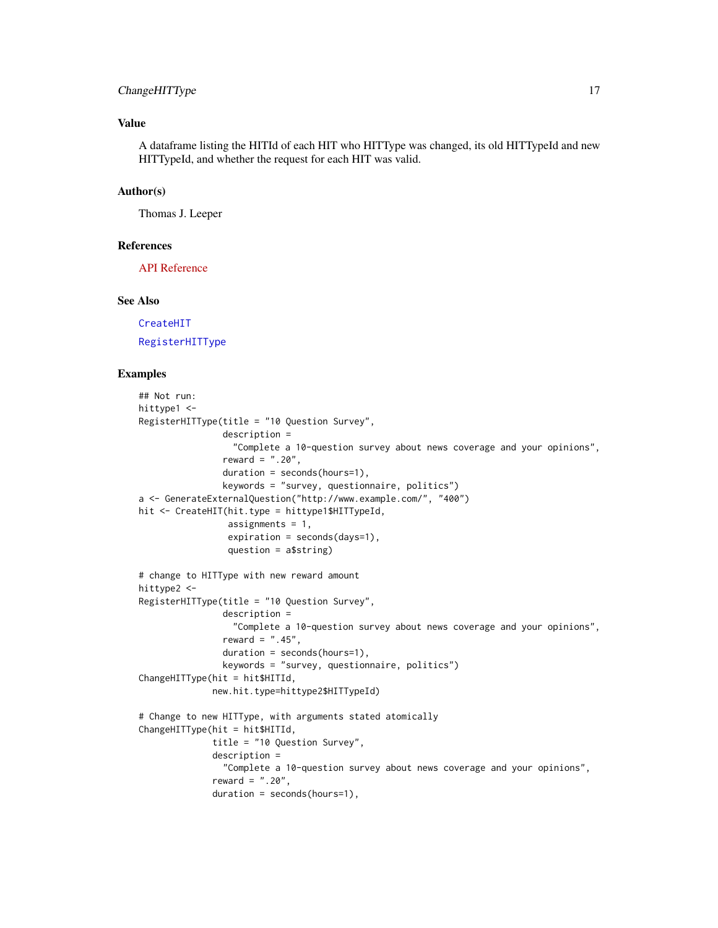# ChangeHITType 17

# Value

A dataframe listing the HITId of each HIT who HITType was changed, its old HITTypeId and new HITTypeId, and whether the request for each HIT was valid.

# Author(s)

Thomas J. Leeper

# References

[API Reference](http://docs.amazonwebservices.com/AWSMechTurk/latest/AWSMturkAPI/ApiReference_ChangeHITTypeOfHITOperation.html)

#### See Also

[CreateHIT](#page-19-1) [RegisterHITType](#page-78-1)

#### Examples

```
## Not run:
hittype1 <-
RegisterHITType(title = "10 Question Survey",
                description =
                  "Complete a 10-question survey about news coverage and your opinions",
                reward = ".20",duration = seconds(hours=1),
                keywords = "survey, questionnaire, politics")
a <- GenerateExternalQuestion("http://www.example.com/", "400")
hit <- CreateHIT(hit.type = hittype1$HITTypeId,
                 assignments = 1,
                 expiration = seconds(days=1),
                 question = a$string)
# change to HITType with new reward amount
hittype2 <-
RegisterHITType(title = "10 Question Survey",
                description =
                  "Complete a 10-question survey about news coverage and your opinions",
                reward = " .45",
                duration = seconds(hours=1),
                keywords = "survey, questionnaire, politics")
ChangeHITType(hit = hit$HITId,
              new.hit.type=hittype2$HITTypeId)
# Change to new HITType, with arguments stated atomically
ChangeHITType(hit = hit$HITId,
              title = "10 Question Survey",
              description =
                "Complete a 10-question survey about news coverage and your opinions",
              reward = ".20",
              duration = seconds(hours=1),
```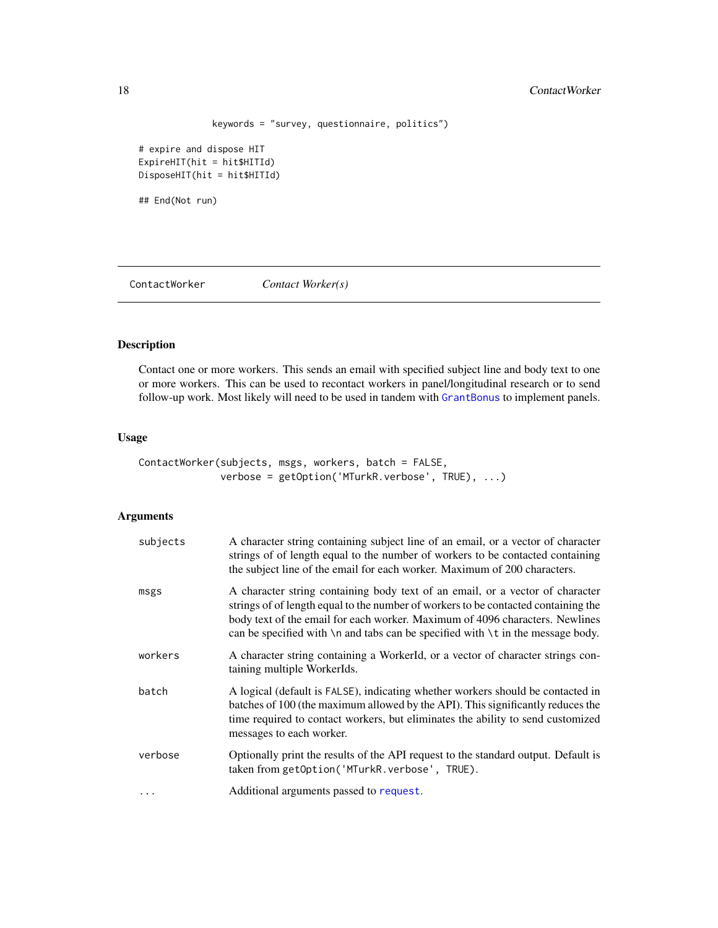```
keywords = "survey, questionnaire, politics")
```
<span id="page-17-0"></span># expire and dispose HIT ExpireHIT(hit = hit\$HITId) DisposeHIT(hit = hit\$HITId)

## End(Not run)

<span id="page-17-1"></span>ContactWorker *Contact Worker(s)*

# Description

Contact one or more workers. This sends an email with specified subject line and body text to one or more workers. This can be used to recontact workers in panel/longitudinal research or to send follow-up work. Most likely will need to be used in tandem with [GrantBonus](#page-69-1) to implement panels.

# Usage

```
ContactWorker(subjects, msgs, workers, batch = FALSE,
              verbose = getOption('MTurkR.verbose', TRUE), ...)
```

| subjects | A character string containing subject line of an email, or a vector of character<br>strings of of length equal to the number of workers to be contacted containing<br>the subject line of the email for each worker. Maximum of 200 characters.                                                                                                     |
|----------|-----------------------------------------------------------------------------------------------------------------------------------------------------------------------------------------------------------------------------------------------------------------------------------------------------------------------------------------------------|
| msgs     | A character string containing body text of an email, or a vector of character<br>strings of of length equal to the number of workers to be contacted containing the<br>body text of the email for each worker. Maximum of 4096 characters. Newlines<br>can be specified with $\n\times$ n and tabs can be specified with $\nt$ in the message body. |
| workers  | A character string containing a WorkerId, or a vector of character strings con-<br>taining multiple WorkerIds.                                                                                                                                                                                                                                      |
| batch    | A logical (default is FALSE), indicating whether workers should be contacted in<br>batches of 100 (the maximum allowed by the API). This significantly reduces the<br>time required to contact workers, but eliminates the ability to send customized<br>messages to each worker.                                                                   |
| verbose  | Optionally print the results of the API request to the standard output. Default is<br>taken from getOption('MTurkR.verbose', TRUE).                                                                                                                                                                                                                 |
|          | Additional arguments passed to request.                                                                                                                                                                                                                                                                                                             |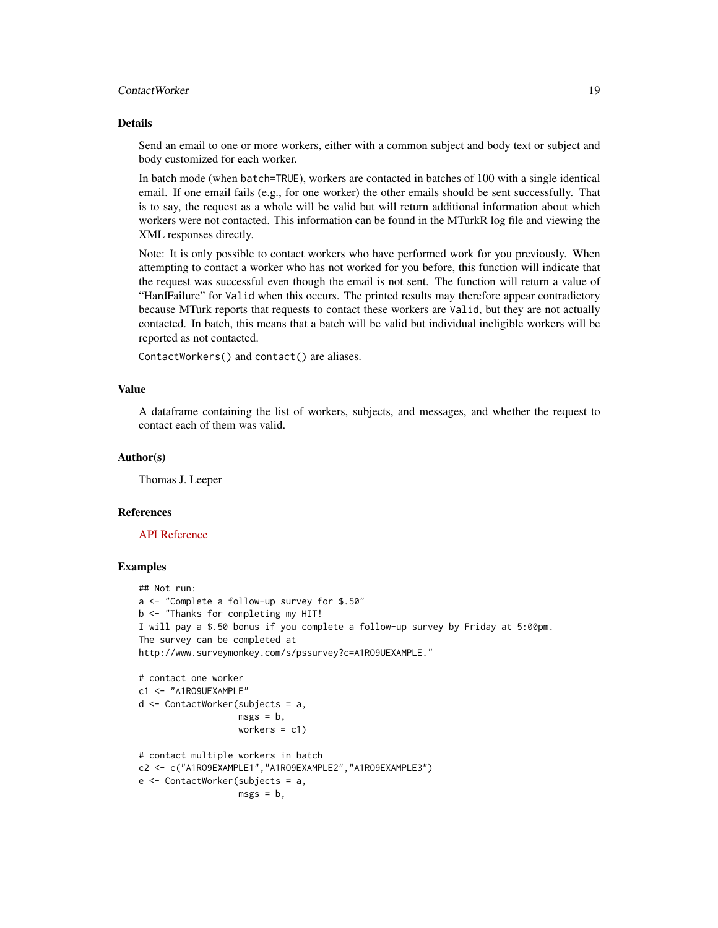# ContactWorker 19

# Details

Send an email to one or more workers, either with a common subject and body text or subject and body customized for each worker.

In batch mode (when batch=TRUE), workers are contacted in batches of 100 with a single identical email. If one email fails (e.g., for one worker) the other emails should be sent successfully. That is to say, the request as a whole will be valid but will return additional information about which workers were not contacted. This information can be found in the MTurkR log file and viewing the XML responses directly.

Note: It is only possible to contact workers who have performed work for you previously. When attempting to contact a worker who has not worked for you before, this function will indicate that the request was successful even though the email is not sent. The function will return a value of "HardFailure" for Valid when this occurs. The printed results may therefore appear contradictory because MTurk reports that requests to contact these workers are Valid, but they are not actually contacted. In batch, this means that a batch will be valid but individual ineligible workers will be reported as not contacted.

ContactWorkers() and contact() are aliases.

#### Value

A dataframe containing the list of workers, subjects, and messages, and whether the request to contact each of them was valid.

#### Author(s)

Thomas J. Leeper

#### References

# [API Reference](http://docs.amazonwebservices.com/AWSMechTurk/latest/AWSMturkAPI/ApiReference_NotifyWorkersOperation.html)

# Examples

```
## Not run:
a <- "Complete a follow-up survey for $.50"
b <- "Thanks for completing my HIT!
I will pay a $.50 bonus if you complete a follow-up survey by Friday at 5:00pm.
The survey can be completed at
http://www.surveymonkey.com/s/pssurvey?c=A1RO9UEXAMPLE."
# contact one worker
c1 <- "A1RO9UEXAMPLE"
d <- ContactWorker(subjects = a,
                   msgs = b,
                   workers = c1)
# contact multiple workers in batch
c2 <- c("A1RO9EXAMPLE1","A1RO9EXAMPLE2","A1RO9EXAMPLE3")
e <- ContactWorker(subjects = a,
                   msgs = b,
```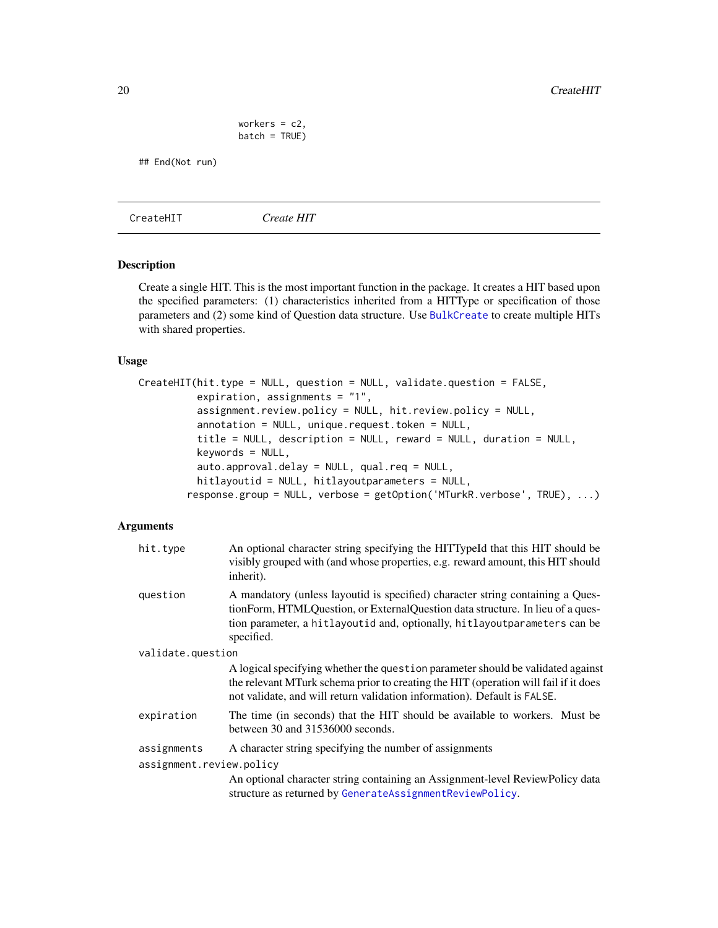<span id="page-19-0"></span>20 CreateHIT

```
workers = c2,
batch = TRUE)
```
## End(Not run)

<span id="page-19-1"></span>CreateHIT *Create HIT*

# Description

Create a single HIT. This is the most important function in the package. It creates a HIT based upon the specified parameters: (1) characteristics inherited from a HITType or specification of those parameters and (2) some kind of Question data structure. Use [BulkCreate](#page-10-1) to create multiple HITs with shared properties.

# Usage

```
CreateHIT(hit.type = NULL, question = NULL, validate.question = FALSE,
         expiration, assignments = "1",
          assignment.review.policy = NULL, hit.review.policy = NULL,
          annotation = NULL, unique.request.token = NULL,
          title = NULL, description = NULL, reward = NULL, duration = NULL,
         keywords = NULL,
          auto.approval.delay = NULL, qual.req = NULL,
         hitlayoutid = NULL, hitlayoutparameters = NULL,
        response.group = NULL, verbose = getOption('MTurkR.verbose', TRUE), ...)
```

| hit.type                 | An optional character string specifying the HITTypeId that this HIT should be<br>visibly grouped with (and whose properties, e.g. reward amount, this HIT should<br>inherit).                                                                               |  |
|--------------------------|-------------------------------------------------------------------------------------------------------------------------------------------------------------------------------------------------------------------------------------------------------------|--|
| question                 | A mandatory (unless layoutid is specified) character string containing a Ques-<br>tionForm, HTMLQuestion, or ExternalQuestion data structure. In lieu of a ques-<br>tion parameter, a hitlayoutid and, optionally, hitlayoutparameters can be<br>specified. |  |
| validate.question        |                                                                                                                                                                                                                                                             |  |
|                          | A logical specifying whether the question parameter should be validated against<br>the relevant MTurk schema prior to creating the HIT (operation will fail if it does<br>not validate, and will return validation information). Default is FALSE.          |  |
| expiration               | The time (in seconds) that the HIT should be available to workers. Must be<br>between 30 and 31536000 seconds.                                                                                                                                              |  |
| assignments              | A character string specifying the number of assignments                                                                                                                                                                                                     |  |
| assignment.review.policy |                                                                                                                                                                                                                                                             |  |
|                          | An optional character string containing an Assignment-level ReviewPolicy data<br>structure as returned by GenerateAssignmentReviewPolicy.                                                                                                                   |  |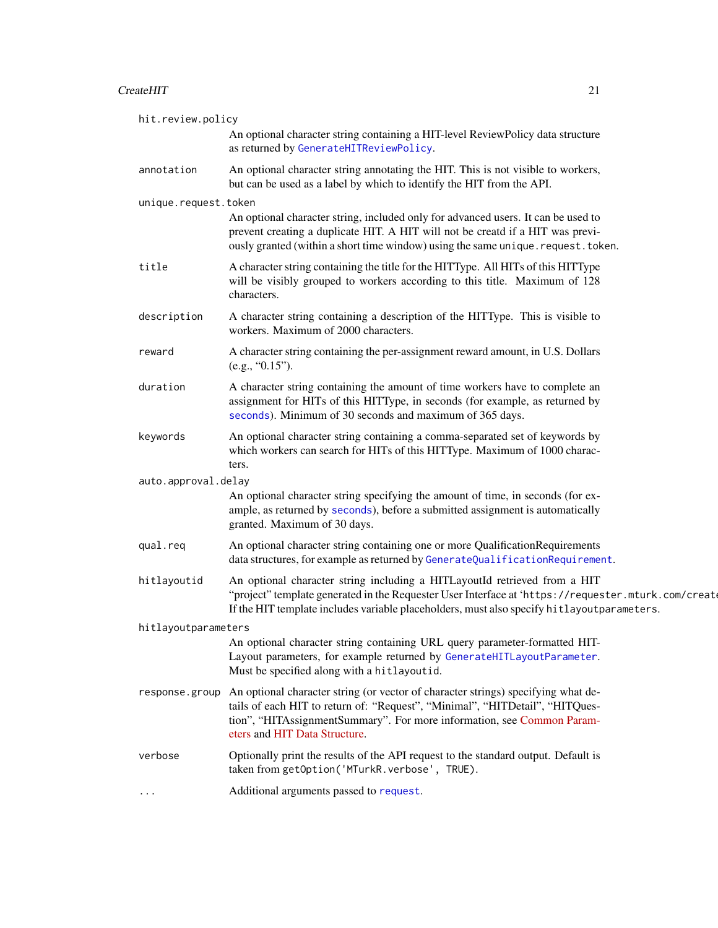# CreateHIT 21

| hit.review.policy    |                                                                                                                                                                                                                                                                                |
|----------------------|--------------------------------------------------------------------------------------------------------------------------------------------------------------------------------------------------------------------------------------------------------------------------------|
|                      | An optional character string containing a HIT-level ReviewPolicy data structure<br>as returned by GenerateHITReviewPolicy.                                                                                                                                                     |
| annotation           | An optional character string annotating the HIT. This is not visible to workers,<br>but can be used as a label by which to identify the HIT from the API.                                                                                                                      |
| unique.request.token | An optional character string, included only for advanced users. It can be used to<br>prevent creating a duplicate HIT. A HIT will not be creatd if a HIT was previ-<br>ously granted (within a short time window) using the same unique. request. token.                       |
| title                | A character string containing the title for the HITType. All HITs of this HITType<br>will be visibly grouped to workers according to this title. Maximum of 128<br>characters.                                                                                                 |
| description          | A character string containing a description of the HITType. This is visible to<br>workers. Maximum of 2000 characters.                                                                                                                                                         |
| reward               | A character string containing the per-assignment reward amount, in U.S. Dollars<br>(e.g., "0.15").                                                                                                                                                                             |
| duration             | A character string containing the amount of time workers have to complete an<br>assignment for HITs of this HITType, in seconds (for example, as returned by<br>seconds). Minimum of 30 seconds and maximum of 365 days.                                                       |
| keywords             | An optional character string containing a comma-separated set of keywords by<br>which workers can search for HITs of this HITType. Maximum of 1000 charac-<br>ters.                                                                                                            |
| auto.approval.delay  | An optional character string specifying the amount of time, in seconds (for ex-<br>ample, as returned by seconds), before a submitted assignment is automatically<br>granted. Maximum of 30 days.                                                                              |
| qual.req             | An optional character string containing one or more QualificationRequirements<br>data structures, for example as returned by GenerateQualificationRequirement.                                                                                                                 |
| hitlayoutid          | An optional character string including a HITLayoutId retrieved from a HIT<br>"project" template generated in the Requester User Interface at 'https://requester.mturk.com/create<br>If the HIT template includes variable placeholders, must also specify hitlayoutparameters. |
| hitlayoutparameters  |                                                                                                                                                                                                                                                                                |
|                      | An optional character string containing URL query parameter-formatted HIT-<br>Layout parameters, for example returned by GenerateHITLayoutParameter.<br>Must be specified along with a hitlayoutid.                                                                            |
| response.group       | An optional character string (or vector of character strings) specifying what de-<br>tails of each HIT to return of: "Request", "Minimal", "HITDetail", "HITQues-<br>tion", "HITAssignmentSummary". For more information, see Common Param-<br>eters and HIT Data Structure.   |
| verbose              | Optionally print the results of the API request to the standard output. Default is<br>taken from getOption('MTurkR.verbose', TRUE).                                                                                                                                            |
|                      | Additional arguments passed to request.                                                                                                                                                                                                                                        |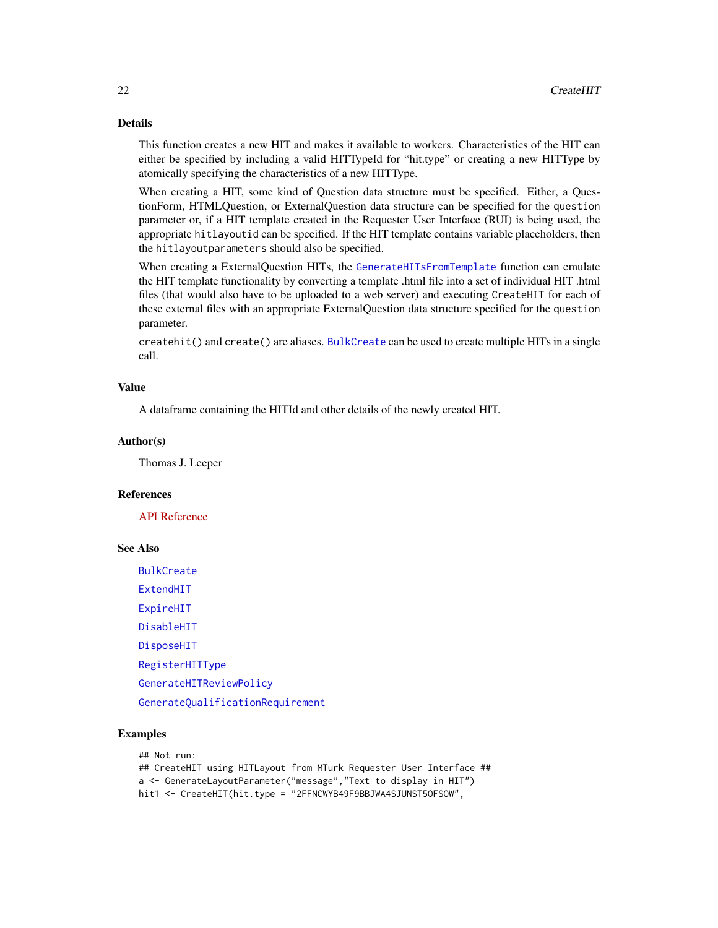# Details

This function creates a new HIT and makes it available to workers. Characteristics of the HIT can either be specified by including a valid HITTypeId for "hit.type" or creating a new HITType by atomically specifying the characteristics of a new HITType.

When creating a HIT, some kind of Question data structure must be specified. Either, a QuestionForm, HTMLQuestion, or ExternalQuestion data structure can be specified for the question parameter or, if a HIT template created in the Requester User Interface (RUI) is being used, the appropriate hitlayoutid can be specified. If the HIT template contains variable placeholders, then the hitlayoutparameters should also be specified.

When creating a ExternalQuestion HITs, the [GenerateHITsFromTemplate](#page-39-1) function can emulate the HIT template functionality by converting a template .html file into a set of individual HIT .html files (that would also have to be uploaded to a web server) and executing CreateHIT for each of these external files with an appropriate ExternalQuestion data structure specified for the question parameter.

createhit() and create() are aliases. [BulkCreate](#page-10-1) can be used to create multiple HITs in a single call.

# Value

A dataframe containing the HITId and other details of the newly created HIT.

#### Author(s)

Thomas J. Leeper

#### References

[API Reference](http://docs.amazonwebservices.com/AWSMechTurk/latest/AWSMturkAPI/ApiReference_CreateHITOperation.html)

# See Also

[BulkCreate](#page-10-1)

[ExtendHIT](#page-32-1)

[ExpireHIT](#page-31-1)

[DisableHIT](#page-26-1)

[DisposeHIT](#page-28-1)

[RegisterHITType](#page-78-1)

[GenerateHITReviewPolicy](#page-45-1)

[GenerateQualificationRequirement](#page-43-1)

# Examples

## Not run:

## CreateHIT using HITLayout from MTurk Requester User Interface ## a <- GenerateLayoutParameter("message","Text to display in HIT") hit1 <- CreateHIT(hit.type = "2FFNCWYB49F9BBJWA4SJUNST5OFSOW",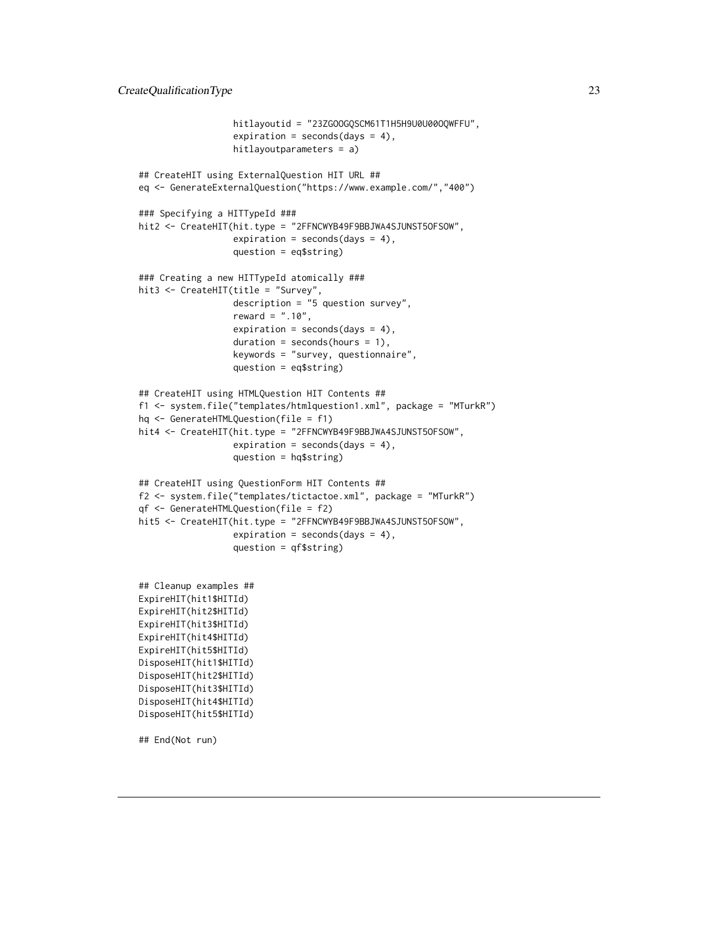```
hitlayoutid = "23ZGOOGQSCM61T1H5H9U0U00OQWFFU",
                  expiration = seconds(days = 4),
                  hitlayoutparameters = a)
## CreateHIT using ExternalQuestion HIT URL ##
eq <- GenerateExternalQuestion("https://www.example.com/","400")
### Specifying a HITTypeId ###
hit2 <- CreateHIT(hit.type = "2FFNCWYB49F9BBJWA4SJUNST50FSOW",
                  expiration = seconds(days = 4),
                  question = eq$string)
### Creating a new HITTypeId atomically ###
hit3 <- CreateHIT(title = "Survey",
                  description = "5 question survey",
                  reward = ".10",
                  expiration = seconds(days = 4),
                  duration = seconds(hours = 1),
                  keywords = "survey, questionnaire",
                  question = eq$string)
## CreateHIT using HTMLQuestion HIT Contents ##
f1 <- system.file("templates/htmlquestion1.xml", package = "MTurkR")
hq <- GenerateHTMLQuestion(file = f1)
hit4 <- CreateHIT(hit.type = "2FFNCWYB49F9BBJWA4SJUNST50FSOW",
                  expiration = seconds(days = 4),
                  question = hq$string)
## CreateHIT using QuestionForm HIT Contents ##
f2 <- system.file("templates/tictactoe.xml", package = "MTurkR")
qf <- GenerateHTMLQuestion(file = f2)
hit5 <- CreateHIT(hit.type = "2FFNCWYB49F9BBJWA4SJUNST50FSOW",
                  expiration = seconds(days = 4),
                  question = qf$string)
## Cleanup examples ##
ExpireHIT(hit1$HITId)
ExpireHIT(hit2$HITId)
ExpireHIT(hit3$HITId)
ExpireHIT(hit4$HITId)
ExpireHIT(hit5$HITId)
DisposeHIT(hit1$HITId)
DisposeHIT(hit2$HITId)
DisposeHIT(hit3$HITId)
```
DisposeHIT(hit4\$HITId) DisposeHIT(hit5\$HITId)

<span id="page-22-1"></span>## End(Not run)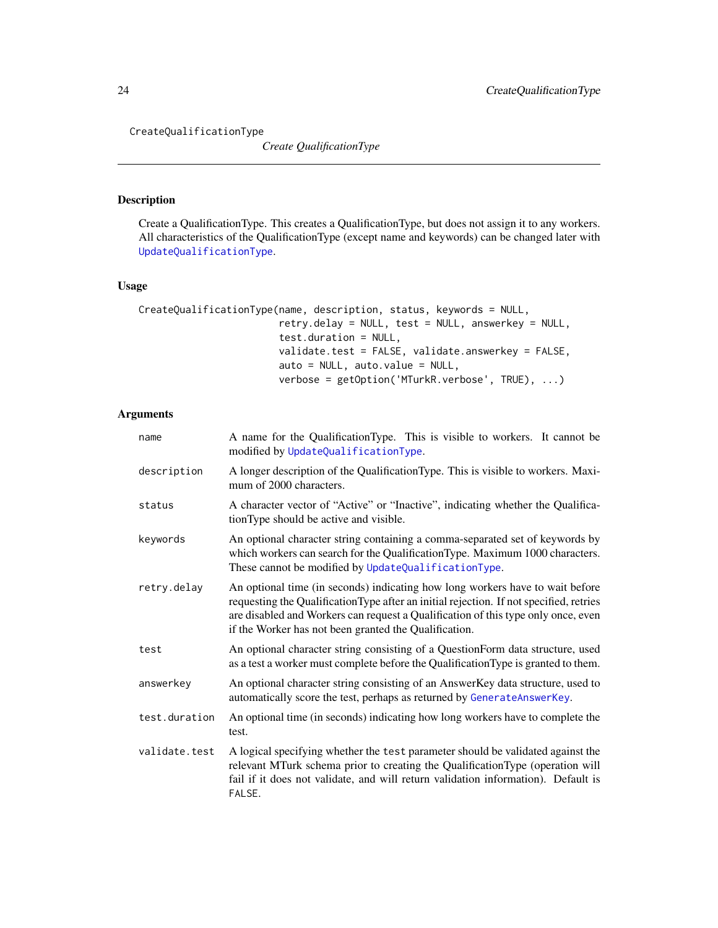CreateQualificationType

*Create QualificationType*

# Description

Create a QualificationType. This creates a QualificationType, but does not assign it to any workers. All characteristics of the QualificationType (except name and keywords) can be changed later with [UpdateQualificationType](#page-95-1).

# Usage

```
CreateQualificationType(name, description, status, keywords = NULL,
                        retry.delay = NULL, test = NULL, answerkey = NULL,
                        test.duration = NULL,
                        validate.test = FALSE, validate.answerkey = FALSE,
                        auto = NULL, auto.value = NULL,
                        verbose = getOption('MTurkR.verbose', TRUE), ...)
```

| name          | A name for the QualificationType. This is visible to workers. It cannot be<br>modified by UpdateQualificationType.                                                                                                                                                                                                    |
|---------------|-----------------------------------------------------------------------------------------------------------------------------------------------------------------------------------------------------------------------------------------------------------------------------------------------------------------------|
| description   | A longer description of the QualificationType. This is visible to workers. Maxi-<br>mum of 2000 characters.                                                                                                                                                                                                           |
| status        | A character vector of "Active" or "Inactive", indicating whether the Qualifica-<br>tionType should be active and visible.                                                                                                                                                                                             |
| keywords      | An optional character string containing a comma-separated set of keywords by<br>which workers can search for the QualificationType. Maximum 1000 characters.<br>These cannot be modified by UpdateQualificationType.                                                                                                  |
| retry.delay   | An optional time (in seconds) indicating how long workers have to wait before<br>requesting the QualificationType after an initial rejection. If not specified, retries<br>are disabled and Workers can request a Qualification of this type only once, even<br>if the Worker has not been granted the Qualification. |
| test          | An optional character string consisting of a QuestionForm data structure, used<br>as a test a worker must complete before the Qualification Type is granted to them.                                                                                                                                                  |
| answerkey     | An optional character string consisting of an AnswerKey data structure, used to<br>automatically score the test, perhaps as returned by GenerateAnswerKey.                                                                                                                                                            |
| test.duration | An optional time (in seconds) indicating how long workers have to complete the<br>test.                                                                                                                                                                                                                               |
| validate.test | A logical specifying whether the test parameter should be validated against the<br>relevant MTurk schema prior to creating the QualificationType (operation will<br>fail if it does not validate, and will return validation information). Default is<br>FALSE.                                                       |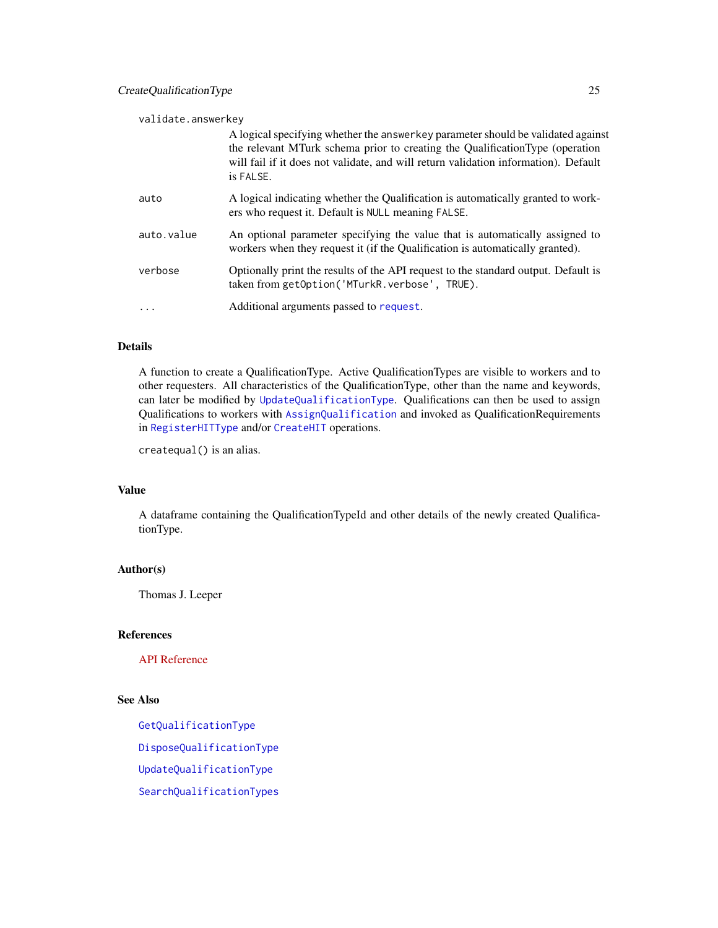| validate.answerkey |            |                                                                                                                                                                                                                                                                      |
|--------------------|------------|----------------------------------------------------------------------------------------------------------------------------------------------------------------------------------------------------------------------------------------------------------------------|
|                    |            | A logical specifying whether the answerkey parameter should be validated against<br>the relevant MTurk schema prior to creating the QualificationType (operation<br>will fail if it does not validate, and will return validation information). Default<br>is FALSE. |
|                    | auto       | A logical indicating whether the Qualification is automatically granted to work-<br>ers who request it. Default is NULL meaning FALSE.                                                                                                                               |
|                    | auto.value | An optional parameter specifying the value that is automatically assigned to<br>workers when they request it (if the Qualification is automatically granted).                                                                                                        |
|                    | verbose    | Optionally print the results of the API request to the standard output. Default is<br>taken from getOption('MTurkR.verbose', TRUE).                                                                                                                                  |
|                    | .          | Additional arguments passed to request.                                                                                                                                                                                                                              |

# Details

A function to create a QualificationType. Active QualificationTypes are visible to workers and to other requesters. All characteristics of the QualificationType, other than the name and keywords, can later be modified by [UpdateQualificationType](#page-95-1). Qualifications can then be used to assign Qualifications to workers with [AssignQualification](#page-6-1) and invoked as QualificationRequirements in [RegisterHITType](#page-78-1) and/or [CreateHIT](#page-19-1) operations.

createqual() is an alias.

# Value

A dataframe containing the QualificationTypeId and other details of the newly created QualificationType.

# Author(s)

Thomas J. Leeper

# References

[API Reference](http://docs.amazonwebservices.com/AWSMechTurk/latest/AWSMturkAPI/ApiReference_CreateQualificationTypeOperation.html)

# See Also

[GetQualificationType](#page-63-1) [DisposeQualificationType](#page-29-1) [UpdateQualificationType](#page-95-1) [SearchQualificationTypes](#page-85-1)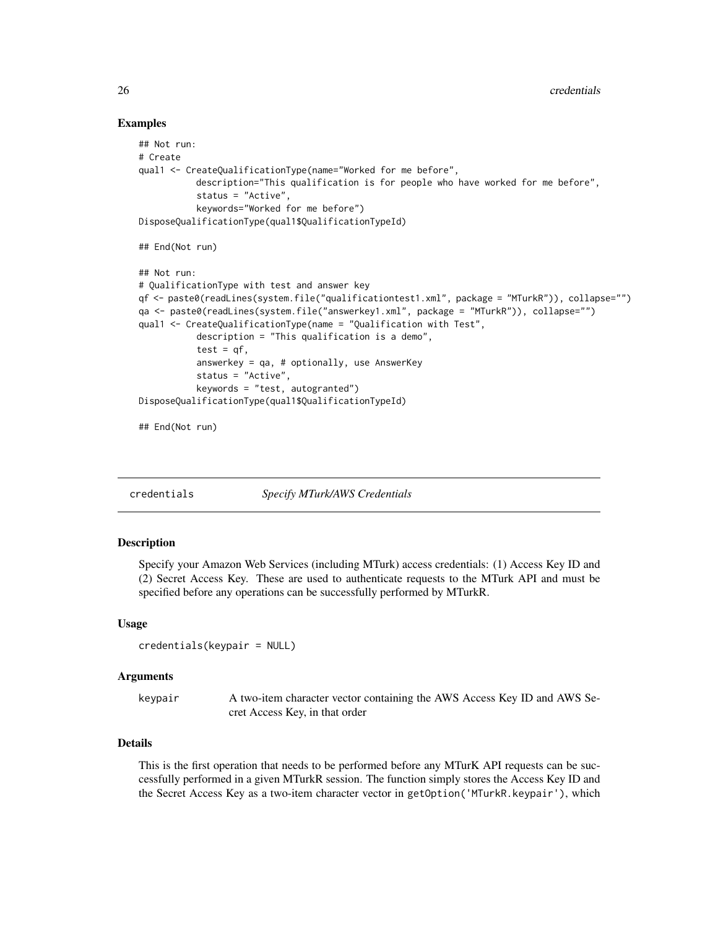# Examples

```
## Not run:
# Create
qual1 <- CreateQualificationType(name="Worked for me before",
           description="This qualification is for people who have worked for me before",
           status = "Active",
           keywords="Worked for me before")
DisposeQualificationType(qual1$QualificationTypeId)
## End(Not run)
## Not run:
# QualificationType with test and answer key
qf <- paste0(readLines(system.file("qualificationtest1.xml", package = "MTurkR")), collapse="")
qa <- paste0(readLines(system.file("answerkey1.xml", package = "MTurkR")), collapse="")
qual1 <- CreateQualificationType(name = "Qualification with Test",
           description = "This qualification is a demo",
           test = qf,
           answerkey = qa, # optionally, use AnswerKey
           status = "Active",
           keywords = "test, autogranted")
DisposeQualificationType(qual1$QualificationTypeId)
## End(Not run)
```
<span id="page-25-1"></span>credentials *Specify MTurk/AWS Credentials*

#### Description

Specify your Amazon Web Services (including MTurk) access credentials: (1) Access Key ID and (2) Secret Access Key. These are used to authenticate requests to the MTurk API and must be specified before any operations can be successfully performed by MTurkR.

#### Usage

```
credentials(keypair = NULL)
```
#### Arguments

| keypair | A two-item character vector containing the AWS Access Key ID and AWS Se- |
|---------|--------------------------------------------------------------------------|
|         | cret Access Key, in that order                                           |

# Details

This is the first operation that needs to be performed before any MTurK API requests can be successfully performed in a given MTurkR session. The function simply stores the Access Key ID and the Secret Access Key as a two-item character vector in getOption('MTurkR.keypair'), which

<span id="page-25-0"></span>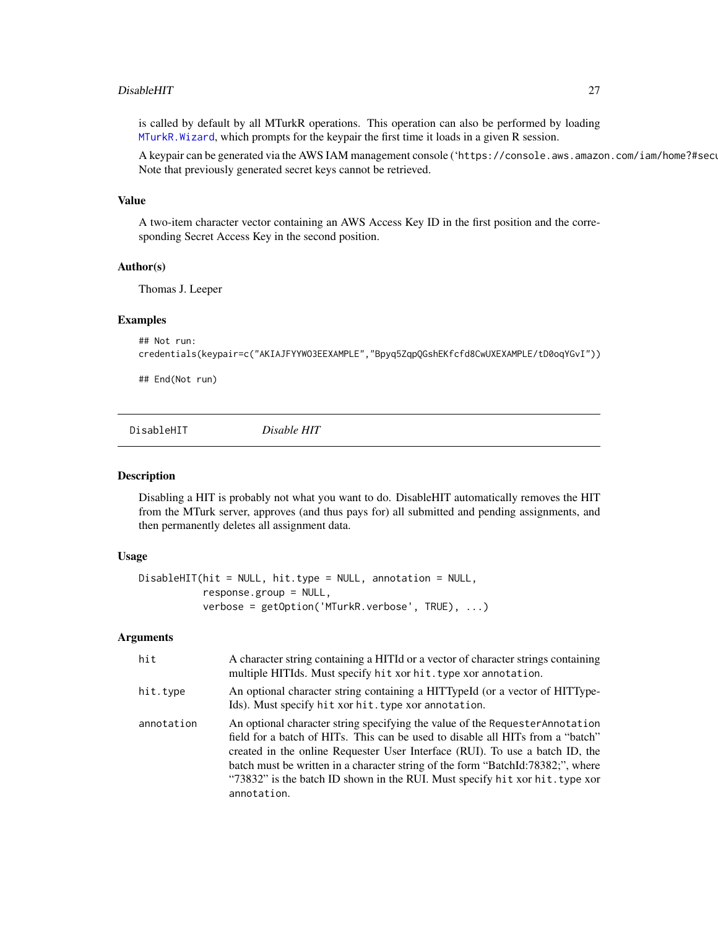#### <span id="page-26-0"></span>DisableHIT 27

is called by default by all MTurkR operations. This operation can also be performed by loading [MTurkR.Wizard](#page-76-1), which prompts for the keypair the first time it loads in a given R session.

A keypair can be generated via the AWS IAM management console ('https://console.aws.amazon.com/iam/home?#securi Note that previously generated secret keys cannot be retrieved.

#### Value

A two-item character vector containing an AWS Access Key ID in the first position and the corresponding Secret Access Key in the second position.

#### Author(s)

Thomas J. Leeper

#### Examples

```
## Not run:
credentials(keypair=c("AKIAJFYYWO3EEXAMPLE","Bpyq5ZqpQGshEKfcfd8CwUXEXAMPLE/tD0oqYGvI"))
```
## End(Not run)

<span id="page-26-1"></span>DisableHIT *Disable HIT*

#### Description

Disabling a HIT is probably not what you want to do. DisableHIT automatically removes the HIT from the MTurk server, approves (and thus pays for) all submitted and pending assignments, and then permanently deletes all assignment data.

# Usage

```
DisableHIT(hit = NULL, hit.type = NULL, annotation = NULL,
           response.group = NULL,
           verbose = getOption('MTurkR.verbose', TRUE), ...)
```

| hit        | A character string containing a HITId or a vector of character strings containing<br>multiple HITIds. Must specify hit xor hit. type xor annotation.                                                                                                                                                                                                                                                                              |
|------------|-----------------------------------------------------------------------------------------------------------------------------------------------------------------------------------------------------------------------------------------------------------------------------------------------------------------------------------------------------------------------------------------------------------------------------------|
| hit.type   | An optional character string containing a HITTypeId (or a vector of HITType-<br>Ids). Must specify hit xor hit. type xor annotation.                                                                                                                                                                                                                                                                                              |
| annotation | An optional character string specifying the value of the Requester Annotation<br>field for a batch of HITs. This can be used to disable all HITs from a "batch"<br>created in the online Requester User Interface (RUI). To use a batch ID, the<br>batch must be written in a character string of the form "BatchId:78382;", where<br>"73832" is the batch ID shown in the RUI. Must specify hit xor hit. type xor<br>annotation. |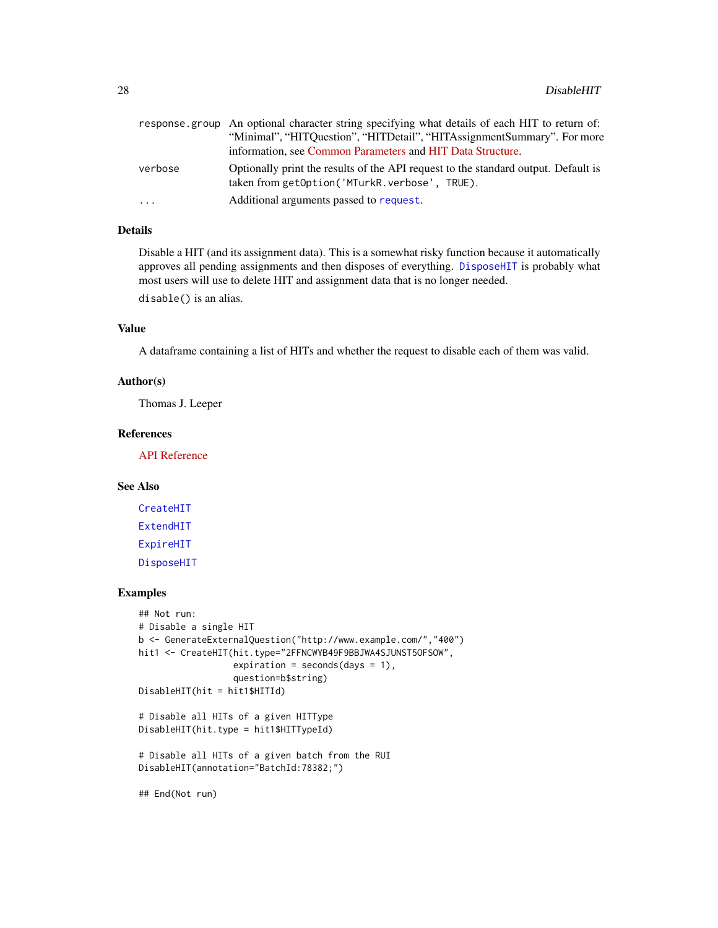|          | response group An optional character string specifying what details of each HIT to return of:                                       |
|----------|-------------------------------------------------------------------------------------------------------------------------------------|
|          | "Minimal", "HITQuestion", "HITDetail", "HITAssignmentSummary". For more                                                             |
|          | information, see Common Parameters and HIT Data Structure.                                                                          |
| verbose  | Optionally print the results of the API request to the standard output. Default is<br>taken from getOption('MTurkR.verbose', TRUE). |
| $\cdots$ | Additional arguments passed to request.                                                                                             |

# Details

Disable a HIT (and its assignment data). This is a somewhat risky function because it automatically approves all pending assignments and then disposes of everything. [DisposeHIT](#page-28-1) is probably what most users will use to delete HIT and assignment data that is no longer needed.

disable() is an alias.

# Value

A dataframe containing a list of HITs and whether the request to disable each of them was valid.

# Author(s)

Thomas J. Leeper

# References

[API Reference](http://docs.amazonwebservices.com/AWSMechTurk/latest/AWSMturkAPI/ApiReference_DisableHITOperation.html)

# See Also

[CreateHIT](#page-19-1) [ExtendHIT](#page-32-1) [ExpireHIT](#page-31-1) [DisposeHIT](#page-28-1)

# Examples

```
## Not run:
# Disable a single HIT
b <- GenerateExternalQuestion("http://www.example.com/","400")
hit1 <- CreateHIT(hit.type="2FFNCWYB49F9BBJWA4SJUNST5OFSOW",
                  expiration = seconds(days = 1),
                  question=b$string)
DisableHIT(hit = hit1$HITId)
# Disable all HITs of a given HITType
DisableHIT(hit.type = hit1$HITTypeId)
# Disable all HITs of a given batch from the RUI
DisableHIT(annotation="BatchId:78382;")
## End(Not run)
```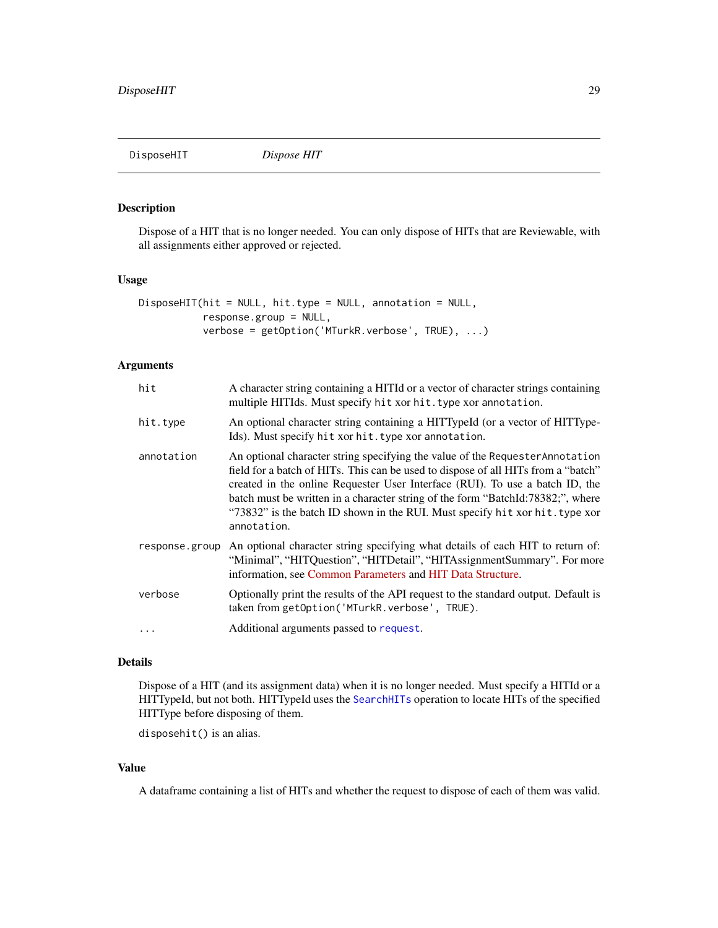<span id="page-28-1"></span><span id="page-28-0"></span>

# Description

Dispose of a HIT that is no longer needed. You can only dispose of HITs that are Reviewable, with all assignments either approved or rejected.

# Usage

```
DisposeHIT(hit = NULL, hit.type = NULL, annotation = NULL,
           response.group = NULL,
           verbose = getOption('MTurkR.verbose', TRUE), ...)
```
### Arguments

| hit            | A character string containing a HITId or a vector of character strings containing<br>multiple HITIds. Must specify hit xor hit. type xor annotation.                                                                                                                                                                                                                                                                                 |
|----------------|--------------------------------------------------------------------------------------------------------------------------------------------------------------------------------------------------------------------------------------------------------------------------------------------------------------------------------------------------------------------------------------------------------------------------------------|
| hit.type       | An optional character string containing a HITTypeId (or a vector of HITType-<br>Ids). Must specify hit xor hit. type xor annotation.                                                                                                                                                                                                                                                                                                 |
| annotation     | An optional character string specifying the value of the Requester Annotation<br>field for a batch of HITs. This can be used to dispose of all HITs from a "batch"<br>created in the online Requester User Interface (RUI). To use a batch ID, the<br>batch must be written in a character string of the form "BatchId:78382;", where<br>"73832" is the batch ID shown in the RUI. Must specify hit xor hit. type xor<br>annotation. |
| response.group | An optional character string specifying what details of each HIT to return of:<br>"Minimal", "HITQuestion", "HITDetail", "HITAssignmentSummary". For more<br>information, see Common Parameters and HIT Data Structure.                                                                                                                                                                                                              |
| verbose        | Optionally print the results of the API request to the standard output. Default is<br>taken from getOption('MTurkR.verbose', TRUE).                                                                                                                                                                                                                                                                                                  |
|                | Additional arguments passed to request.                                                                                                                                                                                                                                                                                                                                                                                              |

#### Details

Dispose of a HIT (and its assignment data) when it is no longer needed. Must specify a HITId or a HITTypeId, but not both. HITTypeId uses the [SearchHITs](#page-84-1) operation to locate HITs of the specified HITType before disposing of them.

disposehit() is an alias.

# Value

A dataframe containing a list of HITs and whether the request to dispose of each of them was valid.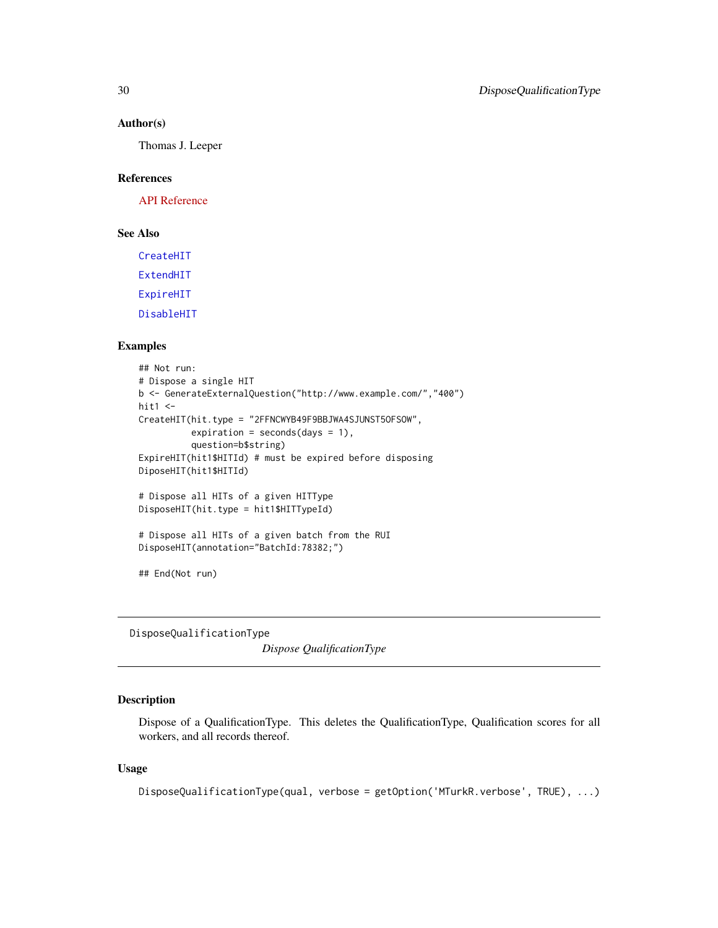#### Author(s)

Thomas J. Leeper

#### References

[API Reference](http://docs.amazonwebservices.com/AWSMechTurk/latest/AWSMturkAPI/ApiReference_DisposeHITOperation.html)

# See Also

[CreateHIT](#page-19-1)

[ExtendHIT](#page-32-1)

[ExpireHIT](#page-31-1)

[DisableHIT](#page-26-1)

# Examples

```
## Not run:
# Dispose a single HIT
b <- GenerateExternalQuestion("http://www.example.com/","400")
hit1 < -CreateHIT(hit.type = "2FFNCWYB49F9BBJWA4SJUNST5OFSOW",
          expiration = seconds(days = 1),
          question=b$string)
ExpireHIT(hit1$HITId) # must be expired before disposing
DiposeHIT(hit1$HITId)
# Dispose all HITs of a given HITType
DisposeHIT(hit.type = hit1$HITTypeId)
# Dispose all HITs of a given batch from the RUI
DisposeHIT(annotation="BatchId:78382;")
## End(Not run)
```
<span id="page-29-1"></span>DisposeQualificationType

*Dispose QualificationType*

# Description

Dispose of a QualificationType. This deletes the QualificationType, Qualification scores for all workers, and all records thereof.

# Usage

DisposeQualificationType(qual, verbose = getOption('MTurkR.verbose', TRUE), ...)

<span id="page-29-0"></span>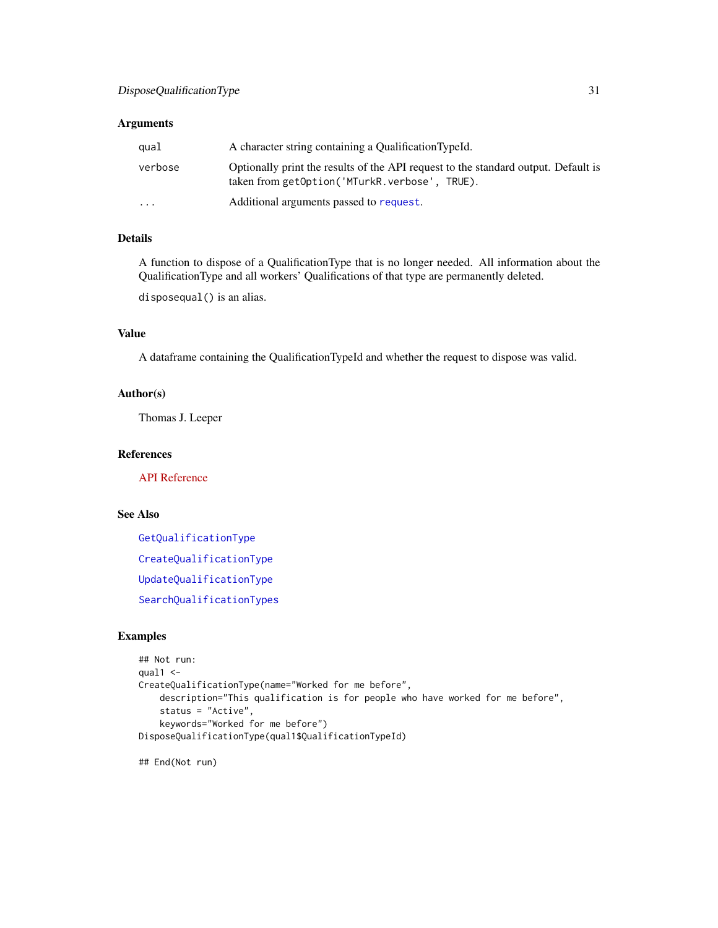# Arguments

| qual     | A character string containing a Qualification TypeId.                                                                               |
|----------|-------------------------------------------------------------------------------------------------------------------------------------|
| verbose  | Optionally print the results of the API request to the standard output. Default is<br>taken from getOption('MTurkR.verbose', TRUE). |
| $\cdots$ | Additional arguments passed to request.                                                                                             |

# Details

A function to dispose of a QualificationType that is no longer needed. All information about the QualificationType and all workers' Qualifications of that type are permanently deleted.

disposequal() is an alias.

# Value

A dataframe containing the QualificationTypeId and whether the request to dispose was valid.

# Author(s)

Thomas J. Leeper

# References

[API Reference](http://docs.amazonwebservices.com/AWSMechTurk/latest/AWSMturkAPI/ApiReference_DisposeQualificationTypeOperation.html)

# See Also

[GetQualificationType](#page-63-1) [CreateQualificationType](#page-22-1) [UpdateQualificationType](#page-95-1) [SearchQualificationTypes](#page-85-1)

# Examples

```
## Not run:
qual1 <-
CreateQualificationType(name="Worked for me before",
    description="This qualification is for people who have worked for me before",
    status = "Active",
    keywords="Worked for me before")
DisposeQualificationType(qual1$QualificationTypeId)
```
## End(Not run)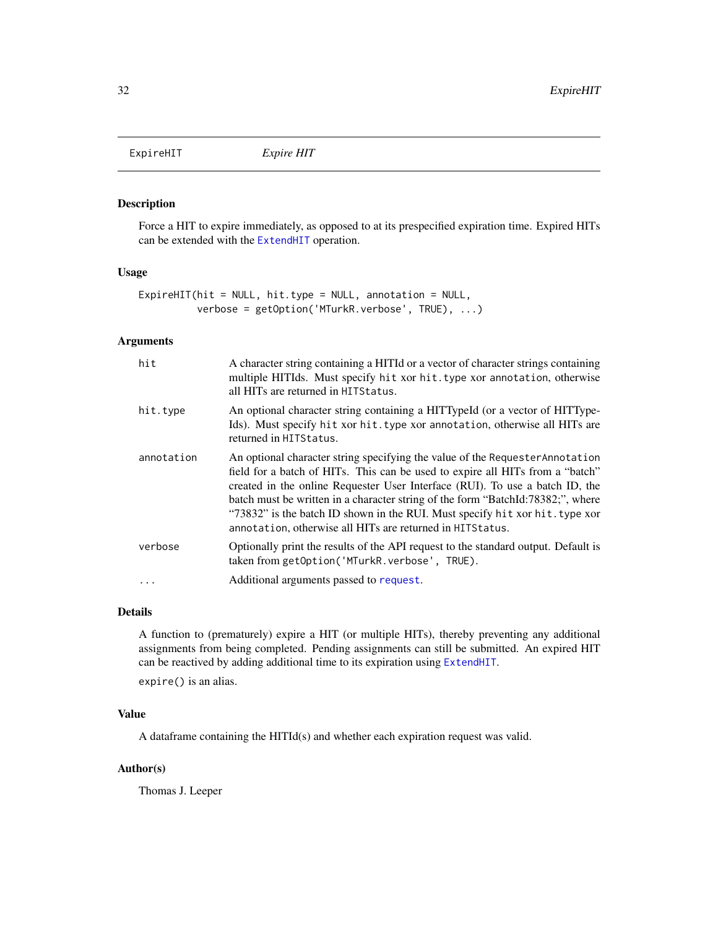<span id="page-31-1"></span><span id="page-31-0"></span>ExpireHIT *Expire HIT*

#### Description

Force a HIT to expire immediately, as opposed to at its prespecified expiration time. Expired HITs can be extended with the [ExtendHIT](#page-32-1) operation.

#### Usage

```
ExpireHIT(hit = NULL, hit.type = NULL, annotation = NULL,
          verbose = getOption('MTurkR.verbose', TRUE), ...)
```
# Arguments

| hit        | A character string containing a HITId or a vector of character strings containing<br>multiple HITIds. Must specify hit xor hit. type xor annotation, otherwise<br>all HITs are returned in HITS tatus.                                                                                                                                                                                                                                                                          |
|------------|---------------------------------------------------------------------------------------------------------------------------------------------------------------------------------------------------------------------------------------------------------------------------------------------------------------------------------------------------------------------------------------------------------------------------------------------------------------------------------|
| hit.type   | An optional character string containing a HITTypeId (or a vector of HITType-<br>Ids). Must specify hit xor hit. type xor annotation, otherwise all HITs are<br>returned in HITStatus.                                                                                                                                                                                                                                                                                           |
| annotation | An optional character string specifying the value of the Requester Annotation<br>field for a batch of HITs. This can be used to expire all HITs from a "batch"<br>created in the online Requester User Interface (RUI). To use a batch ID, the<br>batch must be written in a character string of the form "BatchId:78382;", where<br>"73832" is the batch ID shown in the RUI. Must specify hit xor hit. type xor<br>annotation, otherwise all HITs are returned in HITS tatus. |
| verbose    | Optionally print the results of the API request to the standard output. Default is<br>taken from getOption('MTurkR.verbose', TRUE).                                                                                                                                                                                                                                                                                                                                             |
| .          | Additional arguments passed to request.                                                                                                                                                                                                                                                                                                                                                                                                                                         |

#### Details

A function to (prematurely) expire a HIT (or multiple HITs), thereby preventing any additional assignments from being completed. Pending assignments can still be submitted. An expired HIT can be reactived by adding additional time to its expiration using [ExtendHIT](#page-32-1).

expire() is an alias.

# Value

A dataframe containing the HITId(s) and whether each expiration request was valid.

# Author(s)

Thomas J. Leeper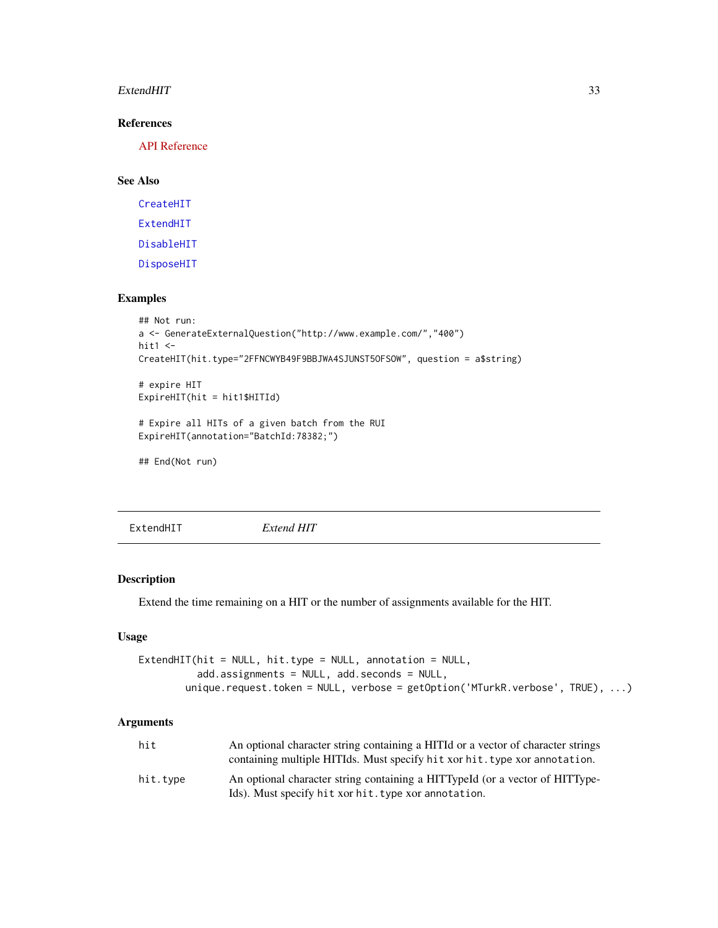#### <span id="page-32-0"></span>ExtendHIT 33

# References

[API Reference](http://docs.amazonwebservices.com/AWSMechTurk/latest/AWSMturkAPI/ApiReference_ForceExpireHITOperation.html)

# See Also

[CreateHIT](#page-19-1) [ExtendHIT](#page-32-1) [DisableHIT](#page-26-1) [DisposeHIT](#page-28-1)

# Examples

```
## Not run:
a <- GenerateExternalQuestion("http://www.example.com/","400")
hit1 <-
CreateHIT(hit.type="2FFNCWYB49F9BBJWA4SJUNST5OFSOW", question = a$string)
# expire HIT
ExpireHIT(hit = hit1$HITId)
# Expire all HITs of a given batch from the RUI
ExpireHIT(annotation="BatchId:78382;")
## End(Not run)
```
<span id="page-32-1"></span>ExtendHIT *Extend HIT*

# Description

Extend the time remaining on a HIT or the number of assignments available for the HIT.

# Usage

```
ExtendHIT(hit = NULL, hit.type = NULL, annotation = NULL,
          add.assignments = NULL, add.seconds = NULL,
        unique.request.token = NULL, verbose = getOption('MTurkR.verbose', TRUE), ...)
```

| hit      | An optional character string containing a HITI or a vector of character strings |
|----------|---------------------------------------------------------------------------------|
|          | containing multiple HITIds. Must specify hit xor hit, type xor annotation.      |
| hit.tvpe | An optional character string containing a HITTypeId (or a vector of HITType-    |
|          | Ids). Must specify hit xor hit. type xor annotation.                            |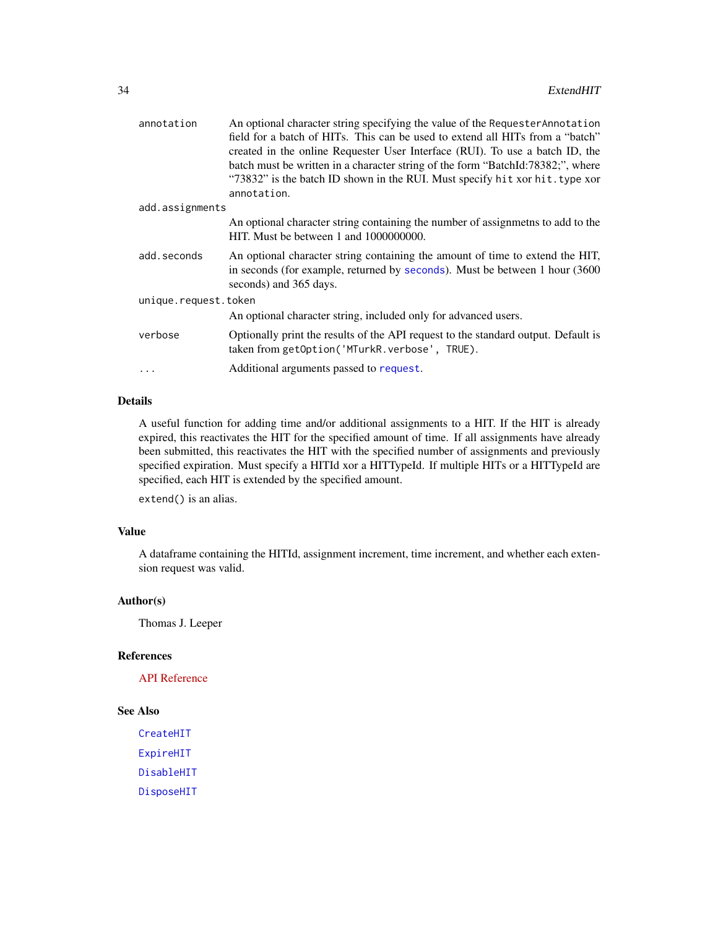| annotation           | An optional character string specifying the value of the Requester Annotation                                                                                                           |
|----------------------|-----------------------------------------------------------------------------------------------------------------------------------------------------------------------------------------|
|                      | field for a batch of HITs. This can be used to extend all HITs from a "batch"                                                                                                           |
|                      | created in the online Requester User Interface (RUI). To use a batch ID, the                                                                                                            |
|                      | batch must be written in a character string of the form "BatchId:78382;", where                                                                                                         |
|                      | "73832" is the batch ID shown in the RUI. Must specify hit xor hit. type xor                                                                                                            |
|                      | annotation.                                                                                                                                                                             |
| add.assignments      |                                                                                                                                                                                         |
|                      | An optional character string containing the number of assignmeths to add to the<br>HIT. Must be between 1 and 1000000000.                                                               |
| add.seconds          | An optional character string containing the amount of time to extend the HIT,<br>in seconds (for example, returned by seconds). Must be between 1 hour (3600)<br>seconds) and 365 days. |
| unique.request.token |                                                                                                                                                                                         |
|                      | An optional character string, included only for advanced users.                                                                                                                         |
| verbose              | Optionally print the results of the API request to the standard output. Default is<br>taken from getOption('MTurkR.verbose', TRUE).                                                     |
|                      | Additional arguments passed to request.                                                                                                                                                 |
|                      |                                                                                                                                                                                         |

# Details

A useful function for adding time and/or additional assignments to a HIT. If the HIT is already expired, this reactivates the HIT for the specified amount of time. If all assignments have already been submitted, this reactivates the HIT with the specified number of assignments and previously specified expiration. Must specify a HITId xor a HITTypeId. If multiple HITs or a HITTypeId are specified, each HIT is extended by the specified amount.

extend() is an alias.

# Value

A dataframe containing the HITId, assignment increment, time increment, and whether each extension request was valid.

# Author(s)

Thomas J. Leeper

# References

[API Reference](http://docs.amazonwebservices.com/AWSMechTurk/latest/AWSMturkAPI/ApiReference_ExtendHITOperation.html)

#### See Also

[CreateHIT](#page-19-1) [ExpireHIT](#page-31-1) [DisableHIT](#page-26-1) [DisposeHIT](#page-28-1)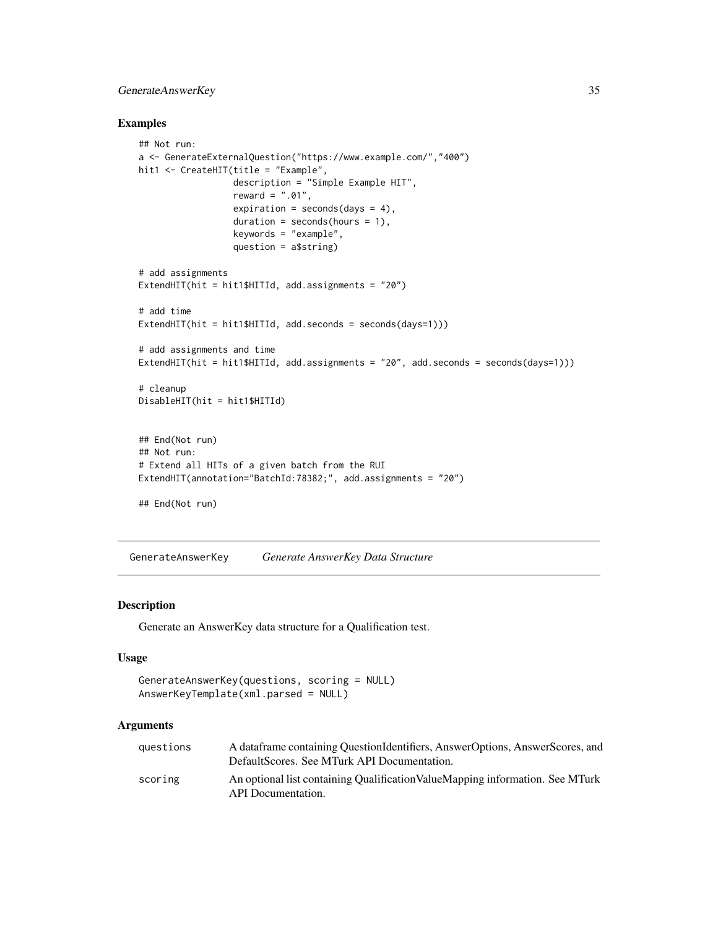# <span id="page-34-0"></span>GenerateAnswerKey 35

#### Examples

```
## Not run:
a <- GenerateExternalQuestion("https://www.example.com/","400")
hit1 <- CreateHIT(title = "Example",
                  description = "Simple Example HIT",
                  reward = ".01".expiration = seconds(days = 4),
                  duration = seconds(hours = 1),
                  keywords = "example",
                  question = a$string)
# add assignments
ExtendHIT(hit = hit1$HITId, add.assignments = "20")
# add time
ExtendHIT(hit = hit1$HITId, add.seconds = seconds(days=1)))
# add assignments and time
ExtendHIT(hit = hit1$HITId, add.assignments = "20", add. seconds = seconds(days=1)))# cleanup
DisableHIT(hit = hit1$HITId)
## End(Not run)
## Not run:
# Extend all HITs of a given batch from the RUI
ExtendHIT(annotation="BatchId:78382;", add.assignments = "20")
```
## End(Not run)

<span id="page-34-1"></span>GenerateAnswerKey *Generate AnswerKey Data Structure*

### Description

Generate an AnswerKey data structure for a Qualification test.

#### Usage

```
GenerateAnswerKey(questions, scoring = NULL)
AnswerKeyTemplate(xml.parsed = NULL)
```

| auestions | A data frame containing Ouestion I dentifiers, Answer Options, Answer Scores, and<br>DefaultScores. See MTurk API Documentation. |
|-----------|----------------------------------------------------------------------------------------------------------------------------------|
| scoring   | An optional list containing Qualification Value Mapping information. See MTurk<br>API Documentation.                             |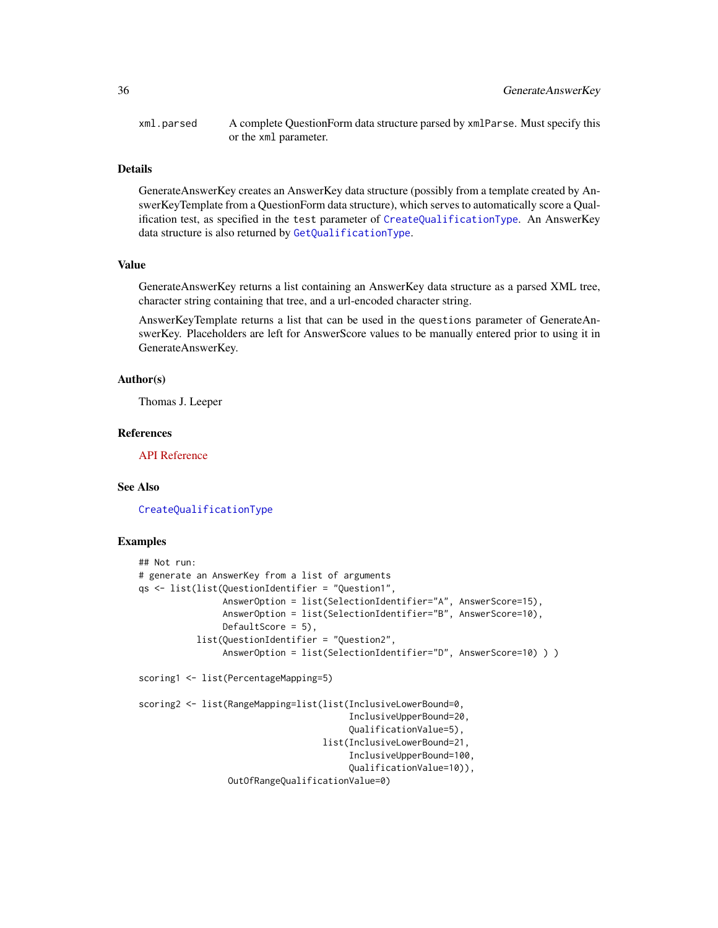xml.parsed A complete QuestionForm data structure parsed by xmlParse. Must specify this or the xml parameter.

#### Details

GenerateAnswerKey creates an AnswerKey data structure (possibly from a template created by AnswerKeyTemplate from a QuestionForm data structure), which serves to automatically score a Qualification test, as specified in the test parameter of [CreateQualificationType](#page-22-1). An AnswerKey data structure is also returned by [GetQualificationType](#page-63-1).

#### Value

GenerateAnswerKey returns a list containing an AnswerKey data structure as a parsed XML tree, character string containing that tree, and a url-encoded character string.

AnswerKeyTemplate returns a list that can be used in the questions parameter of GenerateAnswerKey. Placeholders are left for AnswerScore values to be manually entered prior to using it in GenerateAnswerKey.

#### Author(s)

Thomas J. Leeper

# References

[API Reference](http://docs.amazonwebservices.com/AWSMechTurk/latest/AWSMturkAPI/ApiReference_AnswerKeyDataStructureArticle.html)

#### See Also

[CreateQualificationType](#page-22-1)

#### Examples

```
## Not run:
# generate an AnswerKey from a list of arguments
qs <- list(list(QuestionIdentifier = "Question1",
                AnswerOption = list(SelectionIdentifier="A", AnswerScore=15),
                AnswerOption = list(SelectionIdentifier="B", AnswerScore=10),
                DefaultScore = 5),
           list(QuestionIdentifier = "Question2",
                AnswerOption = list(SelectionIdentifier="D", AnswerScore=10) ) )
scoring1 <- list(PercentageMapping=5)
scoring2 <- list(RangeMapping=list(list(InclusiveLowerBound=0,
                                        InclusiveUpperBound=20,
                                        QualificationValue=5),
                                   list(InclusiveLowerBound=21,
                                        InclusiveUpperBound=100,
                                        QualificationValue=10)),
                 OutOfRangeQualificationValue=0)
```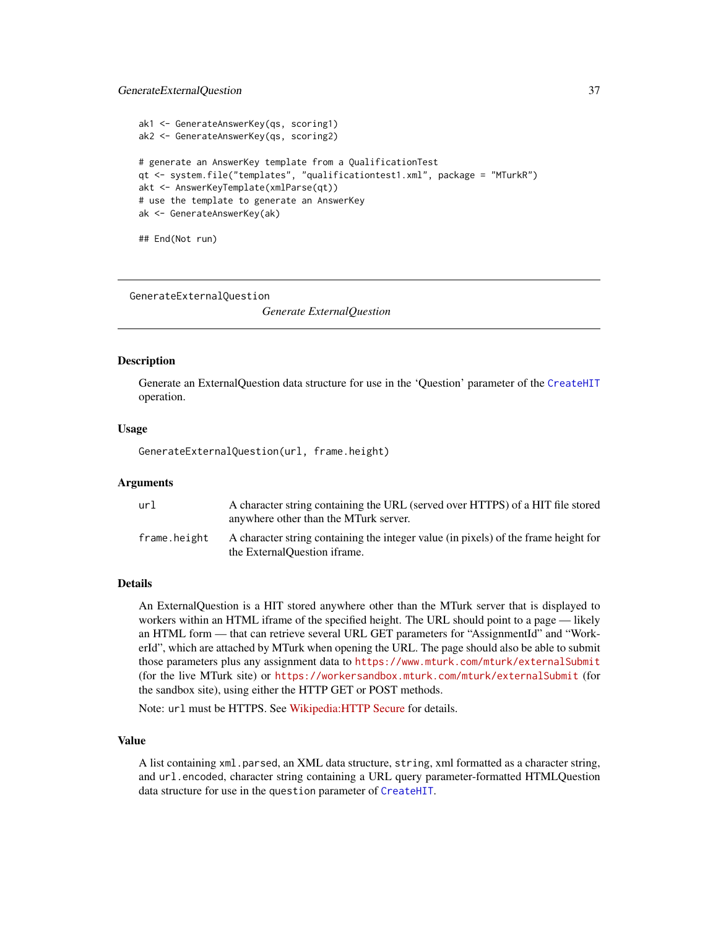### GenerateExternalQuestion 37

```
ak1 <- GenerateAnswerKey(qs, scoring1)
ak2 <- GenerateAnswerKey(qs, scoring2)
# generate an AnswerKey template from a QualificationTest
qt <- system.file("templates", "qualificationtest1.xml", package = "MTurkR")
akt <- AnswerKeyTemplate(xmlParse(qt))
# use the template to generate an AnswerKey
ak <- GenerateAnswerKey(ak)
```
## End(Not run)

<span id="page-36-0"></span>GenerateExternalQuestion

*Generate ExternalQuestion*

### Description

Generate an ExternalQuestion data structure for use in the 'Question' parameter of the [CreateHIT](#page-19-0) operation.

#### Usage

GenerateExternalQuestion(url, frame.height)

# Arguments

| url          | A character string containing the URL (served over HTTPS) of a HIT file stored<br>anywhere other than the MTurk server. |
|--------------|-------------------------------------------------------------------------------------------------------------------------|
| frame.height | A character string containing the integer value (in pixels) of the frame height for<br>the External Question if rame.   |

#### Details

An ExternalQuestion is a HIT stored anywhere other than the MTurk server that is displayed to workers within an HTML iframe of the specified height. The URL should point to a page — likely an HTML form — that can retrieve several URL GET parameters for "AssignmentId" and "WorkerId", which are attached by MTurk when opening the URL. The page should also be able to submit those parameters plus any assignment data to <https://www.mturk.com/mturk/externalSubmit> (for the live MTurk site) or <https://workersandbox.mturk.com/mturk/externalSubmit> (for the sandbox site), using either the HTTP GET or POST methods.

Note: url must be HTTPS. See [Wikipedia:HTTP Secure](http://en.wikipedia.org/wiki/HTTP_Secure) for details.

# Value

A list containing xml.parsed, an XML data structure, string, xml formatted as a character string, and url.encoded, character string containing a URL query parameter-formatted HTMLQuestion data structure for use in the question parameter of [CreateHIT](#page-19-0).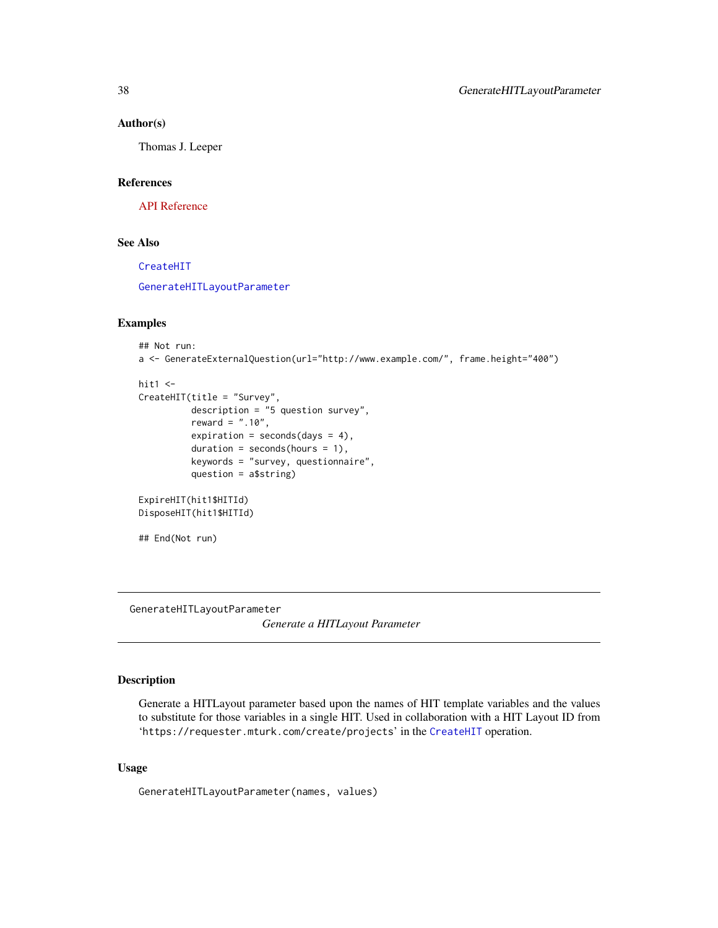### Author(s)

Thomas J. Leeper

### References

[API Reference](http://docs.amazonwebservices.com/AWSMechTurk/latest/AWSMturkAPI/ApiReference_ExternalQuestionArticle.html)

# See Also

[CreateHIT](#page-19-0)

[GenerateHITLayoutParameter](#page-37-0)

# Examples

```
## Not run:
a <- GenerateExternalQuestion(url="http://www.example.com/", frame.height="400")
```

```
hit1 < -CreateHIT(title = "Survey",
          description = "5 question survey",
          reward = " . 10",expiration = seconds(days = 4),
          duration = seconds(hours = 1),
          keywords = "survey, questionnaire",
          question = a$string)
ExpireHIT(hit1$HITId)
DisposeHIT(hit1$HITId)
```

```
## End(Not run)
```
<span id="page-37-0"></span>GenerateHITLayoutParameter

*Generate a HITLayout Parameter*

# Description

Generate a HITLayout parameter based upon the names of HIT template variables and the values to substitute for those variables in a single HIT. Used in collaboration with a HIT Layout ID from 'https://requester.mturk.com/create/projects' in the [CreateHIT](#page-19-0) operation.

# Usage

GenerateHITLayoutParameter(names, values)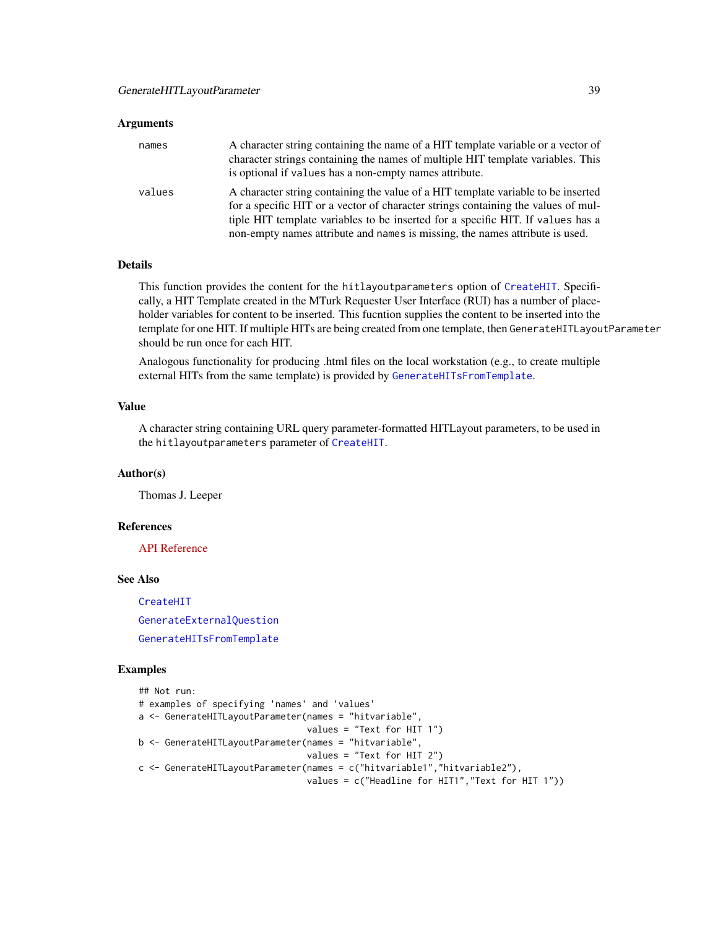### **Arguments**

| names  | A character string containing the name of a HIT template variable or a vector of<br>character strings containing the names of multiple HIT template variables. This<br>is optional if values has a non-empty names attribute.                                                                                                             |
|--------|-------------------------------------------------------------------------------------------------------------------------------------------------------------------------------------------------------------------------------------------------------------------------------------------------------------------------------------------|
| values | A character string containing the value of a HIT template variable to be inserted<br>for a specific HIT or a vector of character strings containing the values of mul-<br>tiple HIT template variables to be inserted for a specific HIT. If values has a<br>non-empty names attribute and names is missing, the names attribute is used. |

# Details

This function provides the content for the hitlayoutparameters option of [CreateHIT](#page-19-0). Specifically, a HIT Template created in the MTurk Requester User Interface (RUI) has a number of placeholder variables for content to be inserted. This fucntion supplies the content to be inserted into the template for one HIT. If multiple HITs are being created from one template, then GenerateHITLayoutParameter should be run once for each HIT.

Analogous functionality for producing .html files on the local workstation (e.g., to create multiple external HITs from the same template) is provided by [GenerateHITsFromTemplate](#page-39-0).

# Value

A character string containing URL query parameter-formatted HITLayout parameters, to be used in the hitlayoutparameters parameter of [CreateHIT](#page-19-0).

### Author(s)

Thomas J. Leeper

### References

[API Reference](http://docs.amazonwebservices.com/AWSMechTurk/latest/AWSMturkAPI/ApiReference_HITLayoutArticle.html)

### See Also

[CreateHIT](#page-19-0) [GenerateExternalQuestion](#page-36-0) [GenerateHITsFromTemplate](#page-39-0)

#### Examples

```
## Not run:
# examples of specifying 'names' and 'values'
a <- GenerateHITLayoutParameter(names = "hitvariable",
                                values = "Text for HIT 1")
b <- GenerateHITLayoutParameter(names = "hitvariable",
                                values = "Text for HIT 2")
c <- GenerateHITLayoutParameter(names = c("hitvariable1","hitvariable2"),
                                values = c("Headline for HIT1","Text for HIT 1"))
```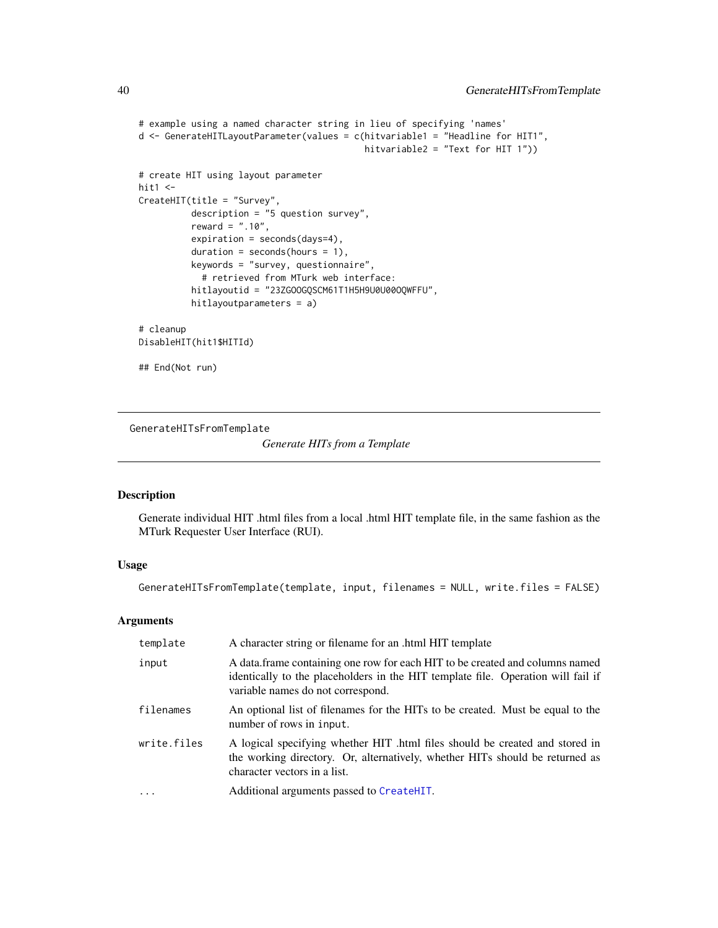```
# example using a named character string in lieu of specifying 'names'
d <- GenerateHITLayoutParameter(values = c(hitvariable1 = "Headline for HIT1",
                                            hitvariable2 = "Text for HIT 1"))
# create HIT using layout parameter
hit1 \leftarrowCreateHIT(title = "Survey",
          description = "5 question survey",
          reward = ".10",
          expiration = seconds(days=4),
          duration = seconds(hours = 1),
          keywords = "survey, questionnaire",
            # retrieved from MTurk web interface:
          hitlayoutid = "23ZGOOGQSCM61T1H5H9U0U00OQWFFU",
          hitlayoutparameters = a)
# cleanup
DisableHIT(hit1$HITId)
## End(Not run)
```
<span id="page-39-0"></span>GenerateHITsFromTemplate

*Generate HITs from a Template*

# Description

Generate individual HIT .html files from a local .html HIT template file, in the same fashion as the MTurk Requester User Interface (RUI).

### Usage

```
GenerateHITsFromTemplate(template, input, filenames = NULL, write.files = FALSE)
```
### Arguments

| template    | A character string or filename for an .html HIT template                                                                                                                                              |
|-------------|-------------------------------------------------------------------------------------------------------------------------------------------------------------------------------------------------------|
| input       | A data frame containing one row for each HIT to be created and columns named<br>identically to the placeholders in the HIT template file. Operation will fail if<br>variable names do not correspond. |
| filenames   | An optional list of filenames for the HITs to be created. Must be equal to the<br>number of rows in input.                                                                                            |
| write.files | A logical specifying whether HIT .html files should be created and stored in<br>the working directory. Or, alternatively, whether HITs should be returned as<br>character vectors in a list.          |
|             | Additional arguments passed to CreateHIT.                                                                                                                                                             |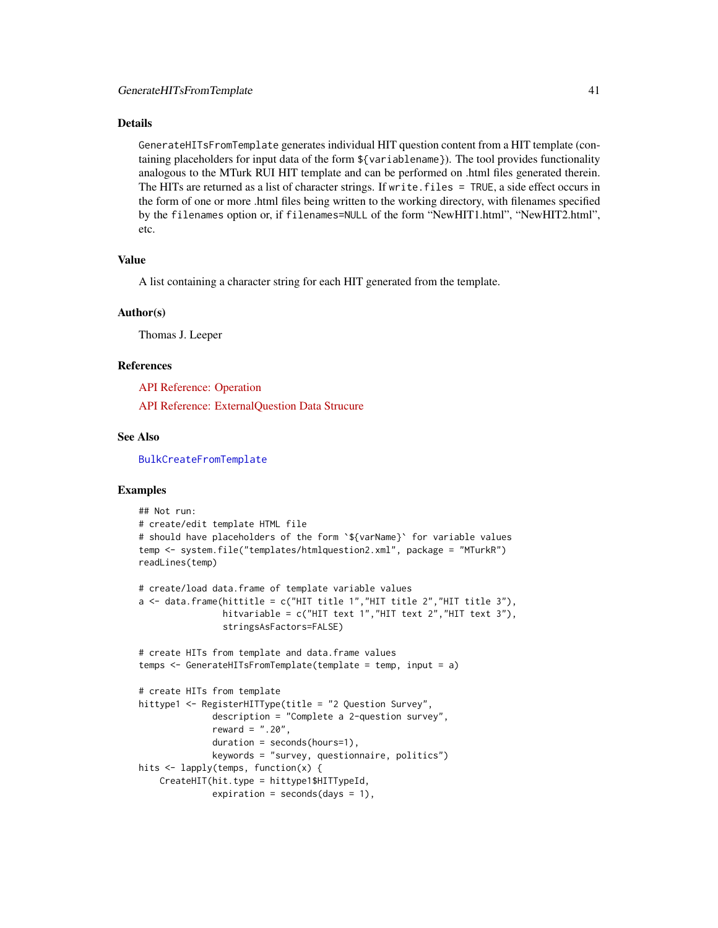### Details

GenerateHITsFromTemplate generates individual HIT question content from a HIT template (containing placeholders for input data of the form \${variablename}). The tool provides functionality analogous to the MTurk RUI HIT template and can be performed on .html files generated therein. The HITs are returned as a list of character strings. If write.files = TRUE, a side effect occurs in the form of one or more .html files being written to the working directory, with filenames specified by the filenames option or, if filenames=NULL of the form "NewHIT1.html", "NewHIT2.html", etc.

### Value

A list containing a character string for each HIT generated from the template.

### Author(s)

Thomas J. Leeper

### References

[API Reference: Operation](http://docs.amazonwebservices.com/AWSMechTurk/latest/RequesterUI/CreatingaHITTemplate.html)

[API Reference: ExternalQuestion Data Strucure](http://docs.amazonwebservices.com/AWSMechTurk/latest/AWSMturkAPI/ApiReference_ExternalQuestionArticle.html)

# See Also

[BulkCreateFromTemplate](#page-10-0)

### Examples

```
## Not run:
# create/edit template HTML file
# should have placeholders of the form `${varName}` for variable values
temp <- system.file("templates/htmlquestion2.xml", package = "MTurkR")
readLines(temp)
# create/load data.frame of template variable values
a \leftarrow data. frame(hittitle = c("HIT title 1", "HIT title 2", "HIT title 3"),
                hitvariable = c("HIT text 1","HIT text 2","HIT text 3"),
                stringsAsFactors=FALSE)
# create HITs from template and data.frame values
temps <- GenerateHITsFromTemplate(template = temp, input = a)
# create HITs from template
hittype1 <- RegisterHITType(title = "2 Question Survey",
              description = "Complete a 2-question survey",
              reward = ".20",duration = seconds(hours=1),
              keywords = "survey, questionnaire, politics")
hits <- lapply(temps, function(x) {
    CreateHIT(hit.type = hittype1$HITTypeId,
              expiration = seconds(days = 1),
```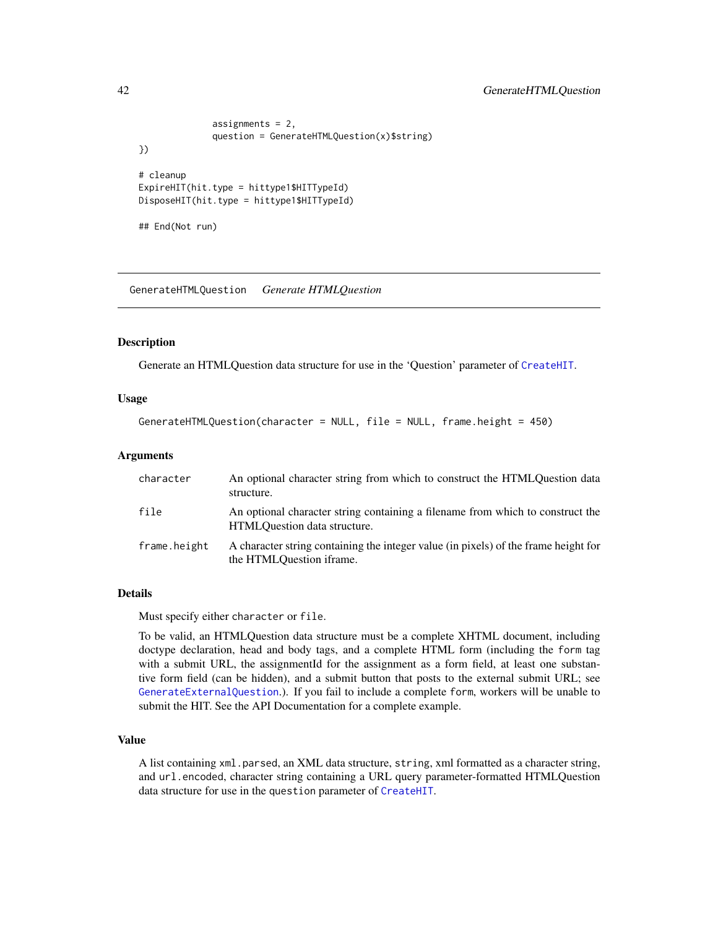```
assignments = 2,
              question = GenerateHTMLQuestion(x)$string)
})
# cleanup
ExpireHIT(hit.type = hittype1$HITTypeId)
DisposeHIT(hit.type = hittype1$HITTypeId)
## End(Not run)
```
GenerateHTMLQuestion *Generate HTMLQuestion*

### Description

Generate an HTMLQuestion data structure for use in the 'Question' parameter of [CreateHIT](#page-19-0).

### Usage

```
GenerateHTMLQuestion(character = NULL, file = NULL, frame.height = 450)
```
### Arguments

| character    | An optional character string from which to construct the HTMLQuestion data<br>structure.                        |
|--------------|-----------------------------------------------------------------------------------------------------------------|
| file         | An optional character string containing a filename from which to construct the<br>HTMLOuestion data structure.  |
| frame.height | A character string containing the integer value (in pixels) of the frame height for<br>the HTMLOuestion iframe. |

### Details

Must specify either character or file.

To be valid, an HTMLQuestion data structure must be a complete XHTML document, including doctype declaration, head and body tags, and a complete HTML form (including the form tag with a submit URL, the assignmentId for the assignment as a form field, at least one substantive form field (can be hidden), and a submit button that posts to the external submit URL; see [GenerateExternalQuestion](#page-36-0).). If you fail to include a complete form, workers will be unable to submit the HIT. See the API Documentation for a complete example.

# Value

A list containing xml.parsed, an XML data structure, string, xml formatted as a character string, and url.encoded, character string containing a URL query parameter-formatted HTMLQuestion data structure for use in the question parameter of [CreateHIT](#page-19-0).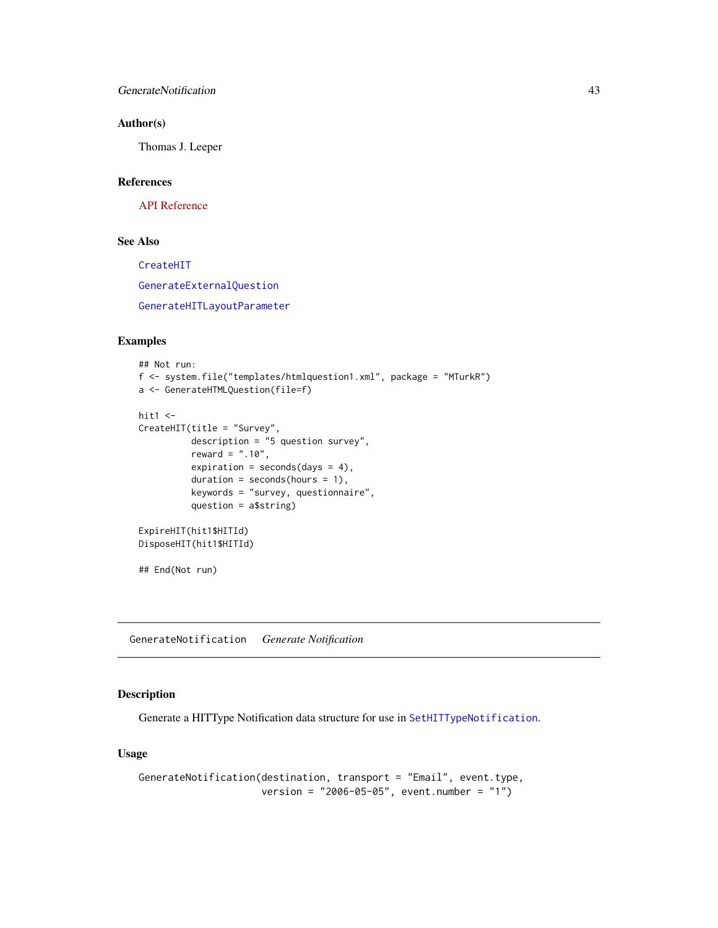# GenerateNotification 43

# Author(s)

Thomas J. Leeper

### References

[API Reference](http://docs.amazonwebservices.com/AWSMechTurk/latest/AWSMturkAPI/ApiReference_HTMLQuestionArticle.html)

# See Also

[CreateHIT](#page-19-0) [GenerateExternalQuestion](#page-36-0) [GenerateHITLayoutParameter](#page-37-0)

# Examples

```
## Not run:
f <- system.file("templates/htmlquestion1.xml", package = "MTurkR")
a <- GenerateHTMLQuestion(file=f)
hit1 < -CreateHIT(title = "Survey",
          description = "5 question survey",
          reward = ".10",expiration = seconds(days = 4),
          duration = seconds(hours = 1),
          keywords = "survey, questionnaire",
          question = a$string)
ExpireHIT(hit1$HITId)
DisposeHIT(hit1$HITId)
## End(Not run)
```
GenerateNotification *Generate Notification*

# Description

Generate a HITType Notification data structure for use in [SetHITTypeNotification](#page-91-0).

# Usage

```
GenerateNotification(destination, transport = "Email", event.type,
                     version = "2006-05-05", event.number = "1")
```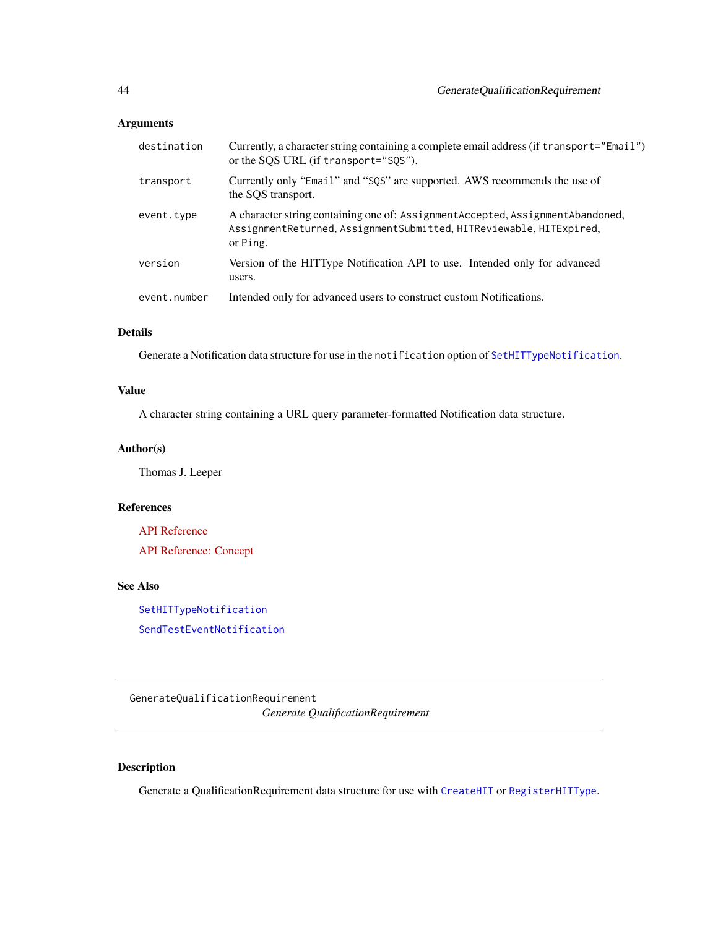# Arguments

| destination  | Currently, a character string containing a complete email address (if transport="Email")<br>or the SQS URL (if transport="SQS").                                    |
|--------------|---------------------------------------------------------------------------------------------------------------------------------------------------------------------|
| transport    | Currently only "Email" and "SQS" are supported. AWS recommends the use of<br>the SOS transport.                                                                     |
| event.type   | A character string containing one of: Assignment Accepted, Assignment Abandoned,<br>AssignmentReturned, AssignmentSubmitted, HITReviewable, HITExpired,<br>or Ping. |
| version      | Version of the HITType Notification API to use. Intended only for advanced<br>users.                                                                                |
| event.number | Intended only for advanced users to construct custom Notifications.                                                                                                 |
|              |                                                                                                                                                                     |

# Details

Generate a Notification data structure for use in the notification option of [SetHITTypeNotification](#page-91-0).

# Value

A character string containing a URL query parameter-formatted Notification data structure.

### Author(s)

Thomas J. Leeper

### References

[API Reference](http://docs.amazonwebservices.com/AWSMechTurk/latest/AWSMturkAPI/ApiReference_NotificationDataStructureArticle.html)

[API Reference: Concept](http://docs.amazonwebservices.com/AWSMechTurk/latest/AWSMechanicalTurkRequester/Concepts_NotificationsArticle.html)

# See Also

[SetHITTypeNotification](#page-91-0) [SendTestEventNotification](#page-88-0)

GenerateQualificationRequirement

*Generate QualificationRequirement*

# Description

Generate a QualificationRequirement data structure for use with [CreateHIT](#page-19-0) or [RegisterHITType](#page-78-0).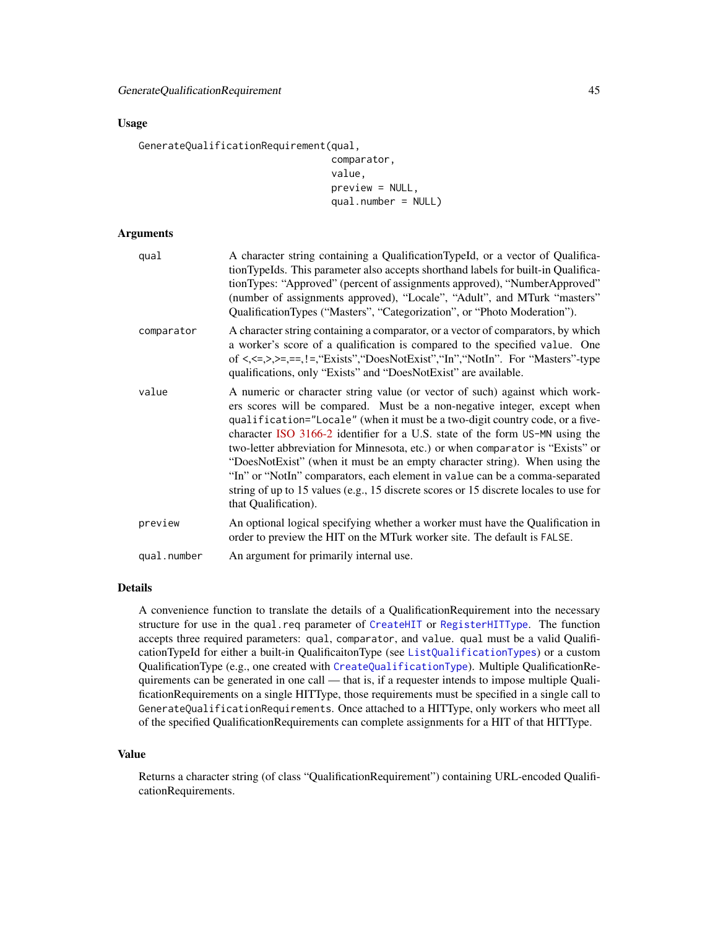### Usage

GenerateQualificationRequirement(qual,

```
comparator,
value,
preview = NULL,
qual.number = NULL)
```
### Arguments

| qual        | A character string containing a QualificationTypeId, or a vector of Qualifica-<br>tionTypeIds. This parameter also accepts shorthand labels for built-in Qualifica-<br>tionTypes: "Approved" (percent of assignments approved), "NumberApproved"<br>(number of assignments approved), "Locale", "Adult", and MTurk "masters"<br>QualificationTypes ("Masters", "Categorization", or "Photo Moderation").                                                                                                                                                                                                                                                                                |
|-------------|-----------------------------------------------------------------------------------------------------------------------------------------------------------------------------------------------------------------------------------------------------------------------------------------------------------------------------------------------------------------------------------------------------------------------------------------------------------------------------------------------------------------------------------------------------------------------------------------------------------------------------------------------------------------------------------------|
| comparator  | A character string containing a comparator, or a vector of comparators, by which<br>a worker's score of a qualification is compared to the specified value. One<br>of $\langle \langle \langle \langle \rangle \rangle \rangle =, \langle \langle \rangle \rangle =, \langle \langle \rangle \rangle =$ "Exists", "DoesNotExist", "In", "NotIn". For "Masters"-type<br>qualifications, only "Exists" and "DoesNotExist" are available.                                                                                                                                                                                                                                                  |
| value       | A numeric or character string value (or vector of such) against which work-<br>ers scores will be compared. Must be a non-negative integer, except when<br>qualification="Locale" (when it must be a two-digit country code, or a five-<br>character ISO 3166-2 identifier for a U.S. state of the form US-MN using the<br>two-letter abbreviation for Minnesota, etc.) or when comparator is "Exists" or<br>"DoesNotExist" (when it must be an empty character string). When using the<br>"In" or "NotIn" comparators, each element in value can be a comma-separated<br>string of up to 15 values (e.g., 15 discrete scores or 15 discrete locales to use for<br>that Qualification). |
| preview     | An optional logical specifying whether a worker must have the Qualification in<br>order to preview the HIT on the MTurk worker site. The default is FALSE.                                                                                                                                                                                                                                                                                                                                                                                                                                                                                                                              |
| qual.number | An argument for primarily internal use.                                                                                                                                                                                                                                                                                                                                                                                                                                                                                                                                                                                                                                                 |

# Details

A convenience function to translate the details of a QualificationRequirement into the necessary structure for use in the qual.req parameter of [CreateHIT](#page-19-0) or [RegisterHITType](#page-78-0). The function accepts three required parameters: qual, comparator, and value. qual must be a valid QualificationTypeId for either a built-in QualificaitonType (see [ListQualificationTypes](#page-72-0)) or a custom QualificationType (e.g., one created with [CreateQualificationType](#page-22-0)). Multiple QualificationRequirements can be generated in one call — that is, if a requester intends to impose multiple QualificationRequirements on a single HITType, those requirements must be specified in a single call to GenerateQualificationRequirements. Once attached to a HITType, only workers who meet all of the specified QualificationRequirements can complete assignments for a HIT of that HITType.

#### Value

Returns a character string (of class "QualificationRequirement") containing URL-encoded QualificationRequirements.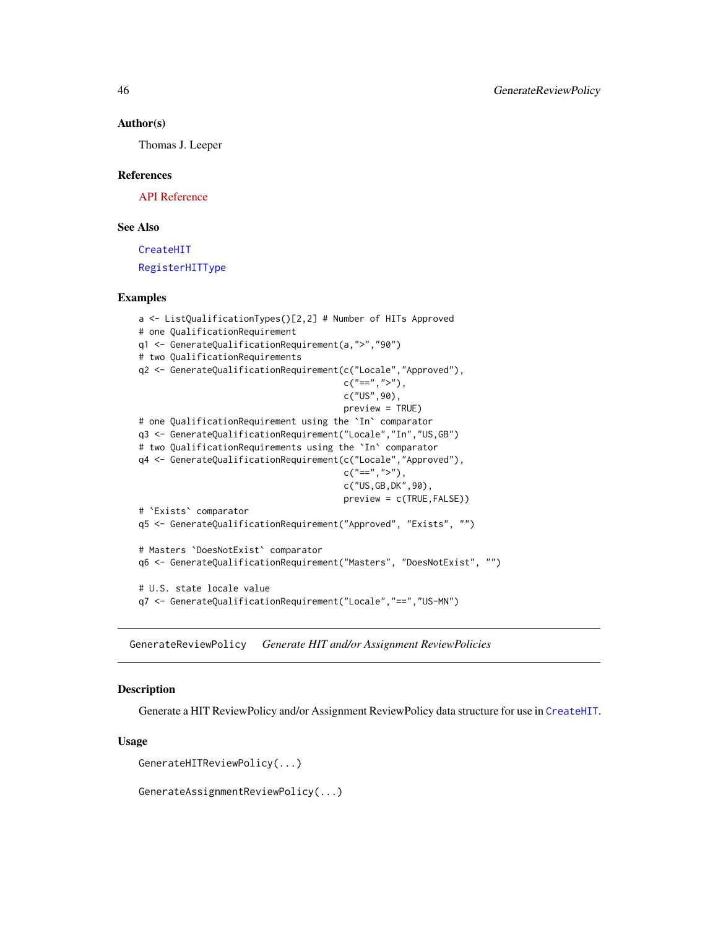### Author(s)

Thomas J. Leeper

### References

[API Reference](http://docs.amazonwebservices.com/AWSMechTurk/latest/AWSMturkAPI/ApiReference_QualificationRequirementDataStructureArticle.html)

# See Also

[CreateHIT](#page-19-0) [RegisterHITType](#page-78-0)

### Examples

```
a <- ListQualificationTypes()[2,2] # Number of HITs Approved
# one QualificationRequirement
q1 <- GenerateQualificationRequirement(a,">","90")
# two QualificationRequirements
q2 <- GenerateQualificationRequirement(c("Locale","Approved"),
                                       c("==", ">"),
                                       c("US",90),
                                       preview = TRUE)
# one QualificationRequirement using the `In` comparator
q3 <- GenerateQualificationRequirement("Locale","In","US,GB")
# two QualificationRequirements using the `In` comparator
q4 <- GenerateQualificationRequirement(c("Locale","Approved"),
                                       c("==", ">"),
                                       c("US,GB,DK",90),
                                       preview = c(TRUE,FALSE))
# `Exists` comparator
q5 <- GenerateQualificationRequirement("Approved", "Exists", "")
# Masters `DoesNotExist` comparator
q6 <- GenerateQualificationRequirement("Masters", "DoesNotExist", "")
# U.S. state locale value
q7 <- GenerateQualificationRequirement("Locale","==","US-MN")
```
GenerateReviewPolicy *Generate HIT and/or Assignment ReviewPolicies*

### <span id="page-45-0"></span>Description

Generate a HIT ReviewPolicy and/or Assignment ReviewPolicy data structure for use in [CreateHIT](#page-19-0).

#### Usage

GenerateHITReviewPolicy(...)

GenerateAssignmentReviewPolicy(...)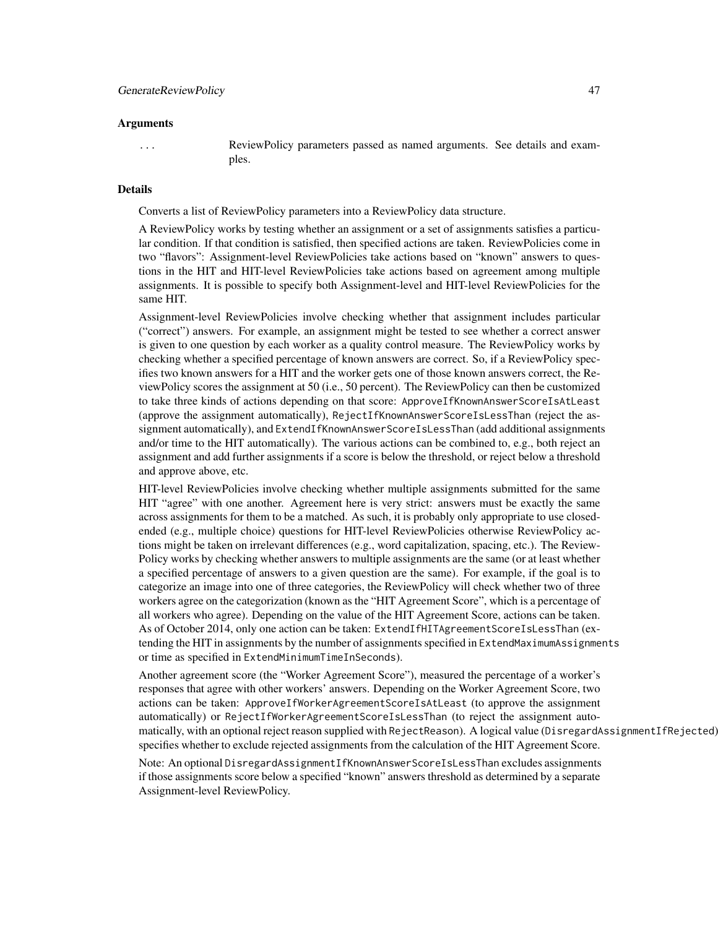#### Arguments

... ReviewPolicy parameters passed as named arguments. See details and examples.

### Details

Converts a list of ReviewPolicy parameters into a ReviewPolicy data structure.

A ReviewPolicy works by testing whether an assignment or a set of assignments satisfies a particular condition. If that condition is satisfied, then specified actions are taken. ReviewPolicies come in two "flavors": Assignment-level ReviewPolicies take actions based on "known" answers to questions in the HIT and HIT-level ReviewPolicies take actions based on agreement among multiple assignments. It is possible to specify both Assignment-level and HIT-level ReviewPolicies for the same HIT.

Assignment-level ReviewPolicies involve checking whether that assignment includes particular ("correct") answers. For example, an assignment might be tested to see whether a correct answer is given to one question by each worker as a quality control measure. The ReviewPolicy works by checking whether a specified percentage of known answers are correct. So, if a ReviewPolicy specifies two known answers for a HIT and the worker gets one of those known answers correct, the ReviewPolicy scores the assignment at 50 (i.e., 50 percent). The ReviewPolicy can then be customized to take three kinds of actions depending on that score: ApproveIfKnownAnswerScoreIsAtLeast (approve the assignment automatically), RejectIfKnownAnswerScoreIsLessThan (reject the assignment automatically), and ExtendIfKnownAnswerScoreIsLessThan (add additional assignments and/or time to the HIT automatically). The various actions can be combined to, e.g., both reject an assignment and add further assignments if a score is below the threshold, or reject below a threshold and approve above, etc.

HIT-level ReviewPolicies involve checking whether multiple assignments submitted for the same HIT "agree" with one another. Agreement here is very strict: answers must be exactly the same across assignments for them to be a matched. As such, it is probably only appropriate to use closedended (e.g., multiple choice) questions for HIT-level ReviewPolicies otherwise ReviewPolicy actions might be taken on irrelevant differences (e.g., word capitalization, spacing, etc.). The Review-Policy works by checking whether answers to multiple assignments are the same (or at least whether a specified percentage of answers to a given question are the same). For example, if the goal is to categorize an image into one of three categories, the ReviewPolicy will check whether two of three workers agree on the categorization (known as the "HIT Agreement Score", which is a percentage of all workers who agree). Depending on the value of the HIT Agreement Score, actions can be taken. As of October 2014, only one action can be taken: ExtendIfHITAgreementScoreIsLessThan (extending the HIT in assignments by the number of assignments specified in ExtendMaximumAssignments or time as specified in ExtendMinimumTimeInSeconds).

Another agreement score (the "Worker Agreement Score"), measured the percentage of a worker's responses that agree with other workers' answers. Depending on the Worker Agreement Score, two actions can be taken: ApproveIfWorkerAgreementScoreIsAtLeast (to approve the assignment automatically) or RejectIfWorkerAgreementScoreIsLessThan (to reject the assignment automatically, with an optional reject reason supplied with RejectReason). A logical value (DisregardAssignmentIfRejected) specifies whether to exclude rejected assignments from the calculation of the HIT Agreement Score.

Note: An optional DisregardAssignmentIfKnownAnswerScoreIsLessThan excludes assignments if those assignments score below a specified "known" answers threshold as determined by a separate Assignment-level ReviewPolicy.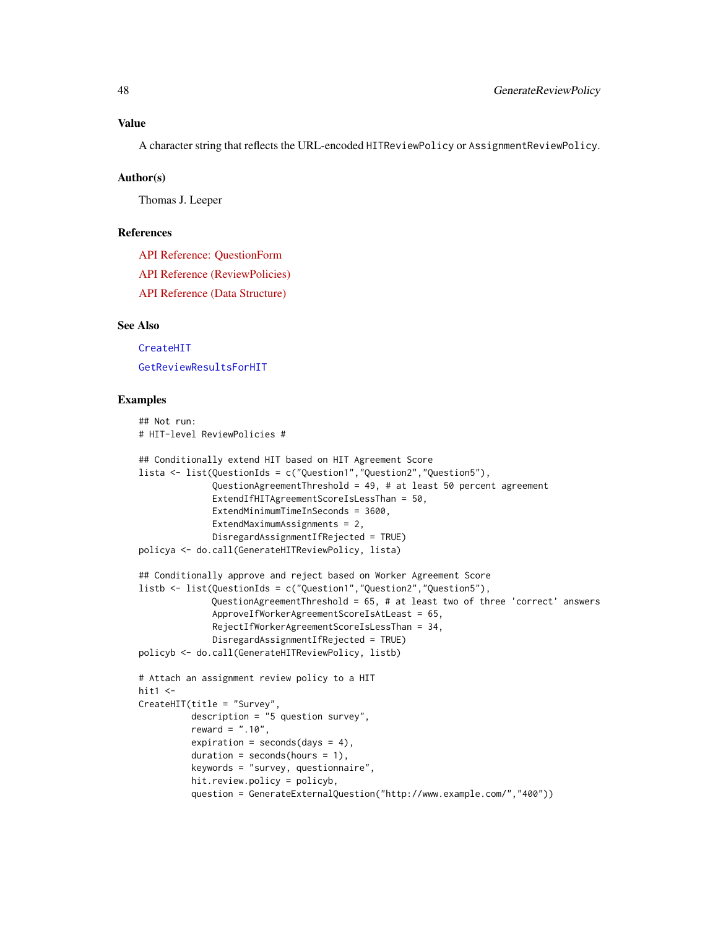A character string that reflects the URL-encoded HITReviewPolicy or AssignmentReviewPolicy.

#### Author(s)

Thomas J. Leeper

# References

[API Reference: QuestionForm](http://docs.amazonwebservices.com/AWSMechTurk/latest/AWSMturkAPI/ApiReference_QuestionFormDataStructureArticle.html) [API Reference \(ReviewPolicies\)](http://docs.amazonwebservices.com/AWSMechTurk/latest/AWSMturkAPI/ApiReference_ReviewPoliciesArticle.html) [API Reference \(Data Structure\)](http://docs.amazonwebservices.com/AWSMechTurk/latest/AWSMturkAPI/ApiReference_HITReviewPolicyDataStructureArticle.html)

## See Also

[CreateHIT](#page-19-0) [GetReviewResultsForHIT](#page-65-0)

# Examples

```
## Not run:
# HIT-level ReviewPolicies #
## Conditionally extend HIT based on HIT Agreement Score
lista <- list(QuestionIds = c("Question1","Question2","Question5"),
              QuestionAgreementThreshold = 49, # at least 50 percent agreement
              ExtendIfHITAgreementScoreIsLessThan = 50,
             ExtendMinimumTimeInSeconds = 3600,
             ExtendMaximumAssignments = 2,
              DisregardAssignmentIfRejected = TRUE)
policya <- do.call(GenerateHITReviewPolicy, lista)
## Conditionally approve and reject based on Worker Agreement Score
listb <- list(QuestionIds = c("Question1","Question2","Question5"),
             QuestionAgreementThreshold = 65, # at least two of three 'correct' answers
              ApproveIfWorkerAgreementScoreIsAtLeast = 65,
              RejectIfWorkerAgreementScoreIsLessThan = 34,
              DisregardAssignmentIfRejected = TRUE)
policyb <- do.call(GenerateHITReviewPolicy, listb)
# Attach an assignment review policy to a HIT
hit1 <-
CreateHIT(title = "Survey",
          description = "5 question survey",
          reward = ".10",expiration = seconds(days = 4),
          duration = seconds(hours = 1),
          keywords = "survey, questionnaire",
          hit.review.policy = policyb,
          question = GenerateExternalQuestion("http://www.example.com/","400"))
```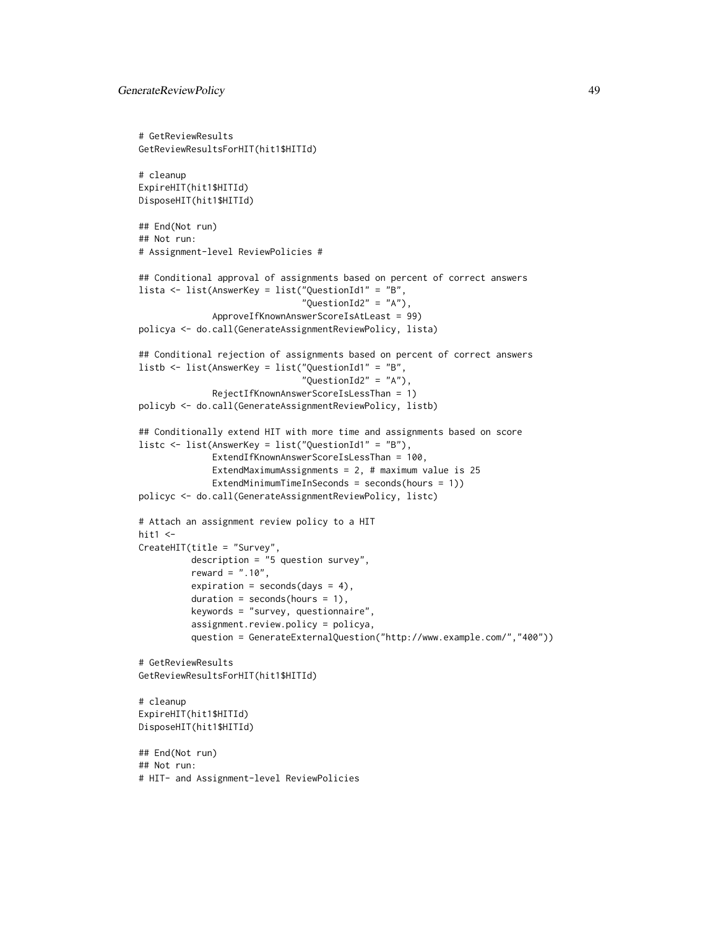```
# GetReviewResults
GetReviewResultsForHIT(hit1$HITId)
# cleanup
ExpireHIT(hit1$HITId)
DisposeHIT(hit1$HITId)
## End(Not run)
## Not run:
# Assignment-level ReviewPolicies #
## Conditional approval of assignments based on percent of correct answers
lista <- list(AnswerKey = list("QuestionId1" = "B",
                               "QuestionId2" = "A"),
              ApproveIfKnownAnswerScoreIsAtLeast = 99)
policya <- do.call(GenerateAssignmentReviewPolicy, lista)
## Conditional rejection of assignments based on percent of correct answers
listb <- list(AnswerKey = list("QuestionId1" = "B",
                               "QuestionId2" = "A"),
              RejectIfKnownAnswerScoreIsLessThan = 1)
policyb <- do.call(GenerateAssignmentReviewPolicy, listb)
## Conditionally extend HIT with more time and assignments based on score
listc <- list(AnswerKey = list("QuestionId1" = "B"),
              ExtendIfKnownAnswerScoreIsLessThan = 100,
              ExtendMaximumAssignments = 2, # maximum value is 25
              ExtendMinimumTimeInSeconds = seconds(hours = 1))
policyc <- do.call(GenerateAssignmentReviewPolicy, listc)
# Attach an assignment review policy to a HIT
hit1 <-CreateHIT(title = "Survey",
          description = "5 question survey",
          reward = ".10",expiration = seconds(days = 4),
          duration = seconds(hours = 1),
          keywords = "survey, questionnaire",
          assignment.review.policy = policya,
          question = GenerateExternalQuestion("http://www.example.com/","400"))
# GetReviewResults
GetReviewResultsForHIT(hit1$HITId)
# cleanup
ExpireHIT(hit1$HITId)
DisposeHIT(hit1$HITId)
## End(Not run)
## Not run:
# HIT- and Assignment-level ReviewPolicies
```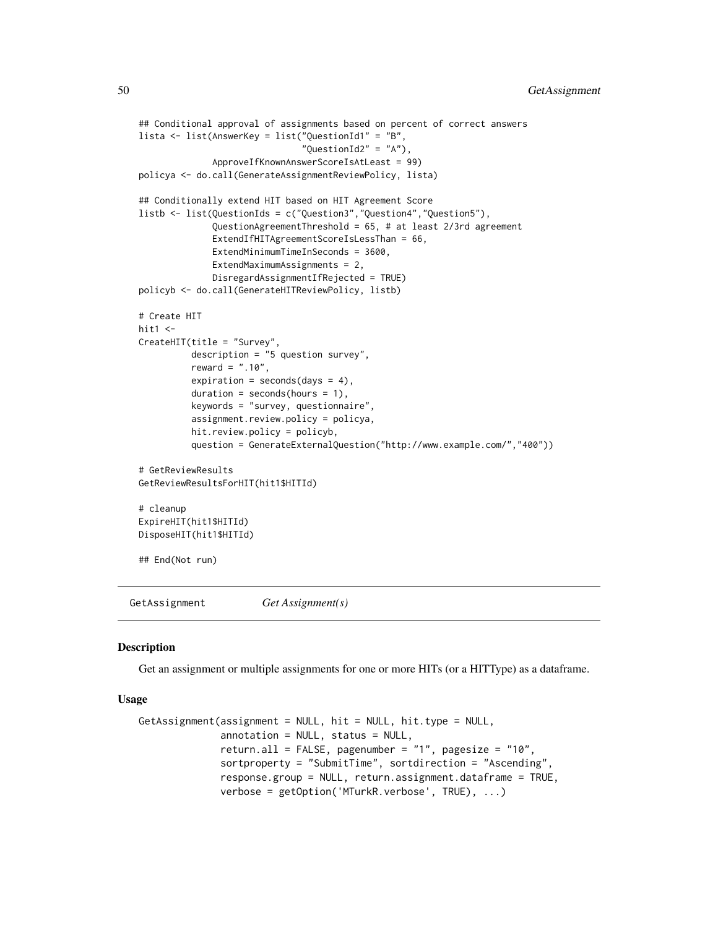```
## Conditional approval of assignments based on percent of correct answers
lista <- list(AnswerKey = list("QuestionId1" = "B",
                               "QuestionId2" = "A"),
              ApproveIfKnownAnswerScoreIsAtLeast = 99)
policya <- do.call(GenerateAssignmentReviewPolicy, lista)
## Conditionally extend HIT based on HIT Agreement Score
listb <- list(QuestionIds = c("Question3","Question4","Question5"),
              QuestionAgreementThreshold = 65, # at least 2/3rd agreement
              ExtendIfHITAgreementScoreIsLessThan = 66,
              ExtendMinimumTimeInSeconds = 3600,
              ExtendMaximumAssignments = 2,
              DisregardAssignmentIfRejected = TRUE)
policyb <- do.call(GenerateHITReviewPolicy, listb)
# Create HIT
hit1 < -CreateHIT(title = "Survey",
          description = "5 question survey",
          reward = " . 10",
          expiration = seconds(days = 4),
          duration = seconds(hours = 1),
          keywords = "survey, questionnaire",
          assignment.review.policy = policya,
          hit.review.policy = policyb,
          question = GenerateExternalQuestion("http://www.example.com/","400"))
# GetReviewResults
GetReviewResultsForHIT(hit1$HITId)
# cleanup
ExpireHIT(hit1$HITId)
DisposeHIT(hit1$HITId)
## End(Not run)
```
GetAssignment *Get Assignment(s)*

### Description

Get an assignment or multiple assignments for one or more HITs (or a HITType) as a dataframe.

### Usage

```
GetAssignment(assignment = NULL, hit = NULL, hit.type = NULL,
              annotation = NULL, status = NULL,
              return.all = FALSE, pagenumber = "1", pagesize = "10",
              sortproperty = "SubmitTime", sortdirection = "Ascending",
              response.group = NULL, return.assignment.dataframe = TRUE,
              verbose = getOption('MTurkR.verbose', TRUE), ...)
```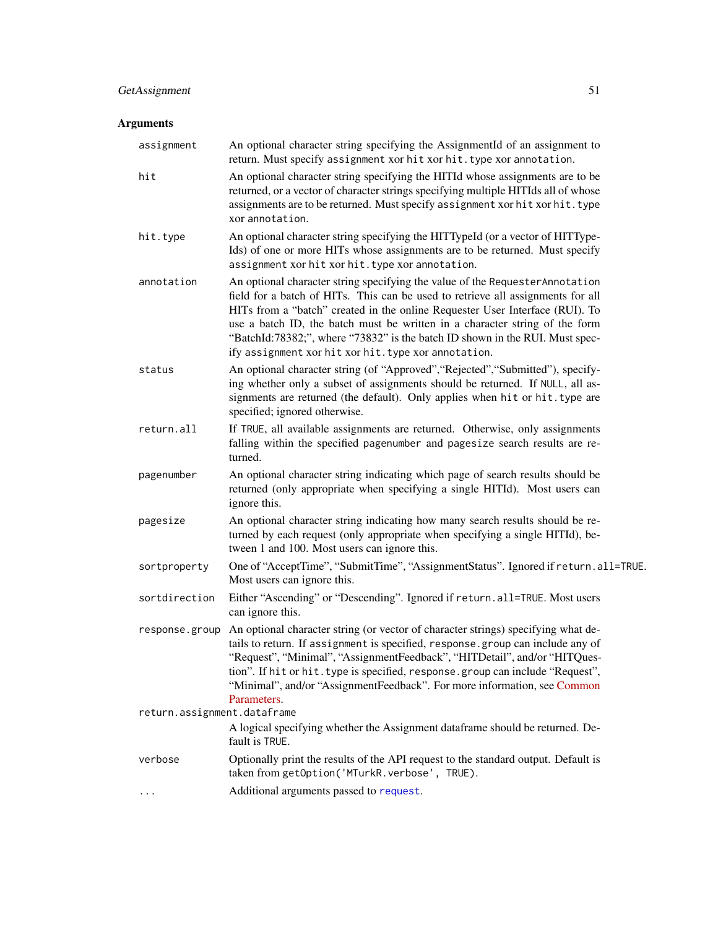# GetAssignment 51

# Arguments

| An optional character string specifying the AssignmentId of an assignment to<br>return. Must specify assignment xor hit xor hit. type xor annotation.                                                                                                                                                                                                                                                                                                                   |
|-------------------------------------------------------------------------------------------------------------------------------------------------------------------------------------------------------------------------------------------------------------------------------------------------------------------------------------------------------------------------------------------------------------------------------------------------------------------------|
| An optional character string specifying the HITId whose assignments are to be<br>returned, or a vector of character strings specifying multiple HITIds all of whose<br>assignments are to be returned. Must specify assignment xor hit xor hit. type<br>xor annotation.                                                                                                                                                                                                 |
| An optional character string specifying the HITTypeId (or a vector of HITType-<br>Ids) of one or more HITs whose assignments are to be returned. Must specify<br>assignment xor hit xor hit. type xor annotation.                                                                                                                                                                                                                                                       |
| An optional character string specifying the value of the Requester Annotation<br>field for a batch of HITs. This can be used to retrieve all assignments for all<br>HITs from a "batch" created in the online Requester User Interface (RUI). To<br>use a batch ID, the batch must be written in a character string of the form<br>"BatchId:78382;", where "73832" is the batch ID shown in the RUI. Must spec-<br>ify assignment xor hit xor hit. type xor annotation. |
| An optional character string (of "Approved", "Rejected", "Submitted"), specify-<br>ing whether only a subset of assignments should be returned. If NULL, all as-<br>signments are returned (the default). Only applies when hit or hit.type are<br>specified; ignored otherwise.                                                                                                                                                                                        |
| If TRUE, all available assignments are returned. Otherwise, only assignments<br>falling within the specified pagenumber and pagesize search results are re-<br>turned.                                                                                                                                                                                                                                                                                                  |
| An optional character string indicating which page of search results should be<br>returned (only appropriate when specifying a single HITId). Most users can<br>ignore this.                                                                                                                                                                                                                                                                                            |
| An optional character string indicating how many search results should be re-<br>turned by each request (only appropriate when specifying a single HITId), be-<br>tween 1 and 100. Most users can ignore this.                                                                                                                                                                                                                                                          |
| One of "AcceptTime", "SubmitTime", "AssignmentStatus". Ignored if return.all=TRUE.<br>Most users can ignore this.                                                                                                                                                                                                                                                                                                                                                       |
| Either "Ascending" or "Descending". Ignored if return.all=TRUE. Most users<br>can ignore this.                                                                                                                                                                                                                                                                                                                                                                          |
| An optional character string (or vector of character strings) specifying what de-<br>tails to return. If assignment is specified, response.group can include any of<br>"Request", "Minimal", "AssignmentFeedback", "HITDetail", and/or "HITQues-<br>tion". If hit or hit. type is specified, response. group can include "Request",<br>"Minimal", and/or "AssignmentFeedback". For more information, see Common<br>Parameters.                                          |
| return.assignment.dataframe                                                                                                                                                                                                                                                                                                                                                                                                                                             |
| A logical specifying whether the Assignment dataframe should be returned. De-<br>fault is TRUE.                                                                                                                                                                                                                                                                                                                                                                         |
| Optionally print the results of the API request to the standard output. Default is<br>taken from getOption('MTurkR.verbose', TRUE).                                                                                                                                                                                                                                                                                                                                     |
| Additional arguments passed to request.                                                                                                                                                                                                                                                                                                                                                                                                                                 |
|                                                                                                                                                                                                                                                                                                                                                                                                                                                                         |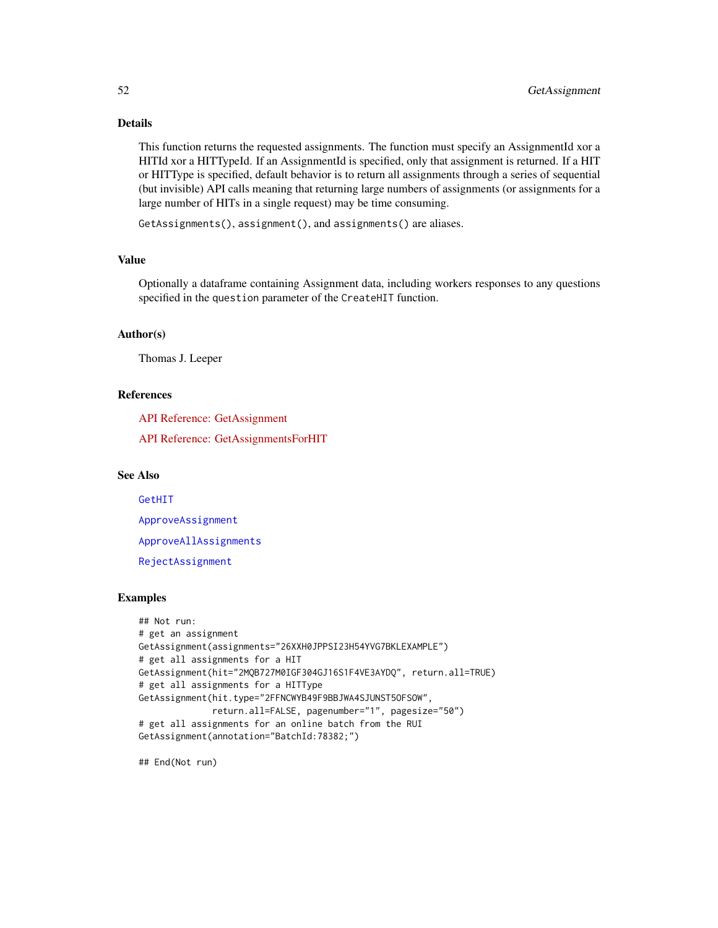# Details

This function returns the requested assignments. The function must specify an AssignmentId xor a HITId xor a HITTypeId. If an AssignmentId is specified, only that assignment is returned. If a HIT or HITType is specified, default behavior is to return all assignments through a series of sequential (but invisible) API calls meaning that returning large numbers of assignments (or assignments for a large number of HITs in a single request) may be time consuming.

GetAssignments(), assignment(), and assignments() are aliases.

### Value

Optionally a dataframe containing Assignment data, including workers responses to any questions specified in the question parameter of the CreateHIT function.

# Author(s)

Thomas J. Leeper

# References

[API Reference: GetAssignment](http://docs.amazonwebservices.com/AWSMechTurk/latest/AWSMturkAPI/ApiReference_GetAssignmentOperation.html)

[API Reference: GetAssignmentsForHIT](http://docs.amazonwebservices.com/AWSMechTurk/latest/AWSMturkAPI/ApiReference_GetAssignmentsForHITOperation.html)

# See Also

[GetHIT](#page-55-0)

[ApproveAssignment](#page-4-0)

[ApproveAllAssignments](#page-4-1)

[RejectAssignment](#page-79-0)

# Examples

```
## Not run:
# get an assignment
GetAssignment(assignments="26XXH0JPPSI23H54YVG7BKLEXAMPLE")
# get all assignments for a HIT
GetAssignment(hit="2MQB727M0IGF304GJ16S1F4VE3AYDQ", return.all=TRUE)
# get all assignments for a HITType
GetAssignment(hit.type="2FFNCWYB49F9BBJWA4SJUNST5OFSOW",
              return.all=FALSE, pagenumber="1", pagesize="50")
# get all assignments for an online batch from the RUI
GetAssignment(annotation="BatchId:78382;")
```
## End(Not run)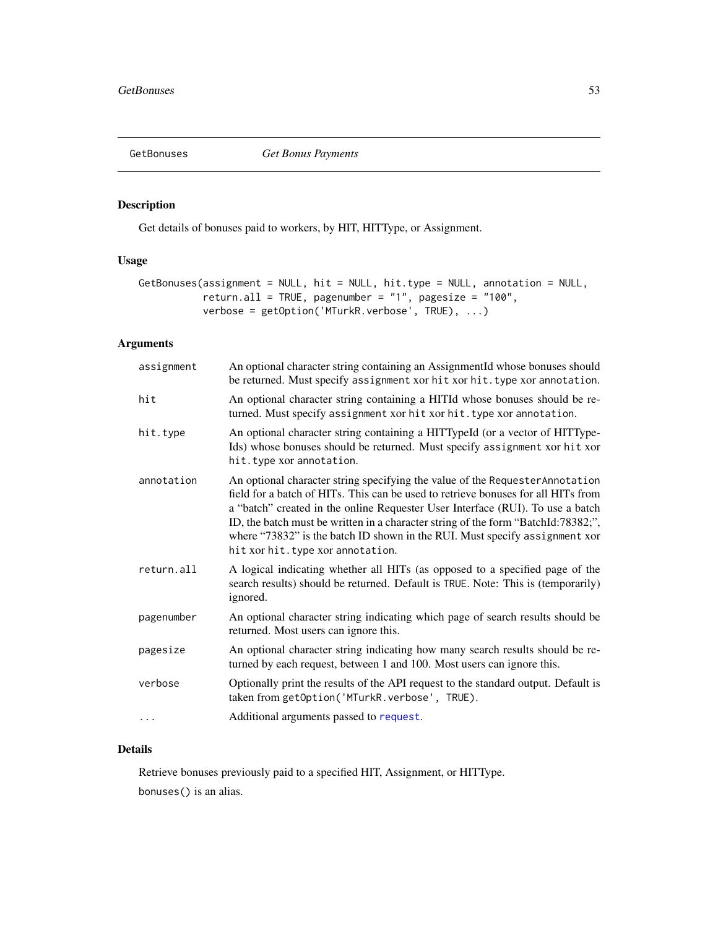<span id="page-52-0"></span>

# Description

Get details of bonuses paid to workers, by HIT, HITType, or Assignment.

# Usage

```
GetBonuses(assignment = NULL, hit = NULL, hit.type = NULL, annotation = NULL,
          return.all = TRUE, pagenumber = "1", pagesize = "100",
          verbose = getOption('MTurkR.verbose', TRUE), ...)
```
# Arguments

| assignment | An optional character string containing an AssignmentId whose bonuses should<br>be returned. Must specify assignment xor hit xor hit. type xor annotation.                                                                                                                                                                                                                                                                                                    |
|------------|---------------------------------------------------------------------------------------------------------------------------------------------------------------------------------------------------------------------------------------------------------------------------------------------------------------------------------------------------------------------------------------------------------------------------------------------------------------|
| hit        | An optional character string containing a HITId whose bonuses should be re-<br>turned. Must specify assignment xor hit xor hit. type xor annotation.                                                                                                                                                                                                                                                                                                          |
| hit.type   | An optional character string containing a HITTypeId (or a vector of HITType-<br>Ids) whose bonuses should be returned. Must specify assignment xor hit xor<br>hit.type xor annotation.                                                                                                                                                                                                                                                                        |
| annotation | An optional character string specifying the value of the Requester Annotation<br>field for a batch of HITs. This can be used to retrieve bonuses for all HITs from<br>a "batch" created in the online Requester User Interface (RUI). To use a batch<br>ID, the batch must be written in a character string of the form "BatchId:78382;",<br>where "73832" is the batch ID shown in the RUI. Must specify assignment xor<br>hit xor hit. type xor annotation. |
| return.all | A logical indicating whether all HITs (as opposed to a specified page of the<br>search results) should be returned. Default is TRUE. Note: This is (temporarily)<br>ignored.                                                                                                                                                                                                                                                                                  |
| pagenumber | An optional character string indicating which page of search results should be<br>returned. Most users can ignore this.                                                                                                                                                                                                                                                                                                                                       |
| pagesize   | An optional character string indicating how many search results should be re-<br>turned by each request, between 1 and 100. Most users can ignore this.                                                                                                                                                                                                                                                                                                       |
| verbose    | Optionally print the results of the API request to the standard output. Default is<br>taken from getOption('MTurkR.verbose', TRUE).                                                                                                                                                                                                                                                                                                                           |
|            | Additional arguments passed to request.                                                                                                                                                                                                                                                                                                                                                                                                                       |

# Details

Retrieve bonuses previously paid to a specified HIT, Assignment, or HITType. bonuses() is an alias.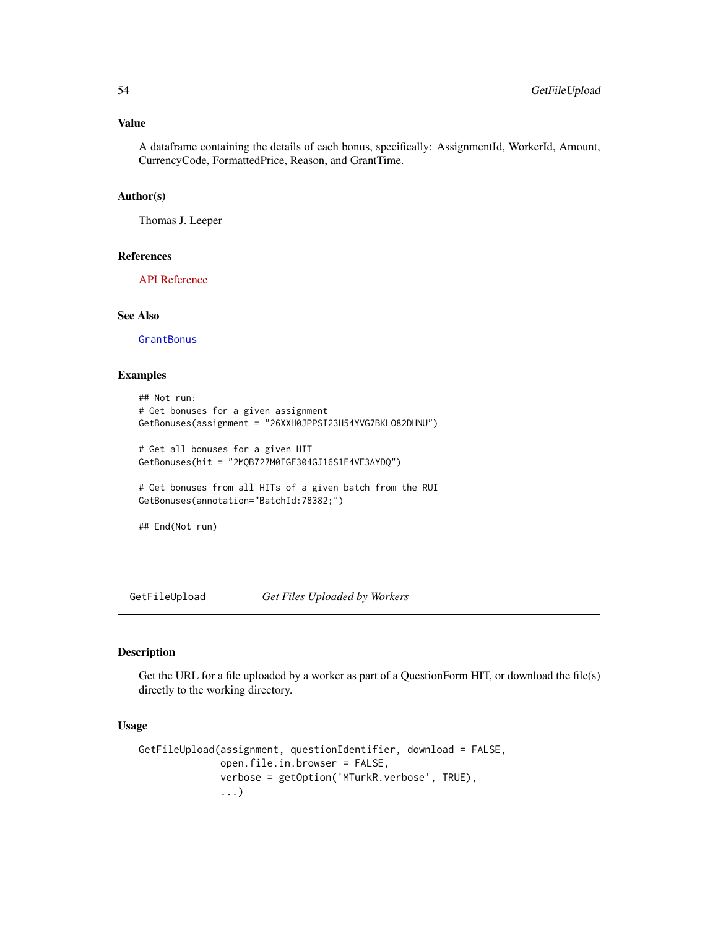# Value

A dataframe containing the details of each bonus, specifically: AssignmentId, WorkerId, Amount, CurrencyCode, FormattedPrice, Reason, and GrantTime.

### Author(s)

Thomas J. Leeper

#### References

[API Reference](http://docs.amazonwebservices.com/AWSMechTurk/latest/AWSMturkAPI/ApiReference_GetBonusPaymentsOperation.html)

### See Also

**[GrantBonus](#page-69-0)** 

# Examples

```
## Not run:
# Get bonuses for a given assignment
GetBonuses(assignment = "26XXH0JPPSI23H54YVG7BKLO82DHNU")
# Get all bonuses for a given HIT
GetBonuses(hit = "2MQB727M0IGF304GJ16S1F4VE3AYDQ")
```

```
# Get bonuses from all HITs of a given batch from the RUI
GetBonuses(annotation="BatchId:78382;")
```
## End(Not run)

GetFileUpload *Get Files Uploaded by Workers*

### Description

Get the URL for a file uploaded by a worker as part of a QuestionForm HIT, or download the file(s) directly to the working directory.

# Usage

```
GetFileUpload(assignment, questionIdentifier, download = FALSE,
              open.file.in.browser = FALSE,
              verbose = getOption('MTurkR.verbose', TRUE),
              ...)
```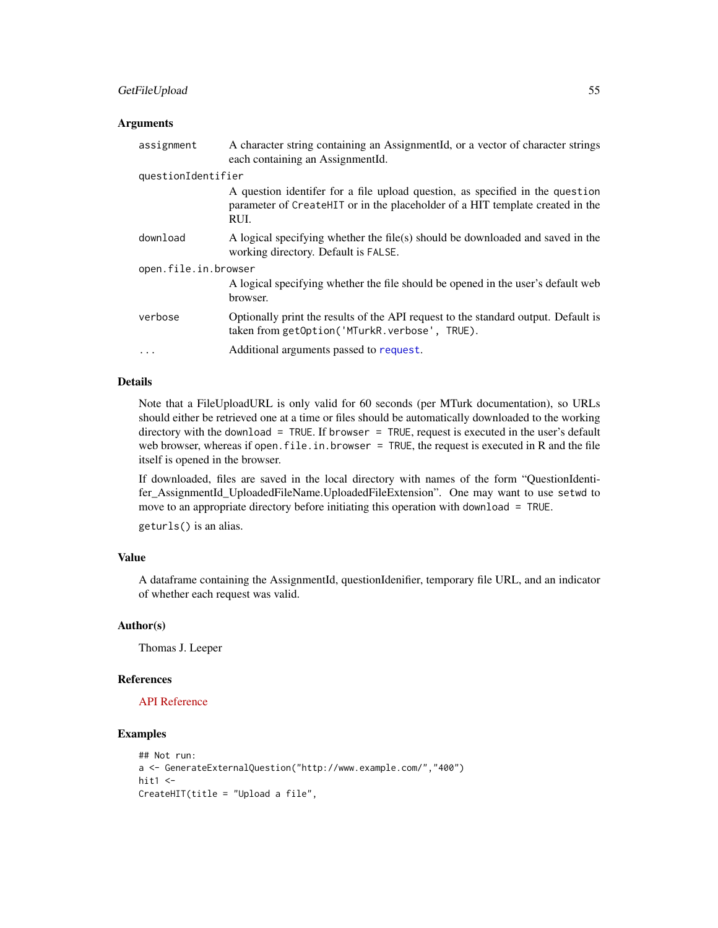# GetFileUpload 55

### **Arguments**

| assignment           | A character string containing an AssignmentId, or a vector of character strings<br>each containing an AssignmentId.                                                    |  |
|----------------------|------------------------------------------------------------------------------------------------------------------------------------------------------------------------|--|
| questionIdentifier   |                                                                                                                                                                        |  |
|                      | A question identifer for a file upload question, as specified in the question<br>parameter of CreateHIT or in the placeholder of a HIT template created in the<br>RUI. |  |
| download             | A logical specifying whether the file(s) should be downloaded and saved in the<br>working directory. Default is FALSE.                                                 |  |
| open.file.in.browser |                                                                                                                                                                        |  |
|                      | A logical specifying whether the file should be opened in the user's default web<br>browser.                                                                           |  |
| verbose              | Optionally print the results of the API request to the standard output. Default is<br>taken from getOption('MTurkR.verbose', TRUE).                                    |  |
| $\ddotsc$            | Additional arguments passed to request.                                                                                                                                |  |

# Details

Note that a FileUploadURL is only valid for 60 seconds (per MTurk documentation), so URLs should either be retrieved one at a time or files should be automatically downloaded to the working directory with the download = TRUE. If browser = TRUE, request is executed in the user's default web browser, whereas if open. file. in. browser = TRUE, the request is executed in R and the file itself is opened in the browser.

If downloaded, files are saved in the local directory with names of the form "QuestionIdentifer\_AssignmentId\_UploadedFileName.UploadedFileExtension". One may want to use setwd to move to an appropriate directory before initiating this operation with download = TRUE.

geturls() is an alias.

# Value

A dataframe containing the AssignmentId, questionIdenifier, temporary file URL, and an indicator of whether each request was valid.

# Author(s)

Thomas J. Leeper

### References

# [API Reference](http://docs.amazonwebservices.com/AWSMechTurk/latest/AWSMturkAPI/ApiReference_GetFileUploadURLOperation.html)

# Examples

```
## Not run:
a <- GenerateExternalQuestion("http://www.example.com/","400")
hit1 < -CreateHIT(title = "Upload a file",
```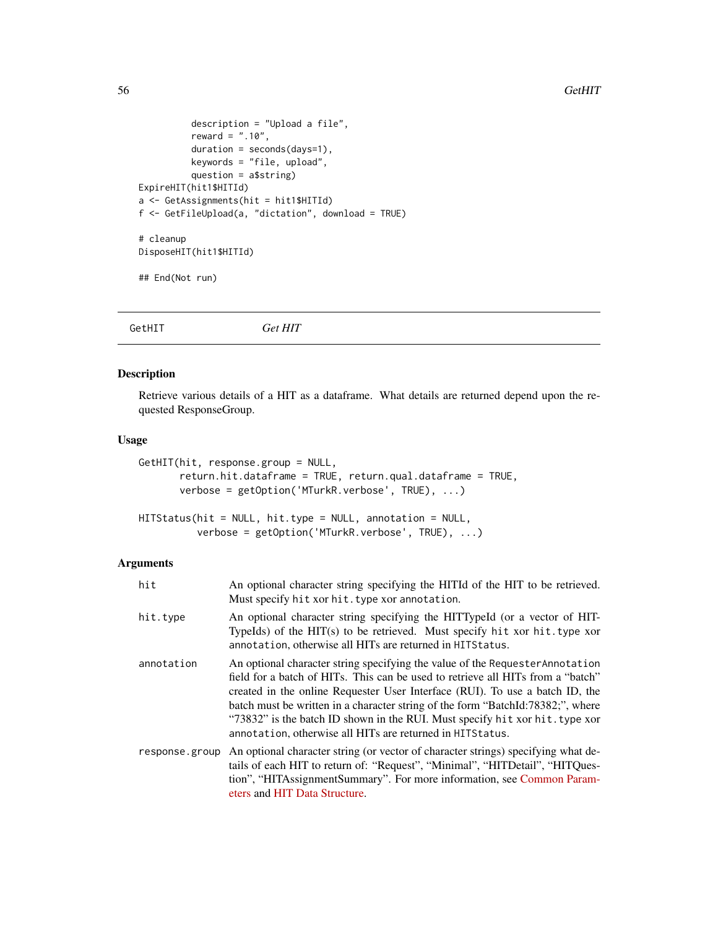```
description = "Upload a file",
          reward = " . 10",duration = seconds(days=1),
          keywords = "file, upload",
          question = a$string)
ExpireHIT(hit1$HITId)
a <- GetAssignments(hit = hit1$HITId)
f <- GetFileUpload(a, "dictation", download = TRUE)
# cleanup
DisposeHIT(hit1$HITId)
## End(Not run)
```
<span id="page-55-0"></span>GetHIT *Get HIT*

# Description

Retrieve various details of a HIT as a dataframe. What details are returned depend upon the requested ResponseGroup.

# Usage

```
GetHIT(hit, response.group = NULL,
       return.hit.dataframe = TRUE, return.qual.dataframe = TRUE,
       verbose = getOption('MTurkR.verbose', TRUE), ...)
```

```
HITStatus(hit = NULL, hit.type = NULL, annotation = NULL,
          verbose = getOption('MTurkR.verbose', TRUE), ...)
```
### Arguments

| hit            | An optional character string specifying the HITId of the HIT to be retrieved.<br>Must specify hit xor hit. type xor annotation.                                                                                                                                                                                                                                                                                                                                                   |
|----------------|-----------------------------------------------------------------------------------------------------------------------------------------------------------------------------------------------------------------------------------------------------------------------------------------------------------------------------------------------------------------------------------------------------------------------------------------------------------------------------------|
| hit.type       | An optional character string specifying the HITTypeId (or a vector of HIT-<br>TypeIds) of the HIT(s) to be retrieved. Must specify hit xor hit.type xor<br>annotation, otherwise all HITs are returned in HITS tatus.                                                                                                                                                                                                                                                             |
| annotation     | An optional character string specifying the value of the Requester Annotation<br>field for a batch of HITs. This can be used to retrieve all HITs from a "batch"<br>created in the online Requester User Interface (RUI). To use a batch ID, the<br>batch must be written in a character string of the form "BatchId:78382;", where<br>"73832" is the batch ID shown in the RUI. Must specify hit xor hit. type xor<br>annotation, otherwise all HITs are returned in HITS tatus. |
| response.group | An optional character string (or vector of character strings) specifying what de-<br>tails of each HIT to return of: "Request", "Minimal", "HITDetail", "HITQues-<br>tion", "HITAssignmentSummary". For more information, see Common Param-<br>eters and HIT Data Structure.                                                                                                                                                                                                      |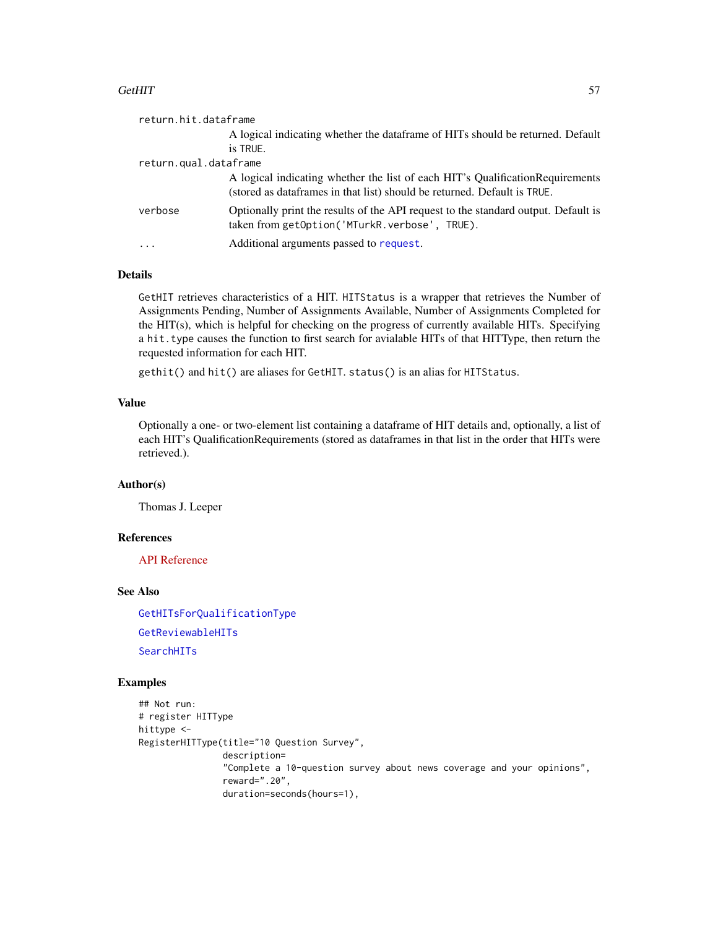### $G$ etHIT  $\sim$  57

| return.hit.dataframe  |                                                                                                                                                            |  |
|-----------------------|------------------------------------------------------------------------------------------------------------------------------------------------------------|--|
|                       | A logical indicating whether the dataframe of HITs should be returned. Default                                                                             |  |
|                       | is TRUE.                                                                                                                                                   |  |
| return.qual.dataframe |                                                                                                                                                            |  |
|                       | A logical indicating whether the list of each HIT's Qualification Requirements<br>(stored as dataframes in that list) should be returned. Default is TRUE. |  |
| verbose               | Optionally print the results of the API request to the standard output. Default is<br>taken from getOption('MTurkR.verbose', TRUE).                        |  |
| $\cdots$              | Additional arguments passed to request.                                                                                                                    |  |

# Details

GetHIT retrieves characteristics of a HIT. HITStatus is a wrapper that retrieves the Number of Assignments Pending, Number of Assignments Available, Number of Assignments Completed for the HIT(s), which is helpful for checking on the progress of currently available HITs. Specifying a hit.type causes the function to first search for avialable HITs of that HITType, then return the requested information for each HIT.

gethit() and hit() are aliases for GetHIT. status() is an alias for HITStatus.

# Value

Optionally a one- or two-element list containing a dataframe of HIT details and, optionally, a list of each HIT's QualificationRequirements (stored as dataframes in that list in the order that HITs were retrieved.).

### Author(s)

Thomas J. Leeper

### References

[API Reference](http://docs.amazonwebservices.com/AWSMechTurk/latest/AWSMturkAPI/ApiReference_GetHITOperation.html)

### See Also

[GetHITsForQualificationType](#page-57-0) [GetReviewableHITs](#page-64-0) [SearchHITs](#page-84-0)

# Examples

```
## Not run:
# register HITType
hittype <-
RegisterHITType(title="10 Question Survey",
                description=
                "Complete a 10-question survey about news coverage and your opinions",
                reward=".20",
                duration=seconds(hours=1),
```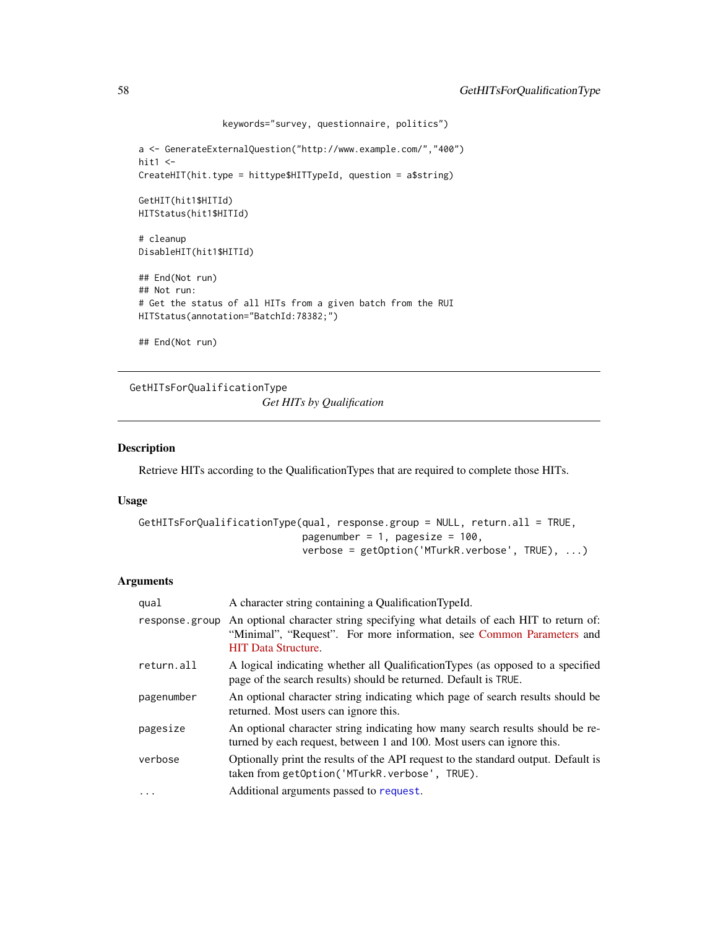```
keywords="survey, questionnaire, politics")
a <- GenerateExternalQuestion("http://www.example.com/","400")
hit1 < -CreateHIT(hit.type = hittype$HITTypeId, question = a$string)
GetHIT(hit1$HITId)
HITStatus(hit1$HITId)
# cleanup
DisableHIT(hit1$HITId)
## End(Not run)
## Not run:
# Get the status of all HITs from a given batch from the RUI
HITStatus(annotation="BatchId:78382;")
## End(Not run)
```
<span id="page-57-0"></span>GetHITsForQualificationType *Get HITs by Qualification*

### Description

Retrieve HITs according to the QualificationTypes that are required to complete those HITs.

#### Usage

```
GetHITsForQualificationType(qual, response.group = NULL, return.all = TRUE,
                            pagenumber = 1, pagesize = 100,
                            verbose = getOption('MTurkR.verbose', TRUE), ...)
```
# **Arguments**

| qual           | A character string containing a QualificationTypeId.                                                                                                                                  |
|----------------|---------------------------------------------------------------------------------------------------------------------------------------------------------------------------------------|
| response.group | An optional character string specifying what details of each HIT to return of:<br>"Minimal", "Request". For more information, see Common Parameters and<br><b>HIT Data Structure.</b> |
| return.all     | A logical indicating whether all QualificationTypes (as opposed to a specified<br>page of the search results) should be returned. Default is TRUE.                                    |
| pagenumber     | An optional character string indicating which page of search results should be<br>returned. Most users can ignore this.                                                               |
| pagesize       | An optional character string indicating how many search results should be re-<br>turned by each request, between 1 and 100. Most users can ignore this.                               |
| verbose        | Optionally print the results of the API request to the standard output. Default is<br>taken from getOption('MTurkR.verbose', TRUE).                                                   |
| $\cdot$        | Additional arguments passed to request.                                                                                                                                               |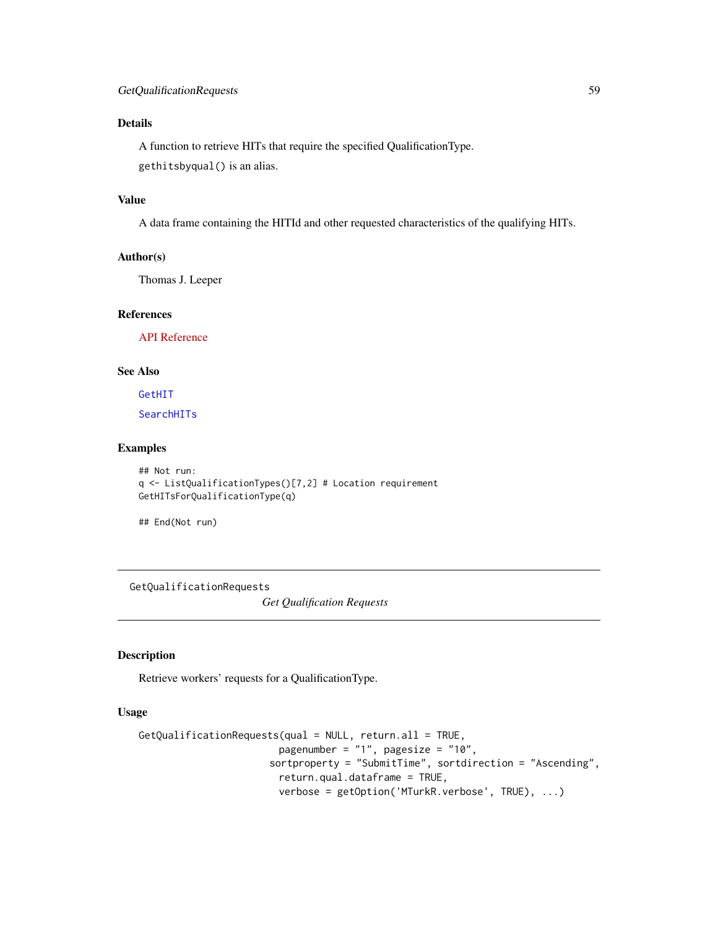# Details

A function to retrieve HITs that require the specified QualificationType. gethitsbyqual() is an alias.

# Value

A data frame containing the HITId and other requested characteristics of the qualifying HITs.

# Author(s)

Thomas J. Leeper

# References

[API Reference](http://docs.amazonwebservices.com/AWSMechTurk/latest/AWSMturkAPI/ApiReference_GetHITsForQualificationTypeOperation.html)

### See Also

[GetHIT](#page-55-0)

**[SearchHITs](#page-84-0)** 

### Examples

```
## Not run:
q <- ListQualificationTypes()[7,2] # Location requirement
GetHITsForQualificationType(q)
```
## End(Not run)

<span id="page-58-0"></span>GetQualificationRequests

*Get Qualification Requests*

### Description

Retrieve workers' requests for a QualificationType.

# Usage

```
GetQualificationRequests(qual = NULL, return.all = TRUE,
                        pagenumber = "1", pagesize = "10",
                      sortproperty = "SubmitTime", sortdirection = "Ascending",
                        return.qual.dataframe = TRUE,
                        verbose = getOption('MTurkR.verbose', TRUE), ...)
```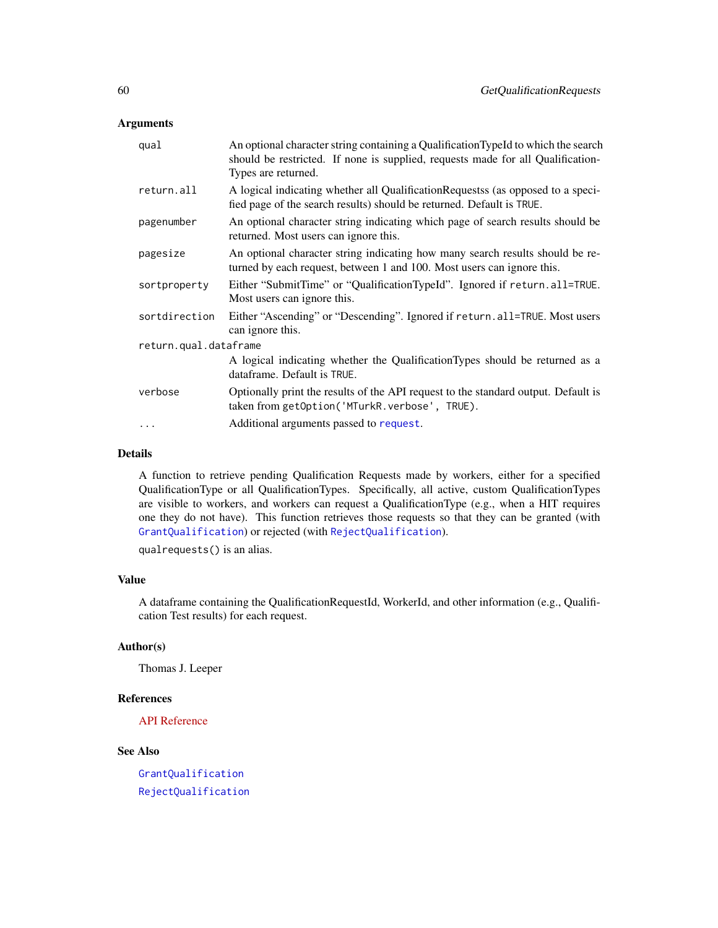# Arguments

| qual                  | An optional character string containing a QualificationTypeId to which the search<br>should be restricted. If none is supplied, requests made for all Qualification-<br>Types are returned. |
|-----------------------|---------------------------------------------------------------------------------------------------------------------------------------------------------------------------------------------|
| return.all            | A logical indicating whether all Qualification Requests (as opposed to a speci--<br>fied page of the search results) should be returned. Default is TRUE.                                   |
| pagenumber            | An optional character string indicating which page of search results should be<br>returned. Most users can ignore this.                                                                     |
| pagesize              | An optional character string indicating how many search results should be re-<br>turned by each request, between 1 and 100. Most users can ignore this.                                     |
| sortproperty          | Either "SubmitTime" or "QualificationTypeId". Ignored if return.all=TRUE.<br>Most users can ignore this.                                                                                    |
| sortdirection         | Either "Ascending" or "Descending". Ignored if return.all=TRUE. Most users<br>can ignore this.                                                                                              |
| return.qual.dataframe |                                                                                                                                                                                             |
|                       | A logical indicating whether the QualificationTypes should be returned as a<br>dataframe. Default is TRUE.                                                                                  |
| verbose               | Optionally print the results of the API request to the standard output. Default is<br>taken from getOption('MTurkR.verbose', TRUE).                                                         |
| .                     | Additional arguments passed to request.                                                                                                                                                     |
|                       |                                                                                                                                                                                             |

# Details

A function to retrieve pending Qualification Requests made by workers, either for a specified QualificationType or all QualificationTypes. Specifically, all active, custom QualificationTypes are visible to workers, and workers can request a QualificationType (e.g., when a HIT requires one they do not have). This function retrieves those requests so that they can be granted (with [GrantQualification](#page-70-0)) or rejected (with [RejectQualification](#page-70-1)).

qualrequests() is an alias.

# Value

A dataframe containing the QualificationRequestId, WorkerId, and other information (e.g., Qualification Test results) for each request.

### Author(s)

Thomas J. Leeper

### References

[API Reference](http://docs.amazonwebservices.com/AWSMechTurk/latest/AWSMturkAPI/ApiReference_GetQualificationRequestsOperation.html)

# See Also

[GrantQualification](#page-70-0) [RejectQualification](#page-70-1)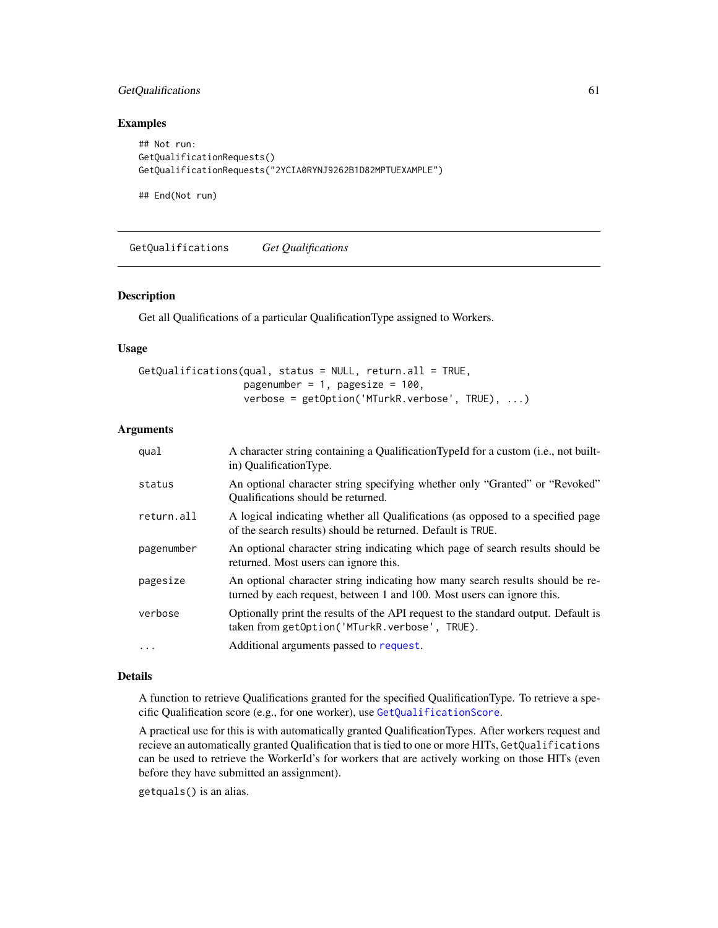# GetQualifications 61

# Examples

```
## Not run:
GetQualificationRequests()
GetQualificationRequests("2YCIA0RYNJ9262B1D82MPTUEXAMPLE")
```
## End(Not run)

<span id="page-60-0"></span>GetQualifications *Get Qualifications*

### Description

Get all Qualifications of a particular QualificationType assigned to Workers.

### Usage

```
GetQualifications(qual, status = NULL, return.all = TRUE,
                 pagenumber = 1, pagesize = 100,
                  verbose = getOption('MTurkR.verbose', TRUE), ...)
```
# Arguments

| qual       | A character string containing a QualificationTypeId for a custom (i.e., not built-<br>in) QualificationType.                                            |
|------------|---------------------------------------------------------------------------------------------------------------------------------------------------------|
| status     | An optional character string specifying whether only "Granted" or "Revoked"<br>Qualifications should be returned.                                       |
| return.all | A logical indicating whether all Qualifications (as opposed to a specified page<br>of the search results) should be returned. Default is TRUE.          |
| pagenumber | An optional character string indicating which page of search results should be<br>returned. Most users can ignore this.                                 |
| pagesize   | An optional character string indicating how many search results should be re-<br>turned by each request, between 1 and 100. Most users can ignore this. |
| verbose    | Optionally print the results of the API request to the standard output. Default is<br>taken from getOption('MTurkR.verbose', TRUE).                     |
| $\ddots$   | Additional arguments passed to request.                                                                                                                 |

# Details

A function to retrieve Qualifications granted for the specified QualificationType. To retrieve a specific Qualification score (e.g., for one worker), use [GetQualificationScore](#page-61-0).

A practical use for this is with automatically granted QualificationTypes. After workers request and recieve an automatically granted Qualification that is tied to one or more HITs, GetQualifications can be used to retrieve the WorkerId's for workers that are actively working on those HITs (even before they have submitted an assignment).

getquals() is an alias.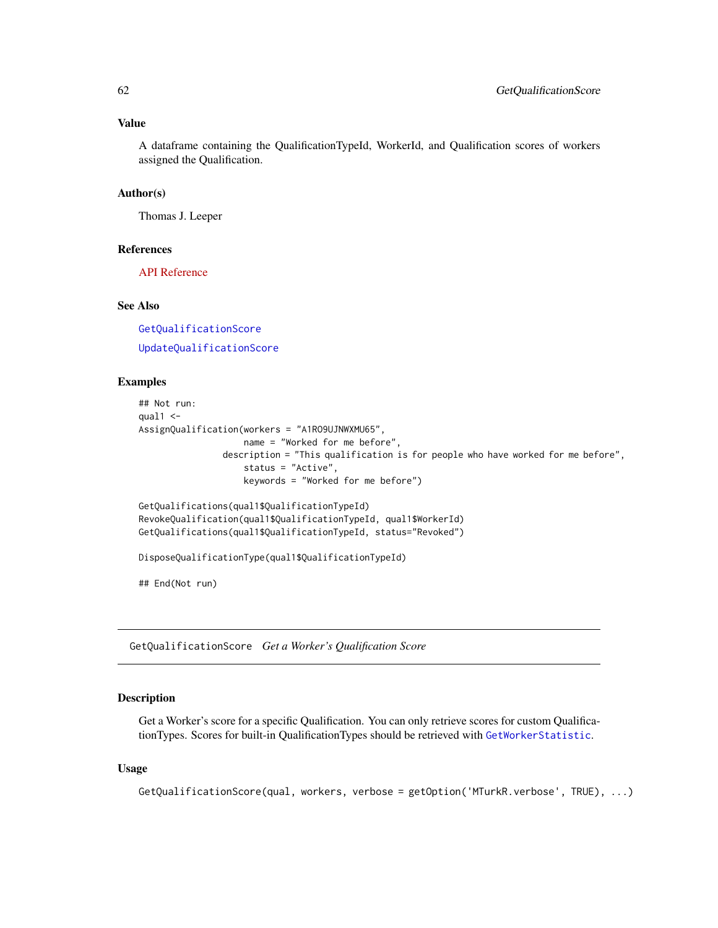### Value

A dataframe containing the QualificationTypeId, WorkerId, and Qualification scores of workers assigned the Qualification.

# Author(s)

Thomas J. Leeper

### References

[API Reference](http://docs.amazonwebservices.com/AWSMechTurk/latest/AWSMturkAPI/ApiReference_GetQualificationsForQualificationTypeOperation.html)

# See Also

[GetQualificationScore](#page-61-0) [UpdateQualificationScore](#page-93-0)

# Examples

```
## Not run:
qual1 < -AssignQualification(workers = "A1RO9UJNWXMU65",
                   name = "Worked for me before",
                description = "This qualification is for people who have worked for me before",
                    status = "Active",
                    keywords = "Worked for me before")
GetQualifications(qual1$QualificationTypeId)
RevokeQualification(qual1$QualificationTypeId, qual1$WorkerId)
GetQualifications(qual1$QualificationTypeId, status="Revoked")
DisposeQualificationType(qual1$QualificationTypeId)
## End(Not run)
```
<span id="page-61-0"></span>GetQualificationScore *Get a Worker's Qualification Score*

#### Description

Get a Worker's score for a specific Qualification. You can only retrieve scores for custom QualificationTypes. Scores for built-in QualificationTypes should be retrieved with [GetWorkerStatistic](#page-67-0).

### Usage

```
GetQualificationScore(qual, workers, verbose = getOption('MTurkR.verbose', TRUE), ...)
```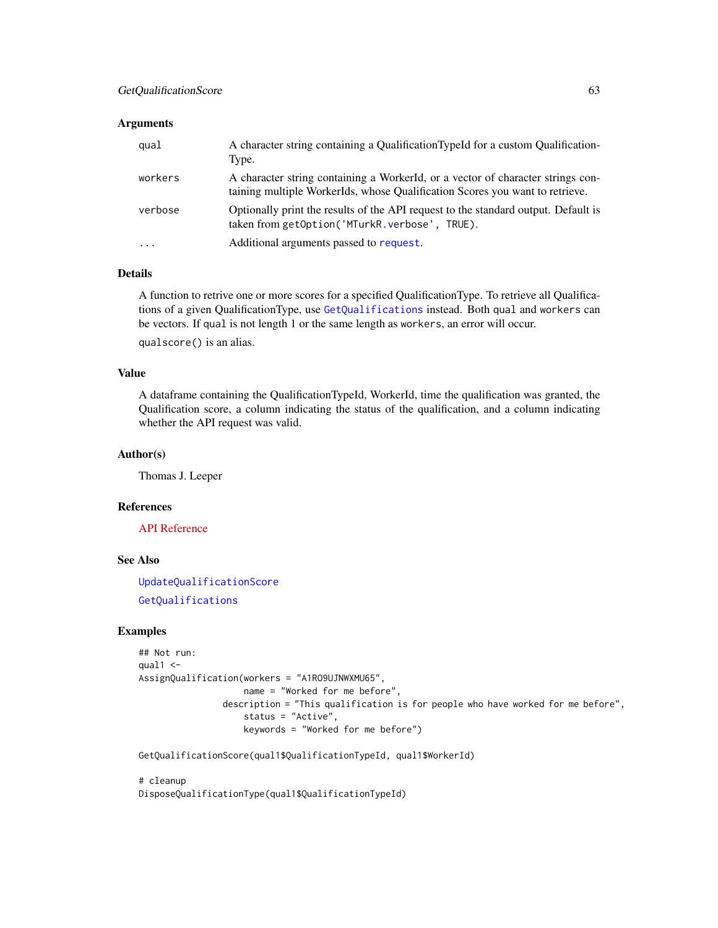### **Arguments**

| qual      | A character string containing a QualificationTypeId for a custom Qualification-<br>Type.                                                                        |
|-----------|-----------------------------------------------------------------------------------------------------------------------------------------------------------------|
| workers   | A character string containing a WorkerId, or a vector of character strings con-<br>taining multiple WorkerIds, whose Qualification Scores you want to retrieve. |
| verbose   | Optionally print the results of the API request to the standard output. Default is<br>taken from getOption('MTurkR.verbose', TRUE).                             |
| $\ddotsc$ | Additional arguments passed to request.                                                                                                                         |

# Details

A function to retrive one or more scores for a specified QualificationType. To retrieve all Qualifications of a given QualificationType, use [GetQualifications](#page-60-0) instead. Both qual and workers can be vectors. If qual is not length 1 or the same length as workers, an error will occur.

qualscore() is an alias.

# Value

A dataframe containing the QualificationTypeId, WorkerId, time the qualification was granted, the Qualification score, a column indicating the status of the qualification, and a column indicating whether the API request was valid.

### Author(s)

Thomas J. Leeper

#### References

[API Reference](http://docs.amazonwebservices.com/AWSMechTurk/latest/AWSMturkAPI/ApiReference_GetQualificationScoreOperation.html)

### See Also

[UpdateQualificationScore](#page-93-0) [GetQualifications](#page-60-0)

# Examples

```
## Not run:
qual1 < -AssignQualification(workers = "A1RO9UJNWXMU65",
                   name = "Worked for me before",
                description = "This qualification is for people who have worked for me before",
                    status = "Active",
                    keywords = "Worked for me before")
```
GetQualificationScore(qual1\$QualificationTypeId, qual1\$WorkerId)

# cleanup DisposeQualificationType(qual1\$QualificationTypeId)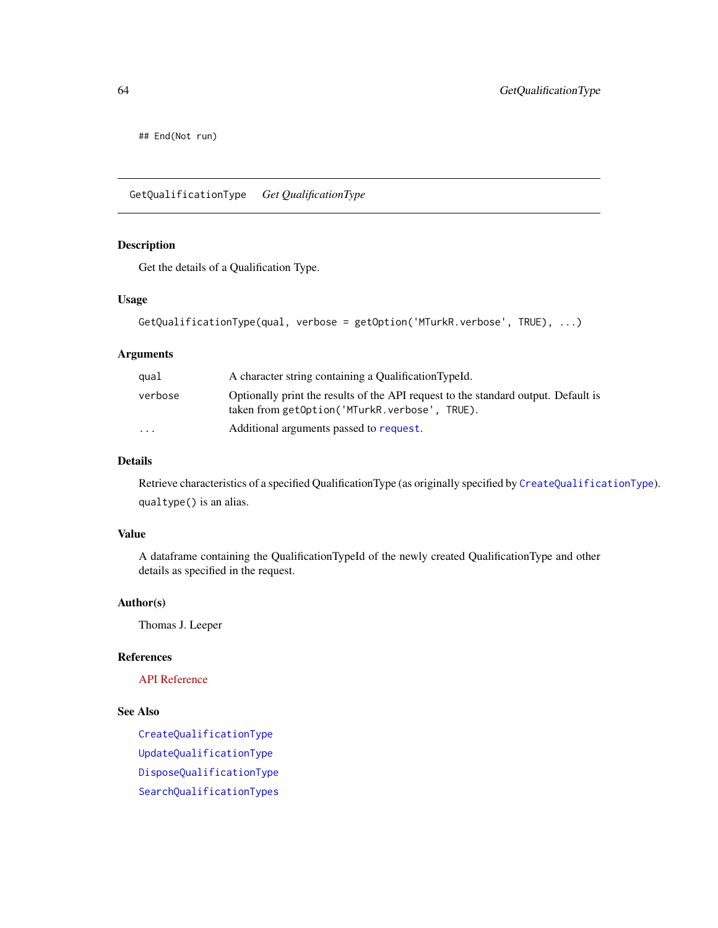## End(Not run)

GetQualificationType *Get QualificationType*

# Description

Get the details of a Qualification Type.

### Usage

```
GetQualificationType(qual, verbose = getOption('MTurkR.verbose', TRUE), ...)
```
# Arguments

| qual                    | A character string containing a QualificationTypeId.                                                                                |
|-------------------------|-------------------------------------------------------------------------------------------------------------------------------------|
| verbose                 | Optionally print the results of the API request to the standard output. Default is<br>taken from getOption('MTurkR.verbose', TRUE). |
| $\cdot$ $\cdot$ $\cdot$ | Additional arguments passed to request.                                                                                             |

### Details

Retrieve characteristics of a specified QualificationType (as originally specified by [CreateQualificationType](#page-22-0)). qualtype() is an alias.

# Value

A dataframe containing the QualificationTypeId of the newly created QualificationType and other details as specified in the request.

### Author(s)

Thomas J. Leeper

# References

[API Reference](http://docs.amazonwebservices.com/AWSMechTurk/latest/AWSMturkAPI/ApiReference_GetQualificationTypeOperation.html)

# See Also

[CreateQualificationType](#page-22-0) [UpdateQualificationType](#page-95-0) [DisposeQualificationType](#page-29-0) [SearchQualificationTypes](#page-85-0)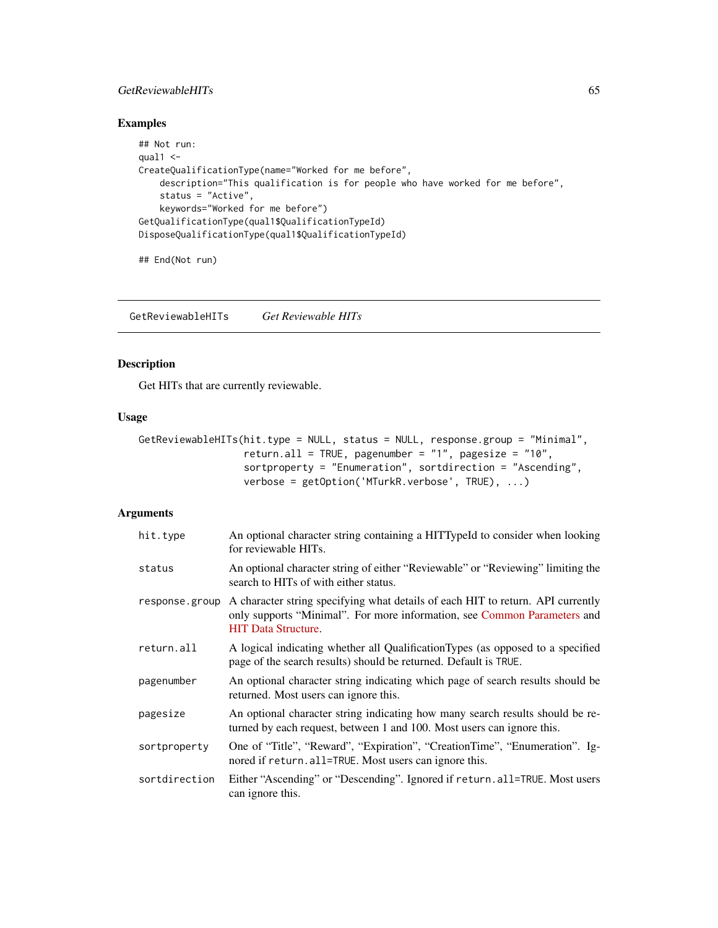# GetReviewableHITs 65

# Examples

```
## Not run:
qual1 < -CreateQualificationType(name="Worked for me before",
   description="This qualification is for people who have worked for me before",
   status = "Active",
   keywords="Worked for me before")
GetQualificationType(qual1$QualificationTypeId)
DisposeQualificationType(qual1$QualificationTypeId)
```

```
## End(Not run)
```
<span id="page-64-0"></span>GetReviewableHITs *Get Reviewable HITs*

# Description

Get HITs that are currently reviewable.

### Usage

```
GetReviewableHITs(hit.type = NULL, status = NULL, response.group = "Minimal",
                  return.all = TRUE, pagenumber = "1", pagesize = "10",
                  sortproperty = "Enumeration", sortdirection = "Ascending",
                  verbose = getOption('MTurkR.verbose', TRUE), ...)
```
### Arguments

| hit.type       | An optional character string containing a HITTypeId to consider when looking<br>for reviewable HITs.                                                                                      |
|----------------|-------------------------------------------------------------------------------------------------------------------------------------------------------------------------------------------|
| status         | An optional character string of either "Reviewable" or "Reviewing" limiting the<br>search to HITs of with either status.                                                                  |
| response.group | A character string specifying what details of each HIT to return. API currently<br>only supports "Minimal". For more information, see Common Parameters and<br><b>HIT</b> Data Structure. |
| return.all     | A logical indicating whether all Qualification Types (as opposed to a specified<br>page of the search results) should be returned. Default is TRUE.                                       |
| pagenumber     | An optional character string indicating which page of search results should be<br>returned. Most users can ignore this.                                                                   |
| pagesize       | An optional character string indicating how many search results should be re-<br>turned by each request, between 1 and 100. Most users can ignore this.                                   |
| sortproperty   | One of "Title", "Reward", "Expiration", "CreationTime", "Enumeration". Ig-<br>nored if return. all=TRUE. Most users can ignore this.                                                      |
| sortdirection  | Either "Ascending" or "Descending". Ignored if return.all=TRUE. Most users<br>can ignore this.                                                                                            |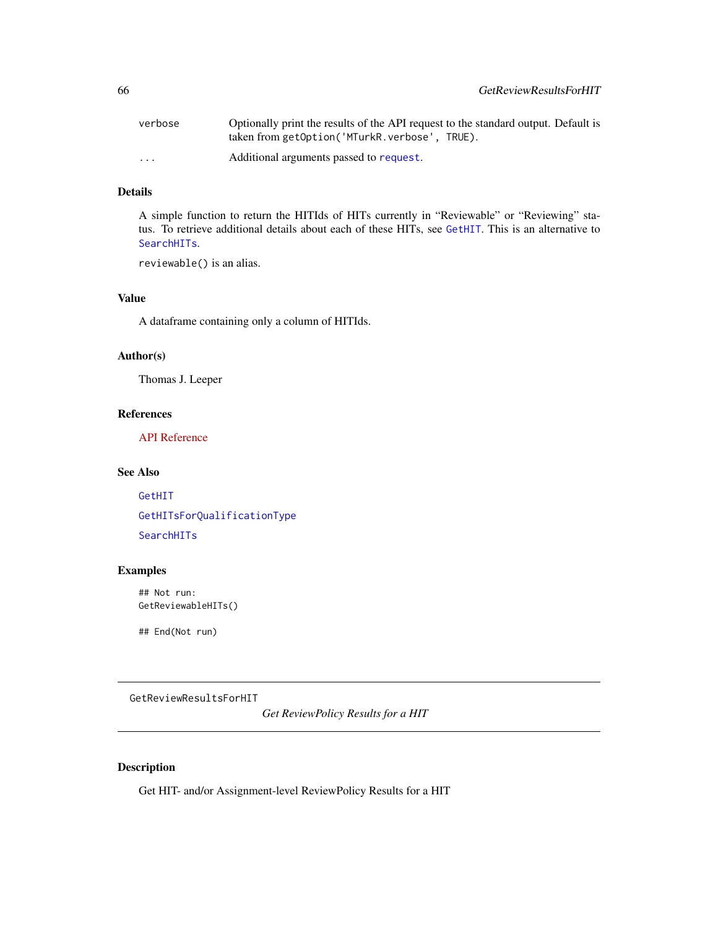| verbose                 | Optionally print the results of the API request to the standard output. Default is |
|-------------------------|------------------------------------------------------------------------------------|
|                         | taken from getOption('MTurkR.verbose', TRUE).                                      |
| $\cdot$ $\cdot$ $\cdot$ | Additional arguments passed to request.                                            |

# Details

A simple function to return the HITIds of HITs currently in "Reviewable" or "Reviewing" status. To retrieve additional details about each of these HITs, see [GetHIT](#page-55-0). This is an alternative to [SearchHITs](#page-84-0).

reviewable() is an alias.

# Value

A dataframe containing only a column of HITIds.

# Author(s)

Thomas J. Leeper

# References

[API Reference](http://docs.amazonwebservices.com/AWSMechTurk/latest/AWSMturkAPI/ApiReference_GetReviewableHITsOperation.html)

### See Also

[GetHIT](#page-55-0) [GetHITsForQualificationType](#page-57-0)

[SearchHITs](#page-84-0)

# Examples

## Not run: GetReviewableHITs()

## End(Not run)

<span id="page-65-0"></span>GetReviewResultsForHIT

*Get ReviewPolicy Results for a HIT*

# Description

Get HIT- and/or Assignment-level ReviewPolicy Results for a HIT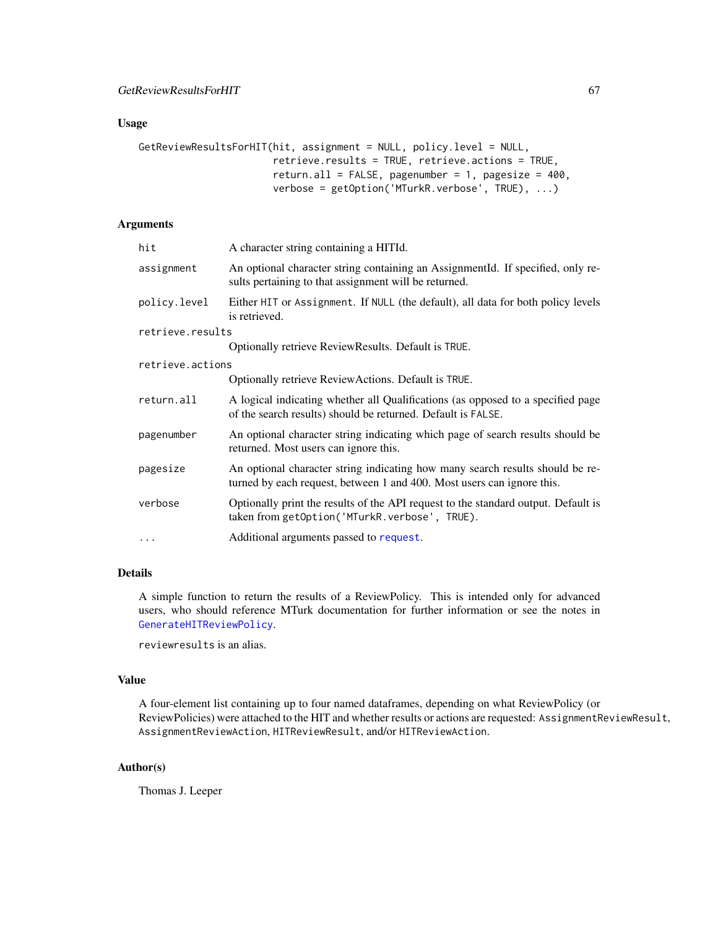# Usage

```
GetReviewResultsForHIT(hit, assignment = NULL, policy.level = NULL,
                       retrieve.results = TRUE, retrieve.actions = TRUE,
                       return.all = FALSE, pagenumber = 1, pagesize = 400,
                       verbose = getOption('MTurkR.verbose', TRUE), ...)
```
### Arguments

| hit              | A character string containing a HITId.                                                                                                                  |
|------------------|---------------------------------------------------------------------------------------------------------------------------------------------------------|
| assignment       | An optional character string containing an AssignmentId. If specified, only re-<br>sults pertaining to that assignment will be returned.                |
| policy.level     | Either HIT or Assignment. If NULL (the default), all data for both policy levels<br>is retrieved.                                                       |
| retrieve.results |                                                                                                                                                         |
|                  | Optionally retrieve ReviewResults. Default is TRUE.                                                                                                     |
| retrieve.actions |                                                                                                                                                         |
|                  | Optionally retrieve ReviewActions. Default is TRUE.                                                                                                     |
| return.all       | A logical indicating whether all Qualifications (as opposed to a specified page<br>of the search results) should be returned. Default is FALSE.         |
| pagenumber       | An optional character string indicating which page of search results should be<br>returned. Most users can ignore this.                                 |
| pagesize         | An optional character string indicating how many search results should be re-<br>turned by each request, between 1 and 400. Most users can ignore this. |
| verbose          | Optionally print the results of the API request to the standard output. Default is<br>taken from getOption('MTurkR.verbose', TRUE).                     |
| $\cdots$         | Additional arguments passed to request.                                                                                                                 |
|                  |                                                                                                                                                         |

# Details

A simple function to return the results of a ReviewPolicy. This is intended only for advanced users, who should reference MTurk documentation for further information or see the notes in [GenerateHITReviewPolicy](#page-45-0).

reviewresults is an alias.

### Value

A four-element list containing up to four named dataframes, depending on what ReviewPolicy (or ReviewPolicies) were attached to the HIT and whether results or actions are requested: AssignmentReviewResult, AssignmentReviewAction, HITReviewResult, and/or HITReviewAction.

# Author(s)

Thomas J. Leeper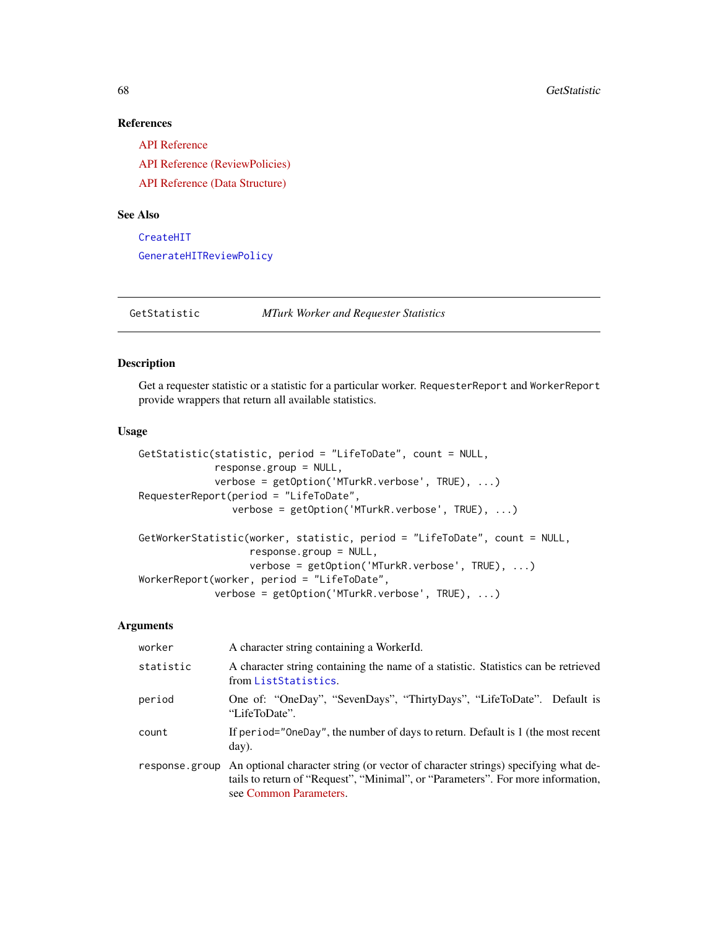# References

[API Reference](http://docs.amazonwebservices.com/AWSMechTurk/latest/AWSMturkAPI/ApiReference_GetReviewResultsForHitOperation.html) [API Reference \(ReviewPolicies\)](http://docs.amazonwebservices.com/AWSMechTurk/latest/AWSMturkAPI/ApiReference_ReviewPoliciesArticle.html) [API Reference \(Data Structure\)](http://docs.amazonwebservices.com/AWSMechTurk/latest/AWSMturkAPI/ApiReference_HITReviewPolicyDataStructureArticle.html)

# See Also

[CreateHIT](#page-19-0) [GenerateHITReviewPolicy](#page-45-0)

GetStatistic *MTurk Worker and Requester Statistics*

# <span id="page-67-0"></span>Description

Get a requester statistic or a statistic for a particular worker. RequesterReport and WorkerReport provide wrappers that return all available statistics.

# Usage

```
GetStatistic(statistic, period = "LifeToDate", count = NULL,
             response.group = NULL,
             verbose = getOption('MTurkR.verbose', TRUE), ...)
RequesterReport(period = "LifeToDate",
                verbose = getOption('MTurkR.verbose', TRUE), ...)
GetWorkerStatistic(worker, statistic, period = "LifeToDate", count = NULL,
                   response.group = NULL,
                   verbose = getOption('MTurkR.verbose', TRUE), ...)
WorkerReport(worker, period = "LifeToDate",
             verbose = getOption('MTurkR.verbose', TRUE), ...)
```
# Arguments

| worker         | A character string containing a WorkerId.                                                                                                                                                      |
|----------------|------------------------------------------------------------------------------------------------------------------------------------------------------------------------------------------------|
| statistic      | A character string containing the name of a statistic. Statistics can be retrieved<br>from ListStatistics.                                                                                     |
| period         | One of: "OneDay", "SevenDays", "ThirtyDays", "LifeToDate". Default is<br>"LifeToDate".                                                                                                         |
| count          | If period="OneDay", the number of days to return. Default is 1 (the most recent<br>day).                                                                                                       |
| response.group | An optional character string (or vector of character strings) specifying what de-<br>tails to return of "Request", "Minimal", or "Parameters". For more information,<br>see Common Parameters. |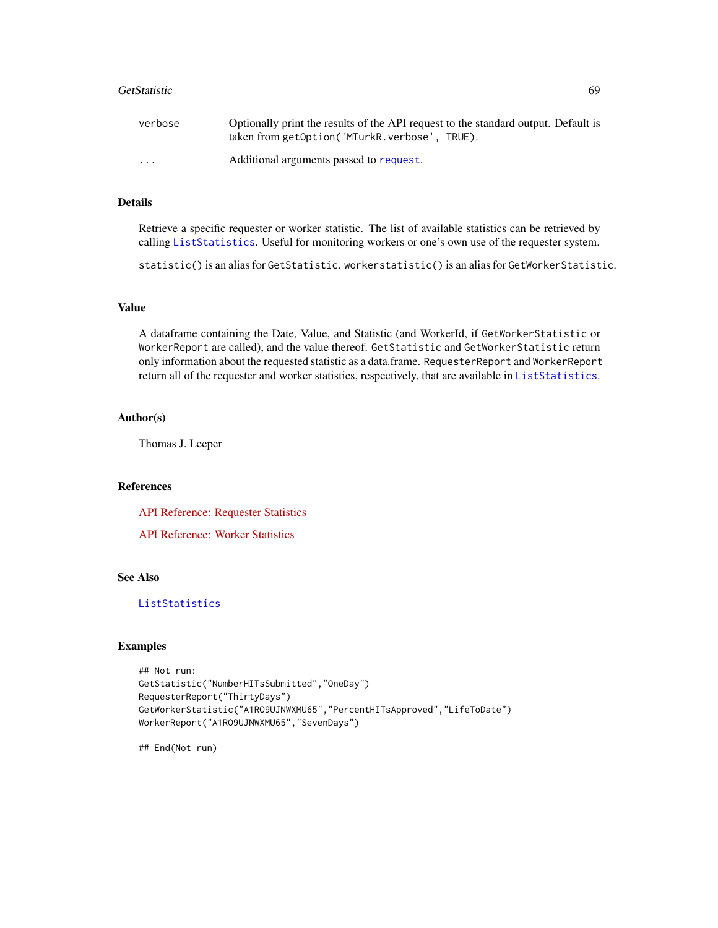### GetStatistic 69

| verbose                 | Optionally print the results of the API request to the standard output. Default is |
|-------------------------|------------------------------------------------------------------------------------|
|                         | taken from getOption('MTurkR.verbose', TRUE).                                      |
| $\cdot$ $\cdot$ $\cdot$ | Additional arguments passed to request.                                            |

# Details

Retrieve a specific requester or worker statistic. The list of available statistics can be retrieved by calling [ListStatistics](#page-72-0). Useful for monitoring workers or one's own use of the requester system.

statistic() is an alias for GetStatistic. workerstatistic() is an alias for GetWorkerStatistic.

# Value

A dataframe containing the Date, Value, and Statistic (and WorkerId, if GetWorkerStatistic or WorkerReport are called), and the value thereof. GetStatistic and GetWorkerStatistic return only information about the requested statistic as a data.frame. RequesterReport and WorkerReport return all of the requester and worker statistics, respectively, that are available in [ListStatistics](#page-72-0).

# Author(s)

Thomas J. Leeper

# References

[API Reference: Requester Statistics](http://docs.amazonwebservices.com/AWSMechTurk/latest/AWSMturkAPI/ApiReference_GetRequesterStatisticOperation.html)

[API Reference: Worker Statistics](http://docs.amazonwebservices.com/AWSMechTurk/latest/AWSMturkAPI/ApiReference_GetRequesterWorkerStatisticOperation.html)

# See Also

# [ListStatistics](#page-72-0)

# Examples

```
## Not run:
GetStatistic("NumberHITsSubmitted","OneDay")
RequesterReport("ThirtyDays")
GetWorkerStatistic("A1RO9UJNWXMU65","PercentHITsApproved","LifeToDate")
WorkerReport("A1RO9UJNWXMU65","SevenDays")
```
## End(Not run)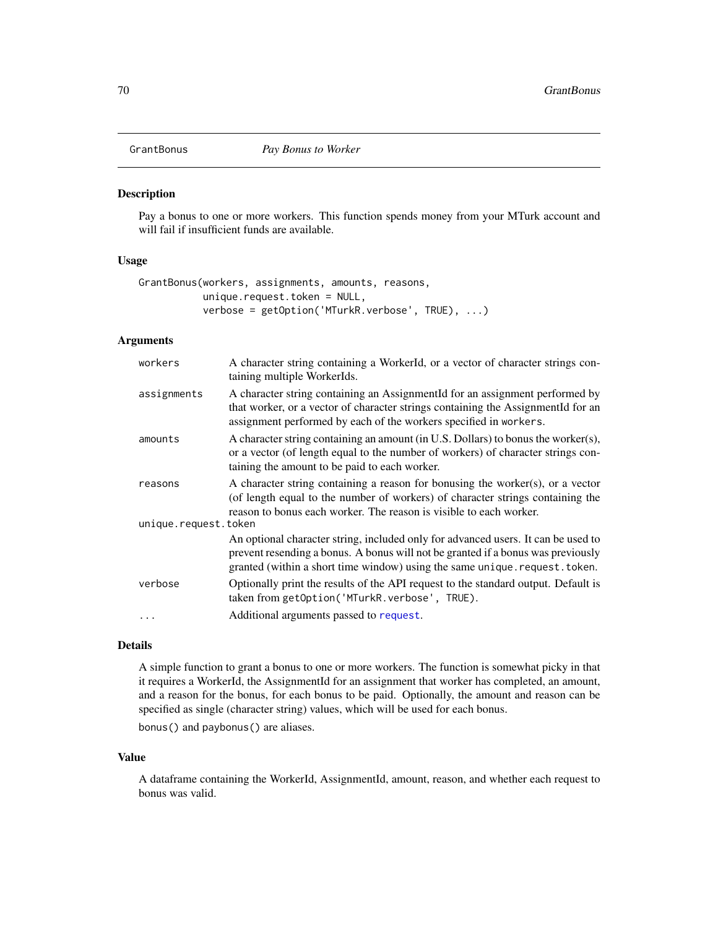<span id="page-69-0"></span>

# Description

Pay a bonus to one or more workers. This function spends money from your MTurk account and will fail if insufficient funds are available.

# Usage

```
GrantBonus(workers, assignments, amounts, reasons,
           unique.request.token = NULL,
           verbose = getOption('MTurkR.verbose', TRUE), ...)
```
# Arguments

| workers              | A character string containing a WorkerId, or a vector of character strings con-<br>taining multiple WorkerIds.                                                                                                                                     |
|----------------------|----------------------------------------------------------------------------------------------------------------------------------------------------------------------------------------------------------------------------------------------------|
| assignments          | A character string containing an AssignmentId for an assignment performed by<br>that worker, or a vector of character strings containing the AssignmentId for an<br>assignment performed by each of the workers specified in workers.              |
| amounts              | A character string containing an amount (in U.S. Dollars) to bonus the worker(s),<br>or a vector (of length equal to the number of workers) of character strings con-<br>taining the amount to be paid to each worker.                             |
| reasons              | A character string containing a reason for bonusing the worker $(s)$ , or a vector<br>(of length equal to the number of workers) of character strings containing the<br>reason to bonus each worker. The reason is visible to each worker.         |
| unique.request.token |                                                                                                                                                                                                                                                    |
|                      | An optional character string, included only for advanced users. It can be used to<br>prevent resending a bonus. A bonus will not be granted if a bonus was previously<br>granted (within a short time window) using the same unique.request.token. |
| verbose              | Optionally print the results of the API request to the standard output. Default is<br>taken from getOption('MTurkR.verbose', TRUE).                                                                                                                |
|                      | Additional arguments passed to request.                                                                                                                                                                                                            |

### Details

A simple function to grant a bonus to one or more workers. The function is somewhat picky in that it requires a WorkerId, the AssignmentId for an assignment that worker has completed, an amount, and a reason for the bonus, for each bonus to be paid. Optionally, the amount and reason can be specified as single (character string) values, which will be used for each bonus.

bonus() and paybonus() are aliases.

#### Value

A dataframe containing the WorkerId, AssignmentId, amount, reason, and whether each request to bonus was valid.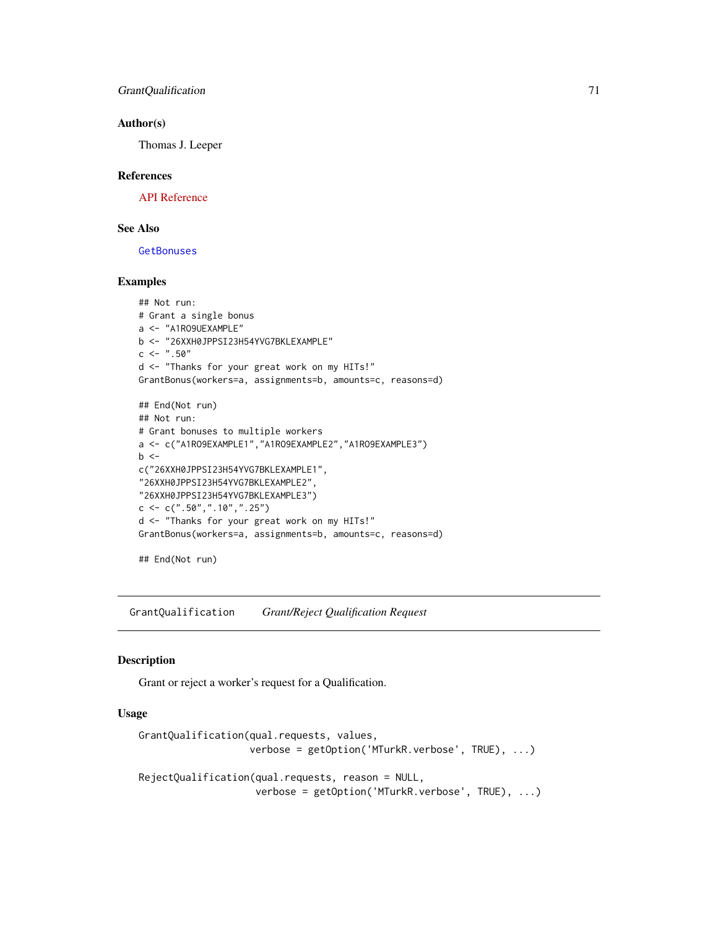### Author(s)

Thomas J. Leeper

### References

[API Reference](http://docs.amazonwebservices.com/AWSMechTurk/latest/AWSMturkAPI/ApiReference_GrantBonusOperation.html)

# See Also

**[GetBonuses](#page-52-0)** 

### Examples

```
## Not run:
# Grant a single bonus
a <- "A1RO9UEXAMPLE"
b <- "26XXH0JPPSI23H54YVG7BKLEXAMPLE"
c <- ".50"d <- "Thanks for your great work on my HITs!"
GrantBonus(workers=a, assignments=b, amounts=c, reasons=d)
## End(Not run)
## Not run:
# Grant bonuses to multiple workers
a <- c("A1RO9EXAMPLE1","A1RO9EXAMPLE2","A1RO9EXAMPLE3")
b \leqc("26XXH0JPPSI23H54YVG7BKLEXAMPLE1",
"26XXH0JPPSI23H54YVG7BKLEXAMPLE2",
"26XXH0JPPSI23H54YVG7BKLEXAMPLE3")
c \leq -c(".50",".10", ".25")d <- "Thanks for your great work on my HITs!"
GrantBonus(workers=a, assignments=b, amounts=c, reasons=d)
```
## End(Not run)

<span id="page-70-0"></span>GrantQualification *Grant/Reject Qualification Request*

### <span id="page-70-1"></span>Description

Grant or reject a worker's request for a Qualification.

# Usage

```
GrantQualification(qual.requests, values,
                   verbose = getOption('MTurkR.verbose', TRUE), ...)
RejectQualification(qual.requests, reason = NULL,
```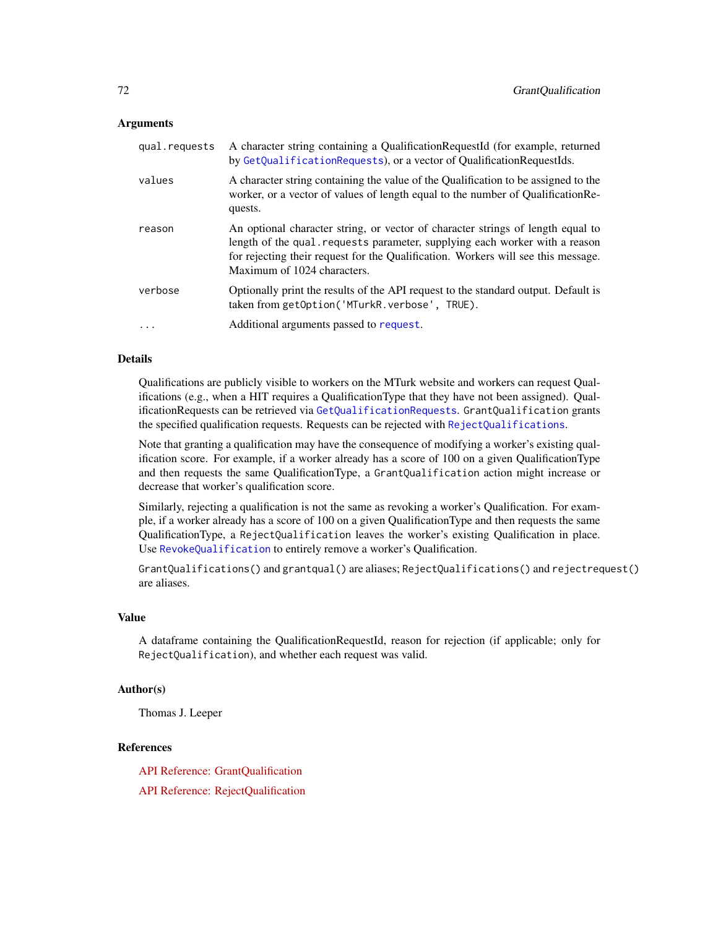### **Arguments**

| A character string containing the value of the Qualification to be assigned to the<br>worker, or a vector of values of length equal to the number of Qualification Re-                                                                                                            |
|-----------------------------------------------------------------------------------------------------------------------------------------------------------------------------------------------------------------------------------------------------------------------------------|
| An optional character string, or vector of character strings of length equal to<br>length of the qual requests parameter, supplying each worker with a reason<br>for rejecting their request for the Qualification. Workers will see this message.<br>Maximum of 1024 characters. |
| Optionally print the results of the API request to the standard output. Default is<br>taken from getOption('MTurkR.verbose', TRUE).                                                                                                                                               |
| Additional arguments passed to request.                                                                                                                                                                                                                                           |
|                                                                                                                                                                                                                                                                                   |

# Details

Qualifications are publicly visible to workers on the MTurk website and workers can request Qualifications (e.g., when a HIT requires a QualificationType that they have not been assigned). QualificationRequests can be retrieved via [GetQualificationRequests](#page-58-0). GrantQualification grants the specified qualification requests. Requests can be rejected with [RejectQualifications](#page-70-1).

Note that granting a qualification may have the consequence of modifying a worker's existing qualification score. For example, if a worker already has a score of 100 on a given QualificationType and then requests the same QualificationType, a GrantQualification action might increase or decrease that worker's qualification score.

Similarly, rejecting a qualification is not the same as revoking a worker's Qualification. For example, if a worker already has a score of 100 on a given QualificationType and then requests the same QualificationType, a RejectQualification leaves the worker's existing Qualification in place. Use [RevokeQualification](#page-82-0) to entirely remove a worker's Qualification.

GrantQualifications() and grantqual() are aliases; RejectQualifications() and rejectrequest() are aliases.

# Value

A dataframe containing the QualificationRequestId, reason for rejection (if applicable; only for RejectQualification), and whether each request was valid.

### Author(s)

Thomas J. Leeper

# References

[API Reference: GrantQualification](http://docs.amazonwebservices.com/AWSMechTurk/latest/AWSMturkAPI/ApiReference_GrantQualificationOperation.html)

[API Reference: RejectQualification](http://docs.amazonwebservices.com/AWSMechTurk/latest/AWSMturkAPI/ApiReference_RejectQualificationRequestOperation.html)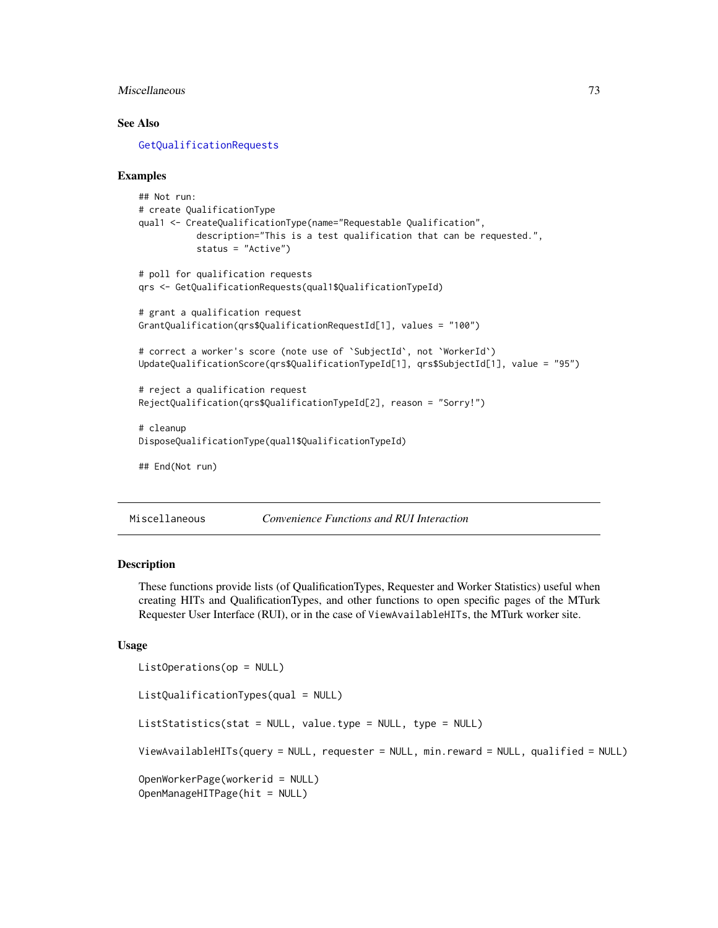# <span id="page-72-1"></span>Miscellaneous 73

# See Also

[GetQualificationRequests](#page-58-0)

#### Examples

```
## Not run:
# create QualificationType
qual1 <- CreateQualificationType(name="Requestable Qualification",
           description="This is a test qualification that can be requested.",
           status = "Active")
# poll for qualification requests
qrs <- GetQualificationRequests(qual1$QualificationTypeId)
# grant a qualification request
GrantQualification(qrs$QualificationRequestId[1], values = "100")
# correct a worker's score (note use of `SubjectId`, not `WorkerId`)
UpdateQualificationScore(qrs$QualificationTypeId[1], qrs$SubjectId[1], value = "95")
# reject a qualification request
RejectQualification(qrs$QualificationTypeId[2], reason = "Sorry!")
# cleanup
DisposeQualificationType(qual1$QualificationTypeId)
## End(Not run)
```
Miscellaneous *Convenience Functions and RUI Interaction*

#### <span id="page-72-0"></span>Description

These functions provide lists (of QualificationTypes, Requester and Worker Statistics) useful when creating HITs and QualificationTypes, and other functions to open specific pages of the MTurk Requester User Interface (RUI), or in the case of ViewAvailableHITs, the MTurk worker site.

#### Usage

```
ListOperations(op = NULL)
ListQualificationTypes(qual = NULL)
ListStatistics(stat = NULL, value.type = NULL, type = NULL)
ViewAvailableHITs(query = NULL, requester = NULL, min.reward = NULL, qualified = NULL)
OpenWorkerPage(workerid = NULL)
OpenManageHITPage(hit = NULL)
```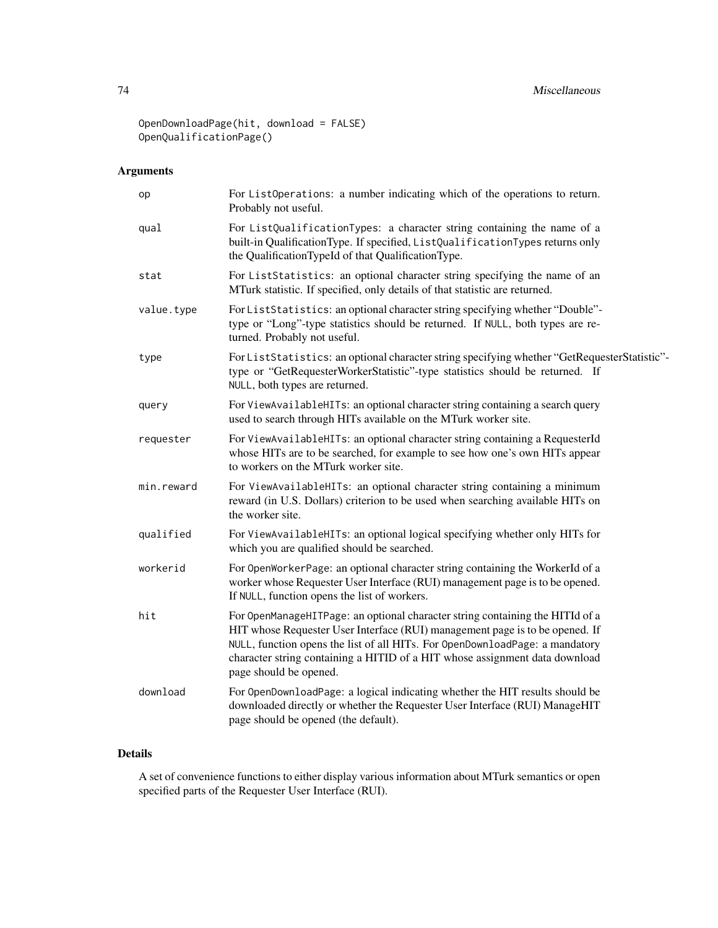# 74 Miscellaneous

OpenDownloadPage(hit, download = FALSE) OpenQualificationPage()

# Arguments

| op         | For ListOperations: a number indicating which of the operations to return.<br>Probably not useful.                                                                                                                                                                                                                                                     |
|------------|--------------------------------------------------------------------------------------------------------------------------------------------------------------------------------------------------------------------------------------------------------------------------------------------------------------------------------------------------------|
| qual       | For ListQualificationTypes: a character string containing the name of a<br>built-in QualificationType. If specified, ListQualificationTypes returns only<br>the QualificationTypeId of that QualificationType.                                                                                                                                         |
| stat       | For ListStatistics: an optional character string specifying the name of an<br>MTurk statistic. If specified, only details of that statistic are returned.                                                                                                                                                                                              |
| value.type | For ListStatistics: an optional character string specifying whether "Double"-<br>type or "Long"-type statistics should be returned. If NULL, both types are re-<br>turned. Probably not useful.                                                                                                                                                        |
| type       | For ListStatistics: an optional character string specifying whether "GetRequesterStatistic"-<br>type or "GetRequesterWorkerStatistic"-type statistics should be returned. If<br>NULL, both types are returned.                                                                                                                                         |
| query      | For ViewAvailableHITs: an optional character string containing a search query<br>used to search through HITs available on the MTurk worker site.                                                                                                                                                                                                       |
| requester  | For ViewAvailableHITs: an optional character string containing a RequesterId<br>whose HITs are to be searched, for example to see how one's own HITs appear<br>to workers on the MTurk worker site.                                                                                                                                                    |
| min.reward | For ViewAvailableHITs: an optional character string containing a minimum<br>reward (in U.S. Dollars) criterion to be used when searching available HITs on<br>the worker site.                                                                                                                                                                         |
| qualified  | For ViewAvailableHITs: an optional logical specifying whether only HITs for<br>which you are qualified should be searched.                                                                                                                                                                                                                             |
| workerid   | For OpenWorkerPage: an optional character string containing the WorkerId of a<br>worker whose Requester User Interface (RUI) management page is to be opened.<br>If NULL, function opens the list of workers.                                                                                                                                          |
| hit        | For OpenManageHITPage: an optional character string containing the HITId of a<br>HIT whose Requester User Interface (RUI) management page is to be opened. If<br>NULL, function opens the list of all HITs. For OpenDownloadPage: a mandatory<br>character string containing a HITID of a HIT whose assignment data download<br>page should be opened. |
| download   | For OpenDownloadPage: a logical indicating whether the HIT results should be<br>downloaded directly or whether the Requester User Interface (RUI) ManageHIT<br>page should be opened (the default).                                                                                                                                                    |
|            |                                                                                                                                                                                                                                                                                                                                                        |

# Details

A set of convenience functions to either display various information about MTurk semantics or open specified parts of the Requester User Interface (RUI).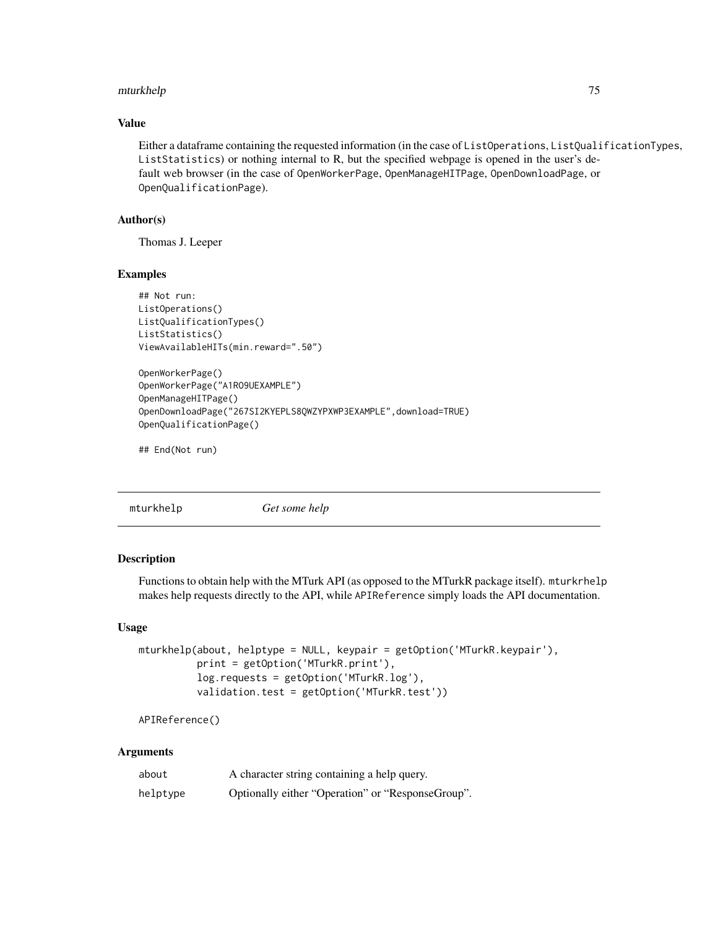#### <span id="page-74-0"></span>mturkhelp 75

# Value

Either a dataframe containing the requested information (in the case of ListOperations, ListQualificationTypes, ListStatistics) or nothing internal to R, but the specified webpage is opened in the user's default web browser (in the case of OpenWorkerPage, OpenManageHITPage, OpenDownloadPage, or OpenQualificationPage).

# Author(s)

Thomas J. Leeper

#### Examples

```
## Not run:
ListOperations()
ListQualificationTypes()
ListStatistics()
ViewAvailableHITs(min.reward=".50")
OpenWorkerPage()
OpenWorkerPage("A1RO9UEXAMPLE")
OpenManageHITPage()
OpenDownloadPage("267SI2KYEPLS8QWZYPXWP3EXAMPLE",download=TRUE)
OpenQualificationPage()
```
## End(Not run)

mturkhelp *Get some help*

#### Description

Functions to obtain help with the MTurk API (as opposed to the MTurkR package itself). mturkrhelp makes help requests directly to the API, while APIReference simply loads the API documentation.

#### Usage

```
mturkhelp(about, helptype = NULL, keypair = getOption('MTurkR.keypair'),
          print = getOption('MTurkR.print'),
          log.requests = getOption('MTurkR.log'),
          validation.test = getOption('MTurkR.test'))
```

```
APIReference()
```

| about    | A character string containing a help query.       |
|----------|---------------------------------------------------|
| helptype | Optionally either "Operation" or "ResponseGroup". |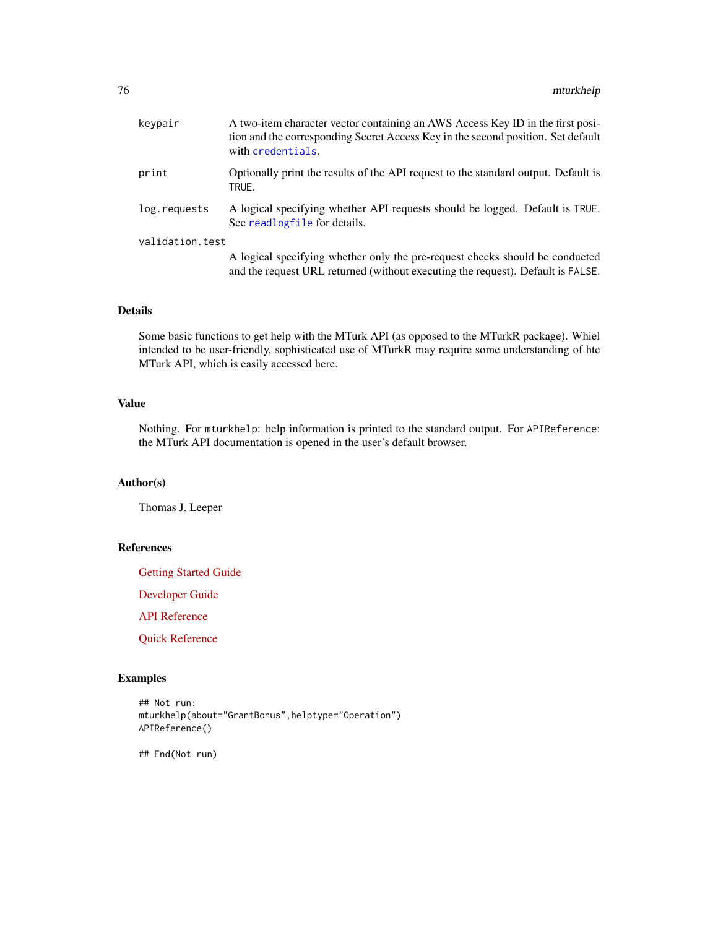<span id="page-75-0"></span>

| keypair         | A two-item character vector containing an AWS Access Key ID in the first posi-<br>tion and the corresponding Secret Access Key in the second position. Set default<br>with credentials. |
|-----------------|-----------------------------------------------------------------------------------------------------------------------------------------------------------------------------------------|
| print           | Optionally print the results of the API request to the standard output. Default is<br>TRUE.                                                                                             |
| log.requests    | A logical specifying whether API requests should be logged. Default is TRUE.<br>See readlogfile for details.                                                                            |
| validation.test |                                                                                                                                                                                         |
|                 | A logical specifying whether only the pre-request checks should be conducted<br>and the request URL returned (without executing the request). Default is FALSE.                         |

Some basic functions to get help with the MTurk API (as opposed to the MTurkR package). Whiel intended to be user-friendly, sophisticated use of MTurkR may require some understanding of hte MTurk API, which is easily accessed here.

# Value

Nothing. For mturkhelp: help information is printed to the standard output. For APIReference: the MTurk API documentation is opened in the user's default browser.

# Author(s)

Thomas J. Leeper

# References

[Getting Started Guide](http://docs.amazonwebservices.com/AWSMechTurk/latest/AWSMechanicalTurkGettingStartedGuide/Welcome.html?r=9808)

[Developer Guide](http://docs.amazonwebservices.com/AWSMechTurk/latest/AWSMechanicalTurkRequester/Welcome.html?r=349)

[API Reference](http://docs.amazonwebservices.com/AWSMechTurk/latest/AWSMturkAPI/Welcome.html?r=3235)

[Quick Reference](http://awsdocs.s3.amazonaws.com/MechTurk/latest/QRC-MTurk.pdf)

#### Examples

```
## Not run:
mturkhelp(about="GrantBonus",helptype="Operation")
APIReference()
```
## End(Not run)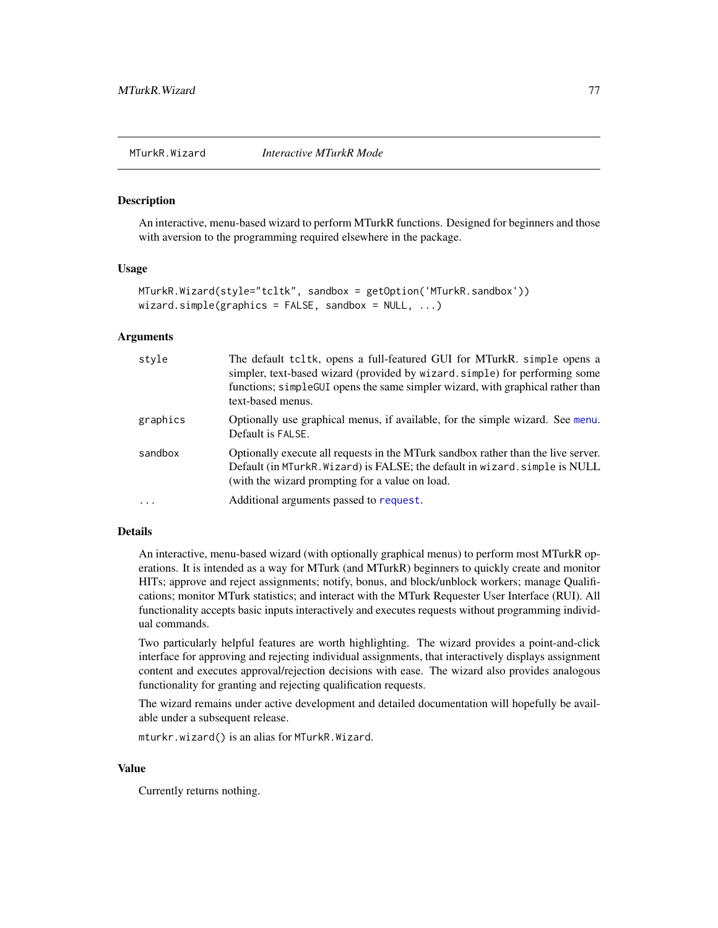<span id="page-76-1"></span><span id="page-76-0"></span>

#### **Description**

An interactive, menu-based wizard to perform MTurkR functions. Designed for beginners and those with aversion to the programming required elsewhere in the package.

#### Usage

```
MTurkR.Wizard(style="tcltk", sandbox = getOption('MTurkR.sandbox'))
wizard.simple(graphics = FALSE, sandbox = NULL, ...)
```
#### Arguments

| style    | The default tcltk, opens a full-featured GUI for MTurkR. simple opens a<br>simpler, text-based wizard (provided by wizard. simple) for performing some<br>functions; simple GUI opens the same simpler wizard, with graphical rather than<br>text-based menus. |
|----------|----------------------------------------------------------------------------------------------------------------------------------------------------------------------------------------------------------------------------------------------------------------|
| graphics | Optionally use graphical menus, if available, for the simple wizard. See menu.<br>Default is FALSE.                                                                                                                                                            |
| sandbox  | Optionally execute all requests in the MTurk sandbox rather than the live server.<br>Default (in MTurkR. Wizard) is FALSE; the default in wizard. simple is NULL<br>(with the wizard prompting for a value on load.)                                           |
| .        | Additional arguments passed to request.                                                                                                                                                                                                                        |

# Details

An interactive, menu-based wizard (with optionally graphical menus) to perform most MTurkR operations. It is intended as a way for MTurk (and MTurkR) beginners to quickly create and monitor HITs; approve and reject assignments; notify, bonus, and block/unblock workers; manage Qualifications; monitor MTurk statistics; and interact with the MTurk Requester User Interface (RUI). All functionality accepts basic inputs interactively and executes requests without programming individual commands.

Two particularly helpful features are worth highlighting. The wizard provides a point-and-click interface for approving and rejecting individual assignments, that interactively displays assignment content and executes approval/rejection decisions with ease. The wizard also provides analogous functionality for granting and rejecting qualification requests.

The wizard remains under active development and detailed documentation will hopefully be available under a subsequent release.

mturkr.wizard() is an alias for MTurkR.Wizard.

# Value

Currently returns nothing.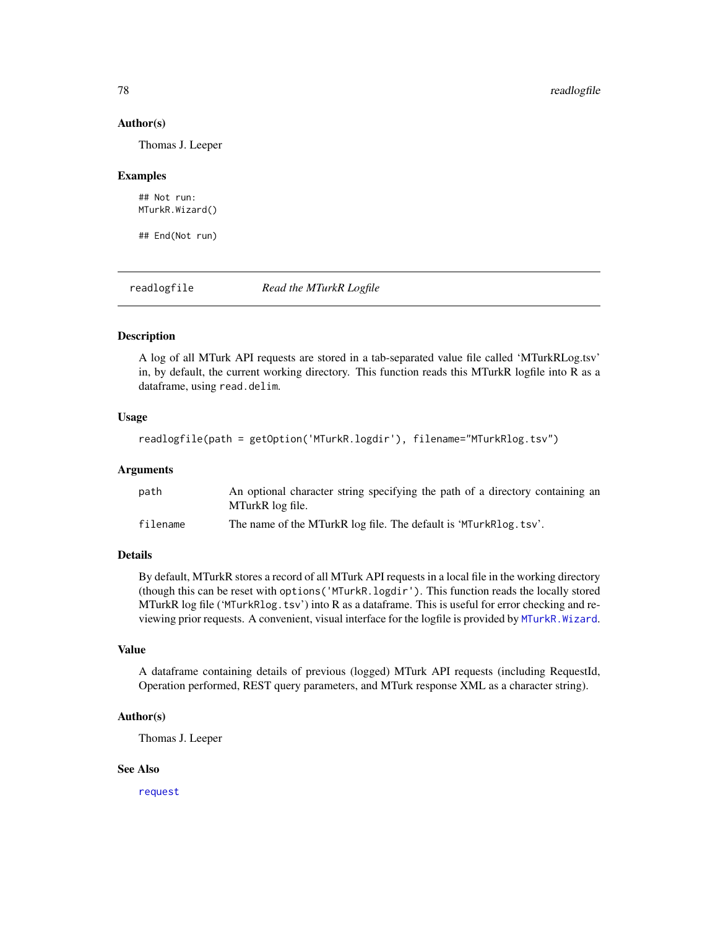#### Author(s)

Thomas J. Leeper

#### Examples

## Not run: MTurkR.Wizard()

## End(Not run)

<span id="page-77-0"></span>readlogfile *Read the MTurkR Logfile*

### Description

A log of all MTurk API requests are stored in a tab-separated value file called 'MTurkRLog.tsv' in, by default, the current working directory. This function reads this MTurkR logfile into R as a dataframe, using read.delim.

### Usage

```
readlogfile(path = getOption('MTurkR.logdir'), filename="MTurkRlog.tsv")
```
#### Arguments

| path     | An optional character string specifying the path of a directory containing an<br>MTurkR log file. |
|----------|---------------------------------------------------------------------------------------------------|
| filename | The name of the MTurkR log file. The default is 'MTurkRlog.tsv'.                                  |

# Details

By default, MTurkR stores a record of all MTurk API requests in a local file in the working directory (though this can be reset with options('MTurkR.logdir'). This function reads the locally stored MTurkR log file ('MTurkRlog.tsv') into R as a dataframe. This is useful for error checking and reviewing prior requests. A convenient, visual interface for the logfile is provided by [MTurkR.Wizard](#page-76-0).

# Value

A dataframe containing details of previous (logged) MTurk API requests (including RequestId, Operation performed, REST query parameters, and MTurk response XML as a character string).

#### Author(s)

Thomas J. Leeper

#### See Also

[request](#page-81-0)

<span id="page-77-1"></span>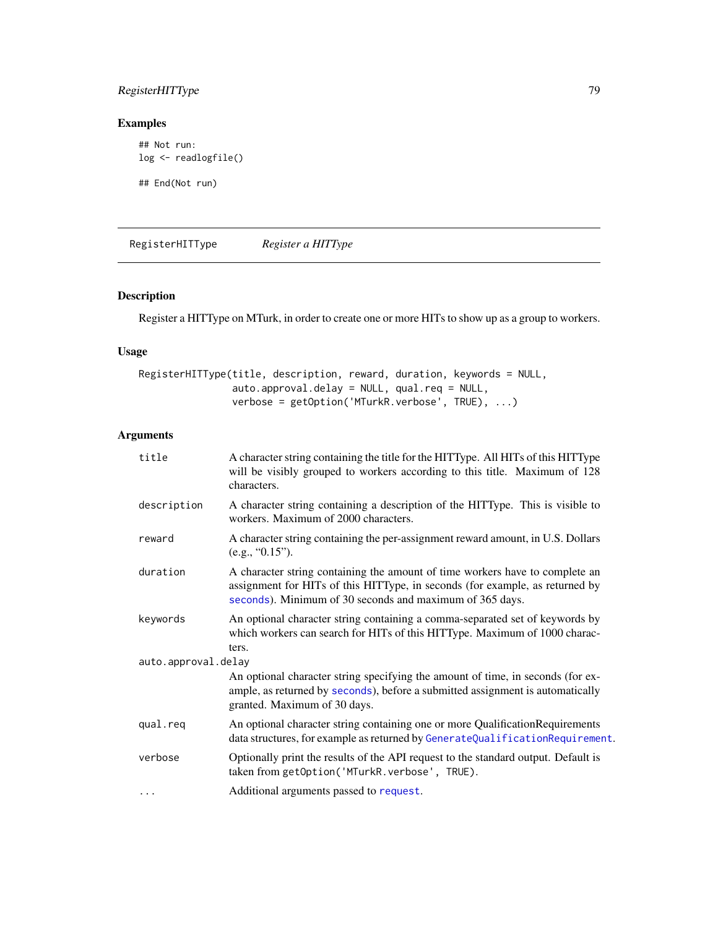# <span id="page-78-0"></span>RegisterHITType 79

# Examples

```
## Not run:
log <- readlogfile()
```
## End(Not run)

RegisterHITType *Register a HITType*

# Description

Register a HITType on MTurk, in order to create one or more HITs to show up as a group to workers.

# Usage

```
RegisterHITType(title, description, reward, duration, keywords = NULL,
                auto.approval.delay = NULL, qual.req = NULL,
                verbose = getOption('MTurkR.verbose', TRUE), ...)
```

| title               | A character string containing the title for the HITType. All HITs of this HITType<br>will be visibly grouped to workers according to this title. Maximum of 128<br>characters.                                           |
|---------------------|--------------------------------------------------------------------------------------------------------------------------------------------------------------------------------------------------------------------------|
| description         | A character string containing a description of the HITType. This is visible to<br>workers. Maximum of 2000 characters.                                                                                                   |
| reward              | A character string containing the per-assignment reward amount, in U.S. Dollars<br>(e.g., "0.15").                                                                                                                       |
| duration            | A character string containing the amount of time workers have to complete an<br>assignment for HITs of this HITType, in seconds (for example, as returned by<br>seconds). Minimum of 30 seconds and maximum of 365 days. |
| keywords            | An optional character string containing a comma-separated set of keywords by<br>which workers can search for HITs of this HITType. Maximum of 1000 charac-<br>ters.                                                      |
| auto.approval.delay |                                                                                                                                                                                                                          |
|                     | An optional character string specifying the amount of time, in seconds (for ex-<br>ample, as returned by seconds), before a submitted assignment is automatically<br>granted. Maximum of 30 days.                        |
| qual.req            | An optional character string containing one or more Qualification Requirements<br>data structures, for example as returned by GenerateQualificationRequirement.                                                          |
| verbose             | Optionally print the results of the API request to the standard output. Default is<br>taken from getOption('MTurkR.verbose', TRUE).                                                                                      |
| $\cdots$            | Additional arguments passed to request.                                                                                                                                                                                  |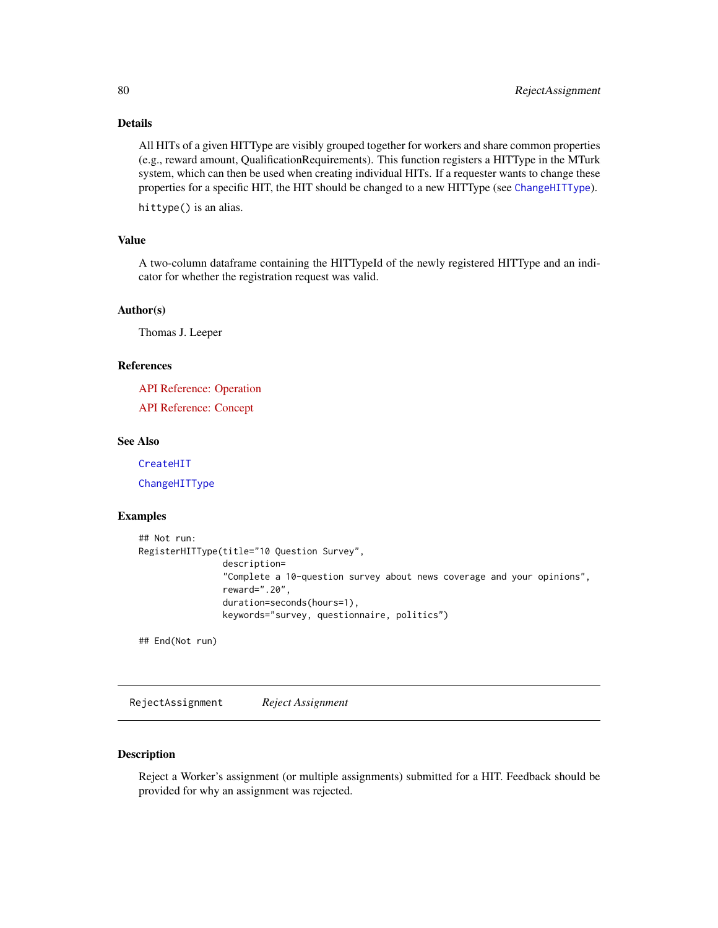<span id="page-79-0"></span>All HITs of a given HITType are visibly grouped together for workers and share common properties (e.g., reward amount, QualificationRequirements). This function registers a HITType in the MTurk system, which can then be used when creating individual HITs. If a requester wants to change these properties for a specific HIT, the HIT should be changed to a new HITType (see [ChangeHITType](#page-14-0)).

hittype() is an alias.

#### Value

A two-column dataframe containing the HITTypeId of the newly registered HITType and an indicator for whether the registration request was valid.

### Author(s)

Thomas J. Leeper

# References

[API Reference: Operation](http://docs.amazonwebservices.com/AWSMechTurk/latest/AWSMturkAPI/ApiReference_RegisterHITTypeOperation.html)

[API Reference: Concept](http://docs.amazonwebservices.com/AWSMechTurk/latest/AWSMechanicalTurkRequester/Concepts_HITTypesArticle.html)

### See Also

[CreateHIT](#page-19-0)

[ChangeHITType](#page-14-0)

#### Examples

```
## Not run:
RegisterHITType(title="10 Question Survey",
                description=
                "Complete a 10-question survey about news coverage and your opinions",
                reward=".20",
                duration=seconds(hours=1),
                keywords="survey, questionnaire, politics")
```
## End(Not run)

RejectAssignment *Reject Assignment*

#### Description

Reject a Worker's assignment (or multiple assignments) submitted for a HIT. Feedback should be provided for why an assignment was rejected.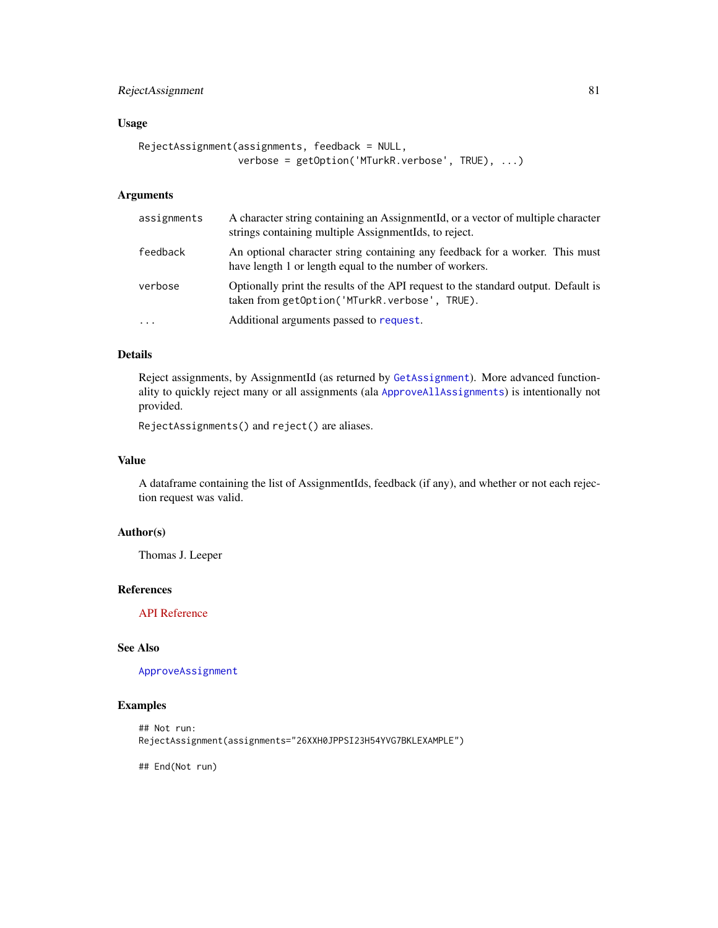# <span id="page-80-0"></span>RejectAssignment 81

### Usage

```
RejectAssignment(assignments, feedback = NULL,
                 verbose = getOption('MTurkR.verbose', TRUE), ...)
```
# Arguments

| assignments | A character string containing an AssignmentId, or a vector of multiple character<br>strings containing multiple AssignmentIds, to reject. |
|-------------|-------------------------------------------------------------------------------------------------------------------------------------------|
| feedback    | An optional character string containing any feedback for a worker. This must<br>have length 1 or length equal to the number of workers.   |
| verbose     | Optionally print the results of the API request to the standard output. Default is<br>taken from getOption('MTurkR.verbose', TRUE).       |
| $\ddotsc$   | Additional arguments passed to request.                                                                                                   |

# Details

Reject assignments, by AssignmentId (as returned by [GetAssignment](#page-49-0)). More advanced functionality to quickly reject many or all assignments (ala [ApproveAllAssignments](#page-4-0)) is intentionally not provided.

RejectAssignments() and reject() are aliases.

#### Value

A dataframe containing the list of AssignmentIds, feedback (if any), and whether or not each rejection request was valid.

#### Author(s)

Thomas J. Leeper

#### References

[API Reference](http://docs.amazonwebservices.com/AWSMechTurk/latest/AWSMturkAPI/ApiReference_RejectAssignmentOperation.html)

# See Also

#### [ApproveAssignment](#page-4-1)

# Examples

```
## Not run:
RejectAssignment(assignments="26XXH0JPPSI23H54YVG7BKLEXAMPLE")
```
## End(Not run)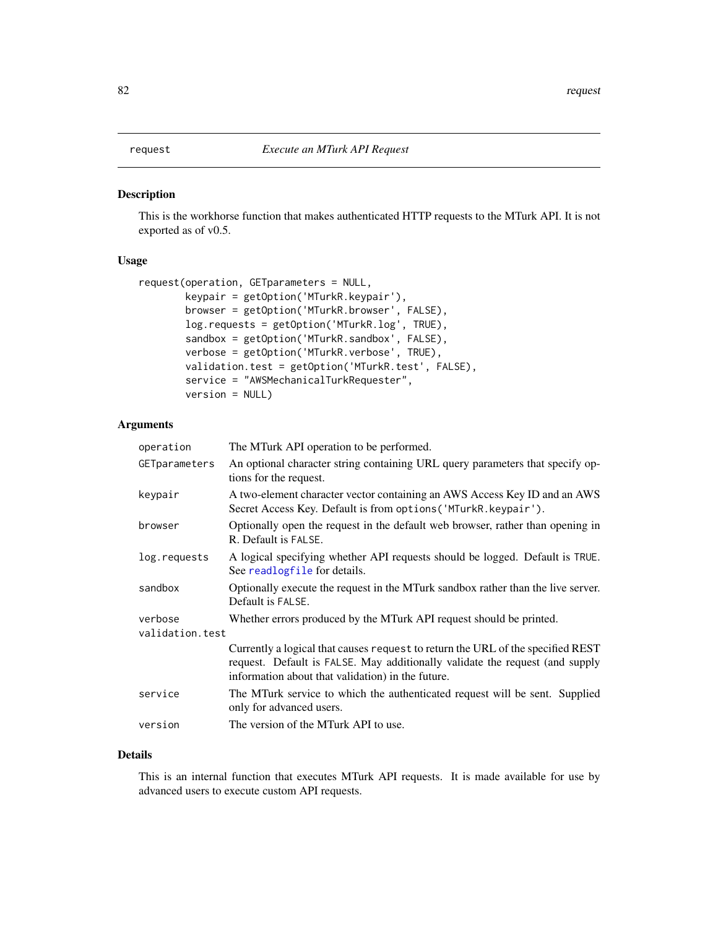# <span id="page-81-1"></span><span id="page-81-0"></span>Description

This is the workhorse function that makes authenticated HTTP requests to the MTurk API. It is not exported as of v0.5.

#### Usage

```
request(operation, GETparameters = NULL,
       keypair = getOption('MTurkR.keypair'),
       browser = getOption('MTurkR.browser', FALSE),
       log.requests = getOption('MTurkR.log', TRUE),
       sandbox = getOption('MTurkR.sandbox', FALSE),
       verbose = getOption('MTurkR.verbose', TRUE),
       validation.test = getOption('MTurkR.test', FALSE),
       service = "AWSMechanicalTurkRequester",
       version = NULL)
```
# Arguments

| operation                  | The MTurk API operation to be performed.                                                                                                                                                                             |
|----------------------------|----------------------------------------------------------------------------------------------------------------------------------------------------------------------------------------------------------------------|
| GETparameters              | An optional character string containing URL query parameters that specify op-<br>tions for the request.                                                                                                              |
| keypair                    | A two-element character vector containing an AWS Access Key ID and an AWS<br>Secret Access Key. Default is from options ('MTurkR. keypair').                                                                         |
| browser                    | Optionally open the request in the default web browser, rather than opening in<br>R. Default is FALSE.                                                                                                               |
| log.requests               | A logical specifying whether API requests should be logged. Default is TRUE.<br>See readlogfile for details.                                                                                                         |
| sandbox                    | Optionally execute the request in the MTurk sandbox rather than the live server.<br>Default is FALSE.                                                                                                                |
| verbose<br>validation.test | Whether errors produced by the MTurk API request should be printed.                                                                                                                                                  |
|                            | Currently a logical that causes request to return the URL of the specified REST<br>request. Default is FALSE. May additionally validate the request (and supply<br>information about that validation) in the future. |
| service                    | The MTurk service to which the authenticated request will be sent. Supplied<br>only for advanced users.                                                                                                              |
| version                    | The version of the MTurk API to use.                                                                                                                                                                                 |

# Details

This is an internal function that executes MTurk API requests. It is made available for use by advanced users to execute custom API requests.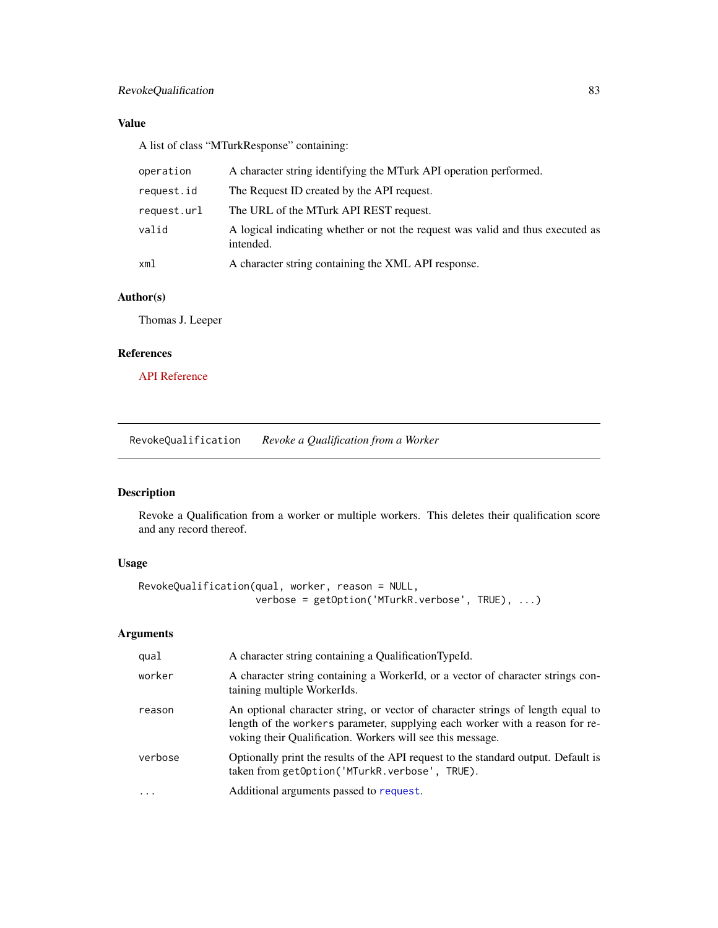# <span id="page-82-0"></span>Value

A list of class "MTurkResponse" containing:

| operation   | A character string identifying the MTurk API operation performed.                           |
|-------------|---------------------------------------------------------------------------------------------|
| request.id  | The Request ID created by the API request.                                                  |
| request.url | The URL of the MTurk API REST request.                                                      |
| valid       | A logical indicating whether or not the request was valid and thus executed as<br>intended. |
| xml         | A character string containing the XML API response.                                         |

# Author(s)

Thomas J. Leeper

### References

[API Reference](http://docs.amazonwebservices.com/AWSMechTurk/latest/AWSMechanicalTurkRequester/MakingRequestsArticle.html)

RevokeQualification *Revoke a Qualification from a Worker*

# Description

Revoke a Qualification from a worker or multiple workers. This deletes their qualification score and any record thereof.

# Usage

```
RevokeQualification(qual, worker, reason = NULL,
                    verbose = getOption('MTurkR.verbose', TRUE), ...)
```

| qual                    | A character string containing a QualificationTypeId.                                                                                                                                                                          |
|-------------------------|-------------------------------------------------------------------------------------------------------------------------------------------------------------------------------------------------------------------------------|
| worker                  | A character string containing a WorkerId, or a vector of character strings con-<br>taining multiple WorkerIds.                                                                                                                |
| reason                  | An optional character string, or vector of character strings of length equal to<br>length of the workers parameter, supplying each worker with a reason for re-<br>voking their Qualification. Workers will see this message. |
| verbose                 | Optionally print the results of the API request to the standard output. Default is<br>taken from getOption('MTurkR.verbose', TRUE).                                                                                           |
| $\cdot$ $\cdot$ $\cdot$ | Additional arguments passed to request.                                                                                                                                                                                       |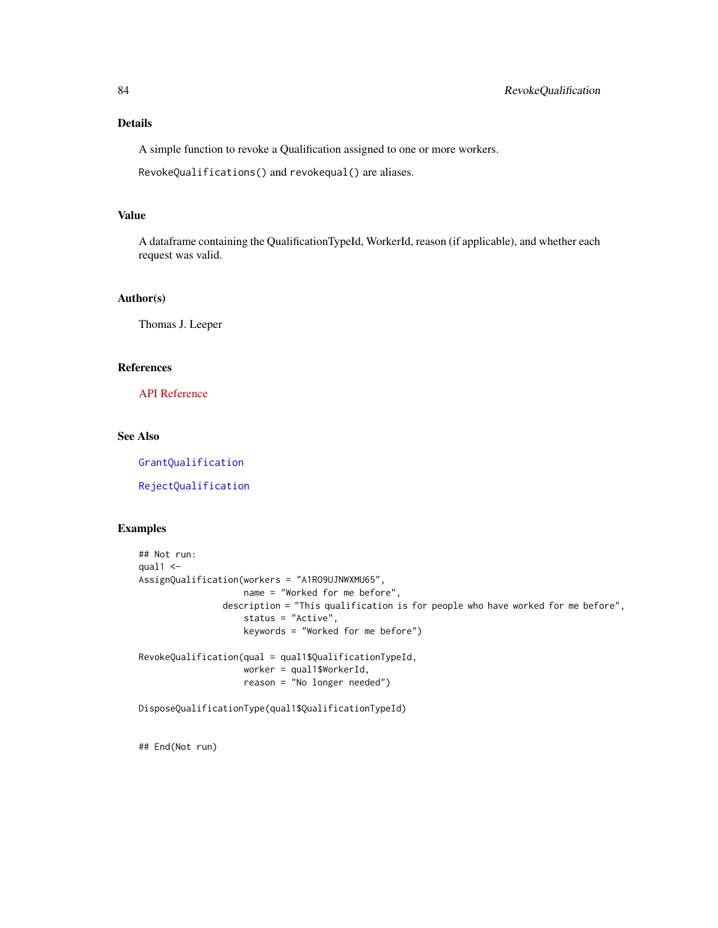<span id="page-83-0"></span>A simple function to revoke a Qualification assigned to one or more workers.

RevokeQualifications() and revokequal() are aliases.

### Value

A dataframe containing the QualificationTypeId, WorkerId, reason (if applicable), and whether each request was valid.

#### Author(s)

Thomas J. Leeper

### References

[API Reference](http://docs.amazonwebservices.com/AWSMechTurk/latest/AWSMturkAPI/ApiReference_RevokeQualificationOperation.html)

#### See Also

[GrantQualification](#page-70-0)

[RejectQualification](#page-70-1)

# Examples

```
## Not run:
qual1 < -AssignQualification(workers = "A1RO9UJNWXMU65",
                   name = "Worked for me before",
                description = "This qualification is for people who have worked for me before",
                    status = "Active",
                    keywords = "Worked for me before")
RevokeQualification(qual = qual1$QualificationTypeId,
                    worker = qual1$WorkerId,
                    reason = "No longer needed")
```
DisposeQualificationType(qual1\$QualificationTypeId)

## End(Not run)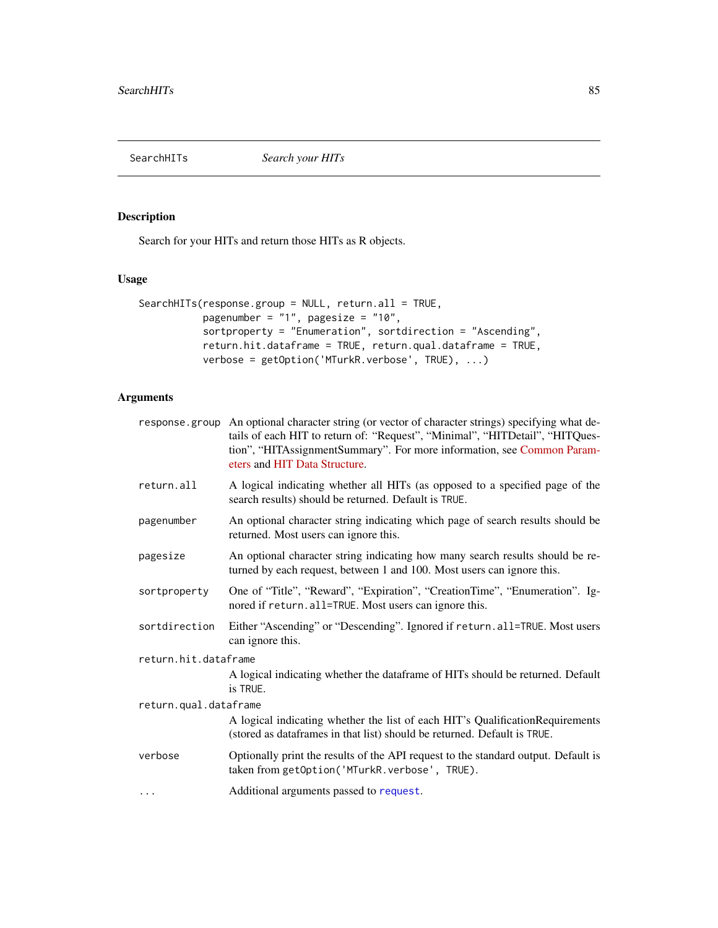<span id="page-84-1"></span><span id="page-84-0"></span>

# Description

Search for your HITs and return those HITs as R objects.

# Usage

```
SearchHITs(response.group = NULL, return.all = TRUE,
           pagenumber = "1", pagesize = "10",
           sortproperty = "Enumeration", sortdirection = "Ascending",
           return.hit.dataframe = TRUE, return.qual.dataframe = TRUE,
           verbose = getOption('MTurkR.verbose', TRUE), ...)
```

|                       | response group An optional character string (or vector of character strings) specifying what de-<br>tails of each HIT to return of: "Request", "Minimal", "HITDetail", "HITQues-<br>tion", "HITAssignmentSummary". For more information, see Common Param-<br>eters and HIT Data Structure. |  |
|-----------------------|---------------------------------------------------------------------------------------------------------------------------------------------------------------------------------------------------------------------------------------------------------------------------------------------|--|
| return.all            | A logical indicating whether all HITs (as opposed to a specified page of the<br>search results) should be returned. Default is TRUE.                                                                                                                                                        |  |
| pagenumber            | An optional character string indicating which page of search results should be<br>returned. Most users can ignore this.                                                                                                                                                                     |  |
| pagesize              | An optional character string indicating how many search results should be re-<br>turned by each request, between 1 and 100. Most users can ignore this.                                                                                                                                     |  |
| sortproperty          | One of "Title", "Reward", "Expiration", "CreationTime", "Enumeration". Ig-<br>nored if return. all=TRUE. Most users can ignore this.                                                                                                                                                        |  |
| sortdirection         | Either "Ascending" or "Descending". Ignored if return.all=TRUE. Most users<br>can ignore this.                                                                                                                                                                                              |  |
| return.hit.dataframe  |                                                                                                                                                                                                                                                                                             |  |
|                       | A logical indicating whether the dataframe of HITs should be returned. Default<br>is TRUE.                                                                                                                                                                                                  |  |
| return.qual.dataframe |                                                                                                                                                                                                                                                                                             |  |
|                       | A logical indicating whether the list of each HIT's QualificationRequirements<br>(stored as dataframes in that list) should be returned. Default is TRUE.                                                                                                                                   |  |
| verbose               | Optionally print the results of the API request to the standard output. Default is<br>taken from getOption('MTurkR.verbose', TRUE).                                                                                                                                                         |  |
| $\cdots$              | Additional arguments passed to request.                                                                                                                                                                                                                                                     |  |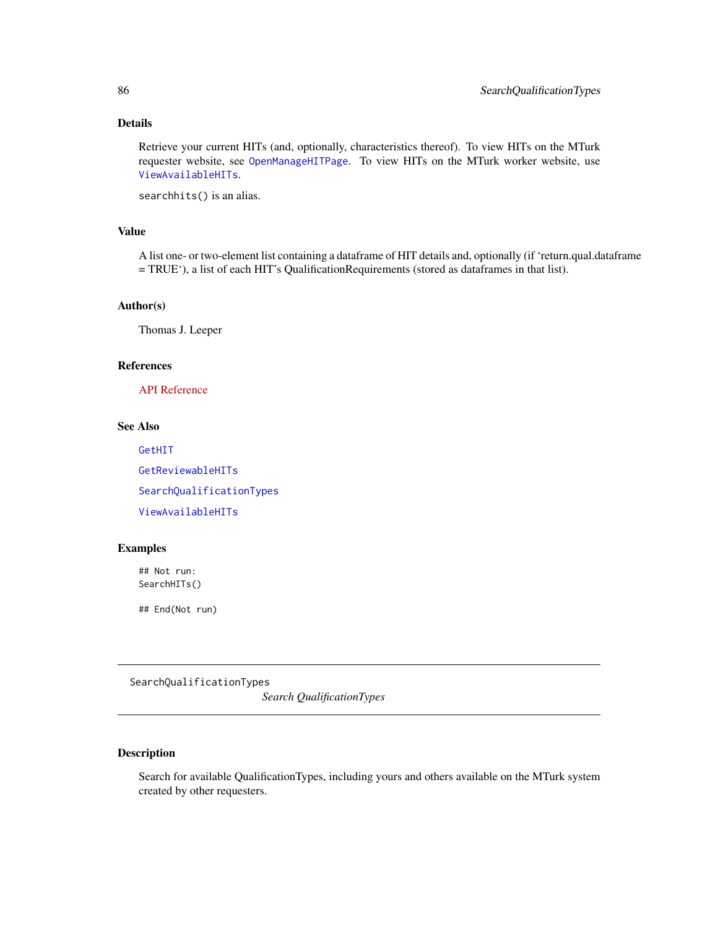<span id="page-85-1"></span>Retrieve your current HITs (and, optionally, characteristics thereof). To view HITs on the MTurk requester website, see [OpenManageHITPage](#page-72-0). To view HITs on the MTurk worker website, use [ViewAvailableHITs](#page-72-0).

searchhits() is an alias.

# Value

A list one- or two-element list containing a dataframe of HIT details and, optionally (if 'return.qual.dataframe = TRUE'), a list of each HIT's QualificationRequirements (stored as dataframes in that list).

#### Author(s)

Thomas J. Leeper

# References

[API Reference](http://docs.amazonwebservices.com/AWSMechTurk/latest/AWSMturkAPI/ApiReference_SearchHITsOperation.html)

# See Also

[GetHIT](#page-55-0) [GetReviewableHITs](#page-64-0) [SearchQualificationTypes](#page-85-0) [ViewAvailableHITs](#page-72-0)

# Examples

## Not run: SearchHITs()

## End(Not run)

<span id="page-85-0"></span>SearchQualificationTypes

*Search QualificationTypes*

# Description

Search for available QualificationTypes, including yours and others available on the MTurk system created by other requesters.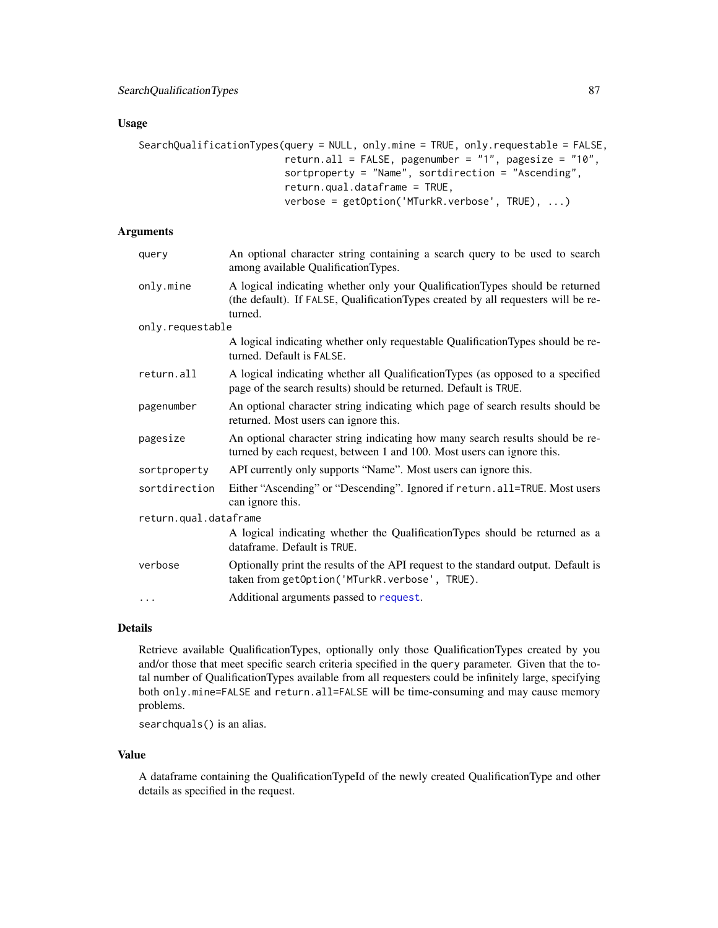#### <span id="page-86-0"></span>Usage

```
SearchQualificationTypes(query = NULL, only.mine = TRUE, only.requestable = FALSE,
                         return.all = FALSE, pagenumber = "1", pagesize = "10",
                         sortproperty = "Name", sortdirection = "Ascending",
                         return.qual.dataframe = TRUE,
                         verbose = getOption('MTurkR.verbose', TRUE), ...)
```
# Arguments

| query                 | An optional character string containing a search query to be used to search<br>among available QualificationTypes.                                                           |  |
|-----------------------|------------------------------------------------------------------------------------------------------------------------------------------------------------------------------|--|
| only.mine             | A logical indicating whether only your QualificationTypes should be returned<br>(the default). If FALSE, QualificationTypes created by all requesters will be re-<br>turned. |  |
| only.requestable      |                                                                                                                                                                              |  |
|                       | A logical indicating whether only requestable QualificationTypes should be re-<br>turned. Default is FALSE.                                                                  |  |
| return.all            | A logical indicating whether all QualificationTypes (as opposed to a specified<br>page of the search results) should be returned. Default is TRUE.                           |  |
| pagenumber            | An optional character string indicating which page of search results should be<br>returned. Most users can ignore this.                                                      |  |
| pagesize              | An optional character string indicating how many search results should be re-<br>turned by each request, between 1 and 100. Most users can ignore this.                      |  |
| sortproperty          | API currently only supports "Name". Most users can ignore this.                                                                                                              |  |
| sortdirection         | Either "Ascending" or "Descending". Ignored if return.all=TRUE. Most users<br>can ignore this.                                                                               |  |
| return.qual.dataframe |                                                                                                                                                                              |  |
|                       | A logical indicating whether the QualificationTypes should be returned as a<br>dataframe. Default is TRUE.                                                                   |  |
| verbose               | Optionally print the results of the API request to the standard output. Default is<br>taken from getOption('MTurkR.verbose', TRUE).                                          |  |
| $\cdots$              | Additional arguments passed to request.                                                                                                                                      |  |

# Details

Retrieve available QualificationTypes, optionally only those QualificationTypes created by you and/or those that meet specific search criteria specified in the query parameter. Given that the total number of QualificationTypes available from all requesters could be infinitely large, specifying both only.mine=FALSE and return.all=FALSE will be time-consuming and may cause memory problems.

searchquals() is an alias.

#### Value

A dataframe containing the QualificationTypeId of the newly created QualificationType and other details as specified in the request.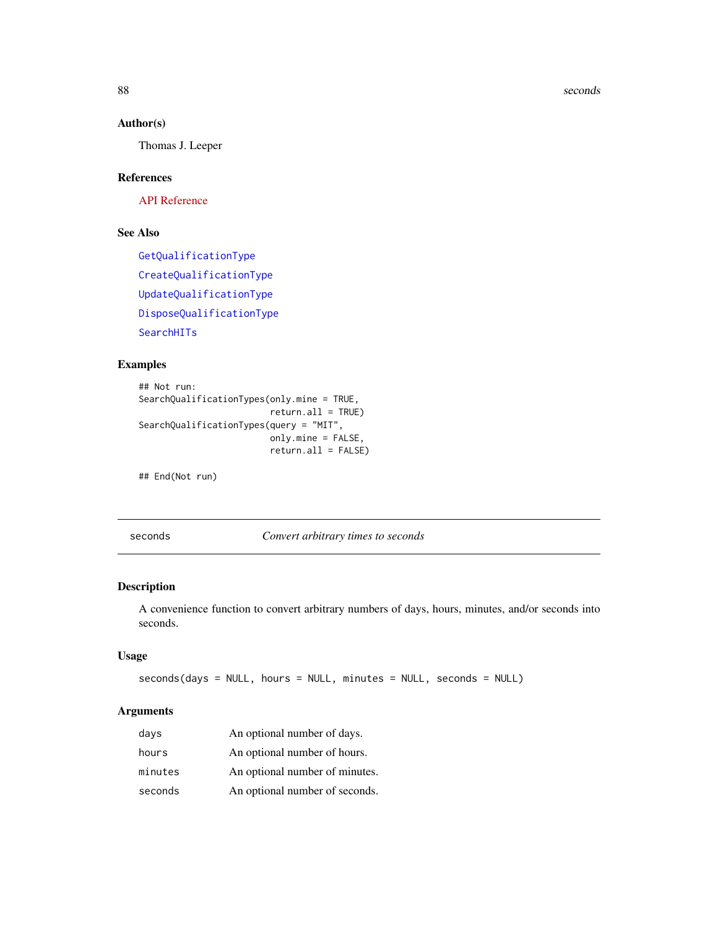#### 88 seconds and the seconds of the seconds of the seconds of the seconds of the seconds of the seconds of the seconds of the seconds of the seconds of the seconds of the seconds of the seconds of the seconds of the seconds

# Author(s)

Thomas J. Leeper

# References

[API Reference](http://docs.amazonwebservices.com/AWSMechTurk/latest/AWSMturkAPI/ApiReference_SearchQualificationTypesOperation.html)

# See Also

[GetQualificationType](#page-63-0) [CreateQualificationType](#page-22-0) [UpdateQualificationType](#page-95-0) [DisposeQualificationType](#page-29-0) [SearchHITs](#page-84-0)

#### Examples

```
## Not run:
SearchQualificationTypes(only.mine = TRUE,
                        return.all = TRUE)
SearchQualificationTypes(query = "MIT",
                        only.mine = FALSE,
                        return.all = FALSE)
```
## End(Not run)

<span id="page-87-0"></span>seconds *Convert arbitrary times to seconds*

# Description

A convenience function to convert arbitrary numbers of days, hours, minutes, and/or seconds into seconds.

# Usage

```
seconds(days = NULL, hours = NULL, minutes = NULL, seconds = NULL)
```

| davs    | An optional number of days.    |
|---------|--------------------------------|
| hours   | An optional number of hours.   |
| minutes | An optional number of minutes. |
| seconds | An optional number of seconds. |

<span id="page-87-1"></span>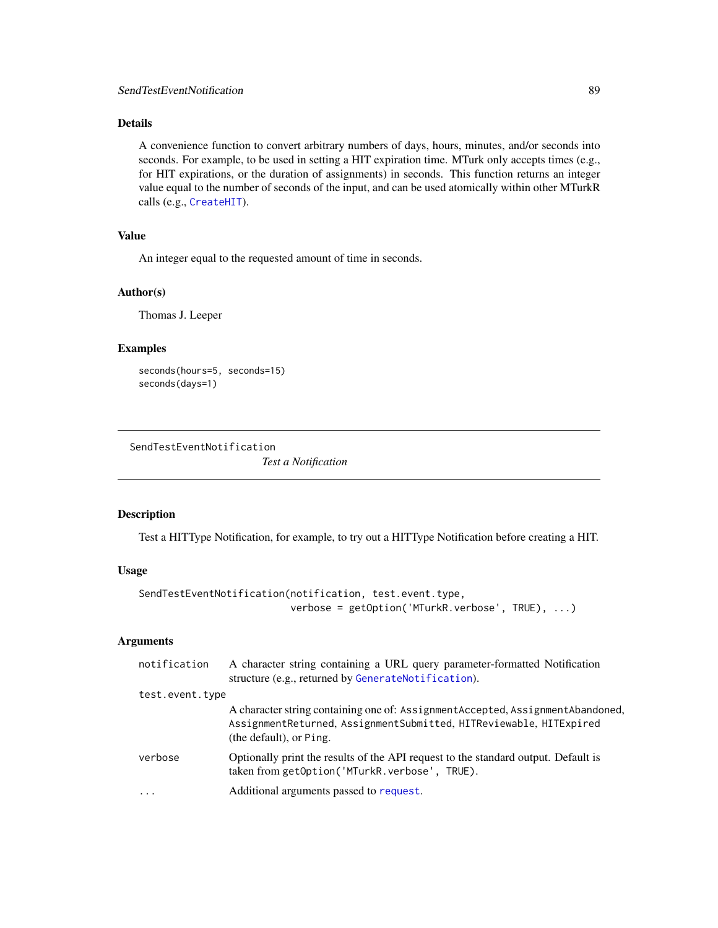<span id="page-88-1"></span>A convenience function to convert arbitrary numbers of days, hours, minutes, and/or seconds into seconds. For example, to be used in setting a HIT expiration time. MTurk only accepts times (e.g., for HIT expirations, or the duration of assignments) in seconds. This function returns an integer value equal to the number of seconds of the input, and can be used atomically within other MTurkR calls (e.g., [CreateHIT](#page-19-0)).

#### Value

An integer equal to the requested amount of time in seconds.

#### Author(s)

Thomas J. Leeper

#### Examples

```
seconds(hours=5, seconds=15)
seconds(days=1)
```
<span id="page-88-0"></span>SendTestEventNotification

*Test a Notification*

# Description

Test a HITType Notification, for example, to try out a HITType Notification before creating a HIT.

#### Usage

```
SendTestEventNotification(notification, test.event.type,
                          verbose = getOption('MTurkR.verbose', TRUE), ...)
```

| notification    | A character string containing a URL query parameter-formatted Notification<br>structure (e.g., returned by GenerateNotification).                                                 |
|-----------------|-----------------------------------------------------------------------------------------------------------------------------------------------------------------------------------|
| test.event.type |                                                                                                                                                                                   |
|                 | A character string containing one of: Assignment Accepted, Assignment Abandoned,<br>AssignmentReturned, AssignmentSubmitted, HITReviewable, HITExpired<br>(the default), or Ping. |
| verbose         | Optionally print the results of the API request to the standard output. Default is<br>taken from getOption('MTurkR.verbose', TRUE).                                               |
| $\ddotsc$       | Additional arguments passed to request.                                                                                                                                           |
|                 |                                                                                                                                                                                   |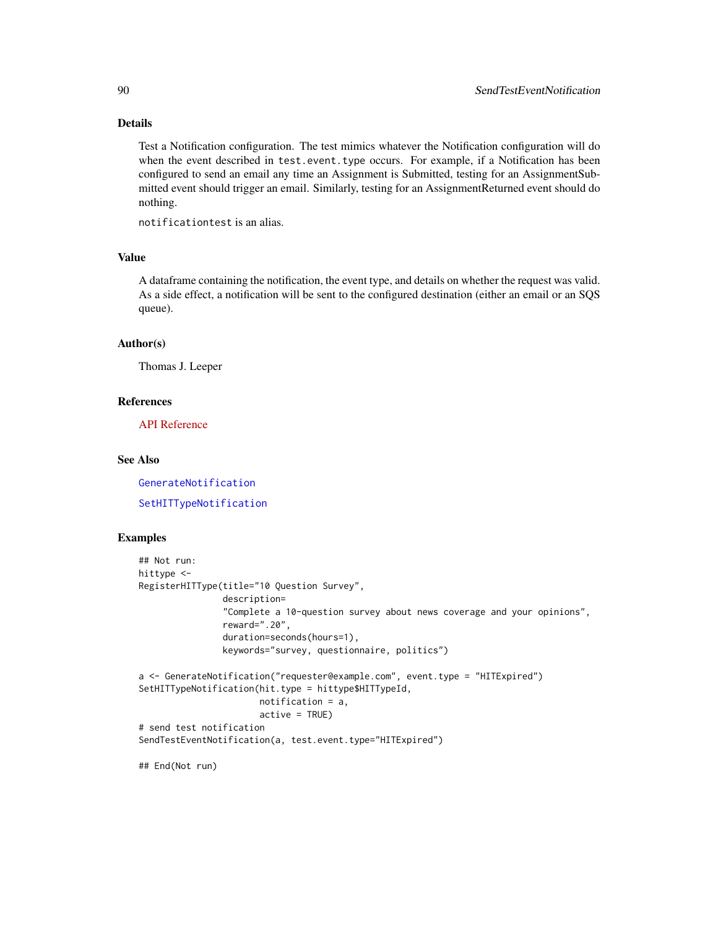Test a Notification configuration. The test mimics whatever the Notification configuration will do when the event described in test.event.type occurs. For example, if a Notification has been configured to send an email any time an Assignment is Submitted, testing for an AssignmentSubmitted event should trigger an email. Similarly, testing for an AssignmentReturned event should do nothing.

notificationtest is an alias.

# Value

A dataframe containing the notification, the event type, and details on whether the request was valid. As a side effect, a notification will be sent to the configured destination (either an email or an SQS queue).

#### Author(s)

Thomas J. Leeper

#### References

[API Reference](http://docs.amazonwebservices.com/AWSMechTurk/latest/AWSMturkAPI/ApiReference_SendTestEventNotificationOperation.html)

#### See Also

[GenerateNotification](#page-42-0) [SetHITTypeNotification](#page-91-0)

#### Examples

```
## Not run:
hittype <-
RegisterHITType(title="10 Question Survey",
                description=
                "Complete a 10-question survey about news coverage and your opinions",
                reward=".20",
                duration=seconds(hours=1),
                keywords="survey, questionnaire, politics")
a <- GenerateNotification("requester@example.com", event.type = "HITExpired")
SetHITTypeNotification(hit.type = hittype$HITTypeId,
                       notification = a,
                       active = TRUE)
# send test notification
SendTestEventNotification(a, test.event.type="HITExpired")
## End(Not run)
```
<span id="page-89-0"></span>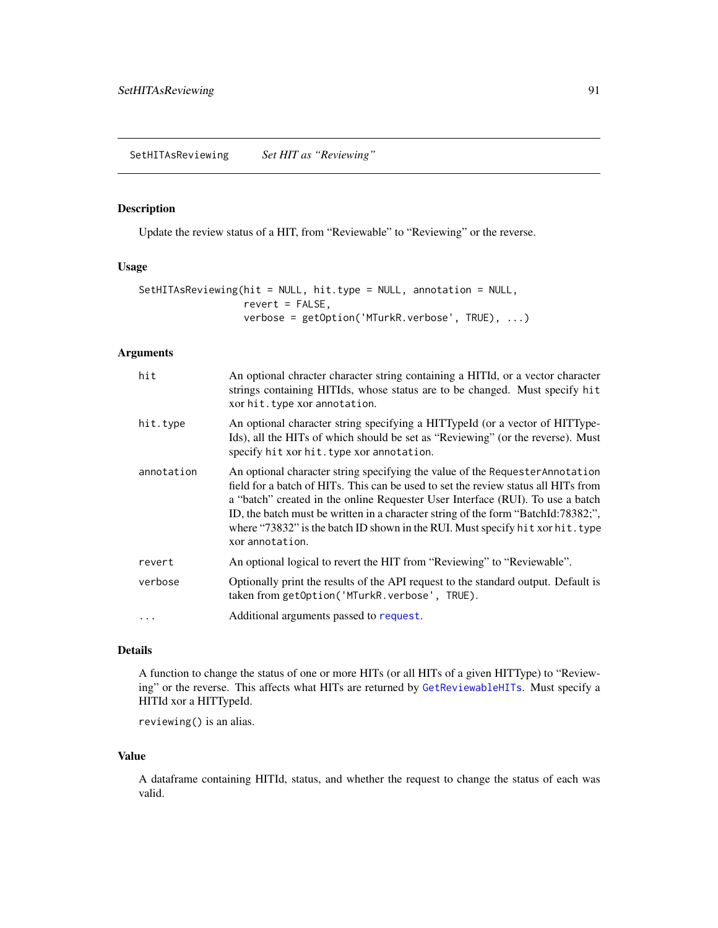#### <span id="page-90-0"></span>Description

Update the review status of a HIT, from "Reviewable" to "Reviewing" or the reverse.

#### Usage

```
SetHITAsReviewing(hit = NULL, hit.type = NULL, annotation = NULL,
                  revert = FALSE,
                  verbose = getOption('MTurkR.verbose', TRUE), ...)
```
#### Arguments

| hit        | An optional chracter character string containing a HITId, or a vector character<br>strings containing HITIds, whose status are to be changed. Must specify hit<br>xor hit.type xor annotation.                                                                                                                                                                                                                                                  |
|------------|-------------------------------------------------------------------------------------------------------------------------------------------------------------------------------------------------------------------------------------------------------------------------------------------------------------------------------------------------------------------------------------------------------------------------------------------------|
| hit.type   | An optional character string specifying a HITTypeId (or a vector of HITType-<br>Ids), all the HITs of which should be set as "Reviewing" (or the reverse). Must<br>specify hit xor hit. type xor annotation.                                                                                                                                                                                                                                    |
| annotation | An optional character string specifying the value of the Requester Annotation<br>field for a batch of HITs. This can be used to set the review status all HITs from<br>a "batch" created in the online Requester User Interface (RUI). To use a batch<br>ID, the batch must be written in a character string of the form "BatchId:78382;",<br>where "73832" is the batch ID shown in the RUI. Must specify hit xor hit. type<br>xor annotation. |
| revert     | An optional logical to revert the HIT from "Reviewing" to "Reviewable".                                                                                                                                                                                                                                                                                                                                                                         |
| verbose    | Optionally print the results of the API request to the standard output. Default is<br>taken from getOption('MTurkR.verbose', TRUE).                                                                                                                                                                                                                                                                                                             |
|            | Additional arguments passed to request.                                                                                                                                                                                                                                                                                                                                                                                                         |

# Details

A function to change the status of one or more HITs (or all HITs of a given HITType) to "Reviewing" or the reverse. This affects what HITs are returned by [GetReviewableHITs](#page-64-0). Must specify a HITId xor a HITTypeId.

reviewing() is an alias.

#### Value

A dataframe containing HITId, status, and whether the request to change the status of each was valid.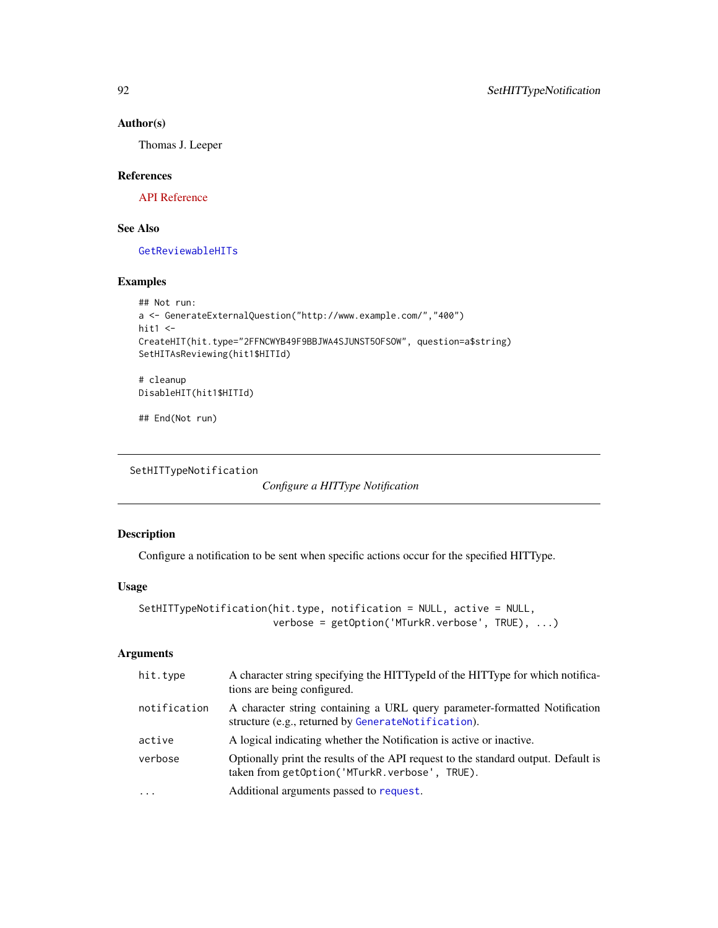# Author(s)

Thomas J. Leeper

#### References

[API Reference](http://docs.amazonwebservices.com/AWSMechTurk/latest/AWSMturkAPI/ApiReference_SetHITAsReviewingOperation.html)

# See Also

[GetReviewableHITs](#page-64-0)

#### Examples

```
## Not run:
a <- GenerateExternalQuestion("http://www.example.com/","400")
hit1 \leftarrowCreateHIT(hit.type="2FFNCWYB49F9BBJWA4SJUNST5OFSOW", question=a$string)
SetHITAsReviewing(hit1$HITId)
# cleanup
```
DisableHIT(hit1\$HITId)

## End(Not run)

```
SetHITTypeNotification
```
*Configure a HITType Notification*

# Description

Configure a notification to be sent when specific actions occur for the specified HITType.

# Usage

```
SetHITTypeNotification(hit.type, notification = NULL, active = NULL,
                       verbose = getOption('MTurkR.verbose', TRUE), ...)
```

| hit.type     | A character string specifying the HITTypeId of the HITType for which notifica-<br>tions are being configured.                       |
|--------------|-------------------------------------------------------------------------------------------------------------------------------------|
| notification | A character string containing a URL query parameter-formatted Notification<br>structure (e.g., returned by GenerateNotification).   |
| active       | A logical indicating whether the Notification is active or inactive.                                                                |
| verbose      | Optionally print the results of the API request to the standard output. Default is<br>taken from getOption('MTurkR.verbose', TRUE). |
| $\ddotsc$    | Additional arguments passed to request.                                                                                             |

<span id="page-91-1"></span>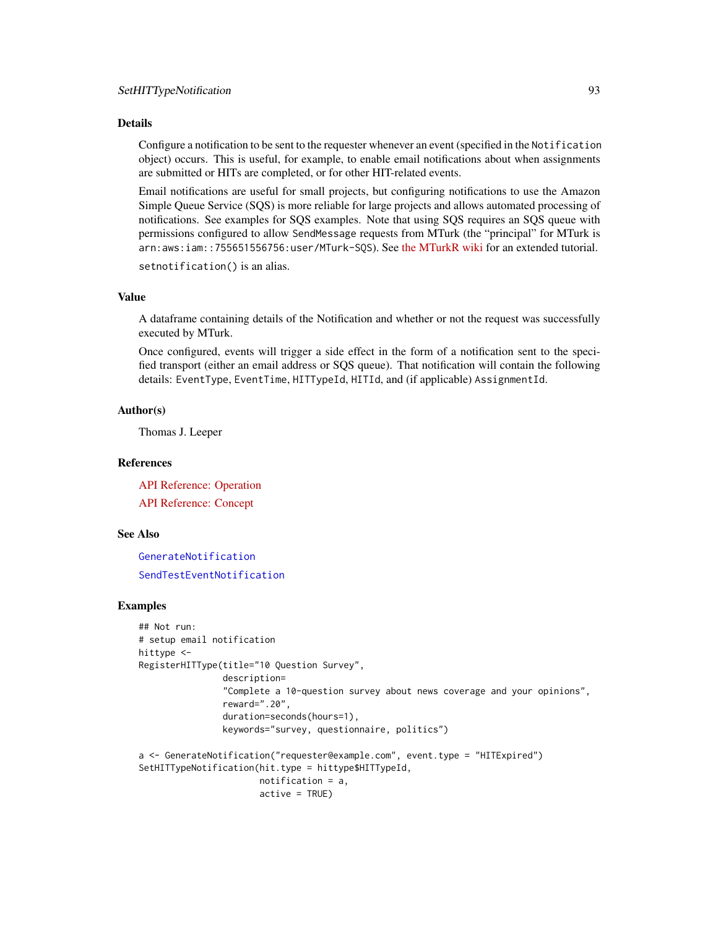<span id="page-92-0"></span>Configure a notification to be sent to the requester whenever an event (specified in the Notification object) occurs. This is useful, for example, to enable email notifications about when assignments are submitted or HITs are completed, or for other HIT-related events.

Email notifications are useful for small projects, but configuring notifications to use the Amazon Simple Queue Service (SQS) is more reliable for large projects and allows automated processing of notifications. See examples for SQS examples. Note that using SQS requires an SQS queue with permissions configured to allow SendMessage requests from MTurk (the "principal" for MTurk is arn:aws:iam::755651556756:user/MTurk-SQS). See [the MTurkR wiki](https://github.com/leeper/MTurkR/wiki/Notifications#setup-sqs-notifications) for an extended tutorial.

setnotification() is an alias.

#### Value

A dataframe containing details of the Notification and whether or not the request was successfully executed by MTurk.

Once configured, events will trigger a side effect in the form of a notification sent to the specified transport (either an email address or SQS queue). That notification will contain the following details: EventType, EventTime, HITTypeId, HITId, and (if applicable) AssignmentId.

#### Author(s)

Thomas J. Leeper

#### References

[API Reference: Operation](http://docs.amazonwebservices.com/AWSMechTurk/latest/AWSMturkAPI/ApiReference_SetHITTypeNotificationOperation.html) [API Reference: Concept](http://docs.amazonwebservices.com/AWSMechTurk/latest/AWSMechanicalTurkRequester/Concepts_NotificationsArticle.html)

#### See Also

[GenerateNotification](#page-42-0) [SendTestEventNotification](#page-88-0)

#### Examples

```
## Not run:
# setup email notification
hittype <-
RegisterHITType(title="10 Question Survey",
                description=
                "Complete a 10-question survey about news coverage and your opinions",
                reward=".20",
                duration=seconds(hours=1),
                keywords="survey, questionnaire, politics")
a <- GenerateNotification("requester@example.com", event.type = "HITExpired")
SetHITTypeNotification(hit.type = hittype$HITTypeId,
                       notification = a,
                       active = TRUE)
```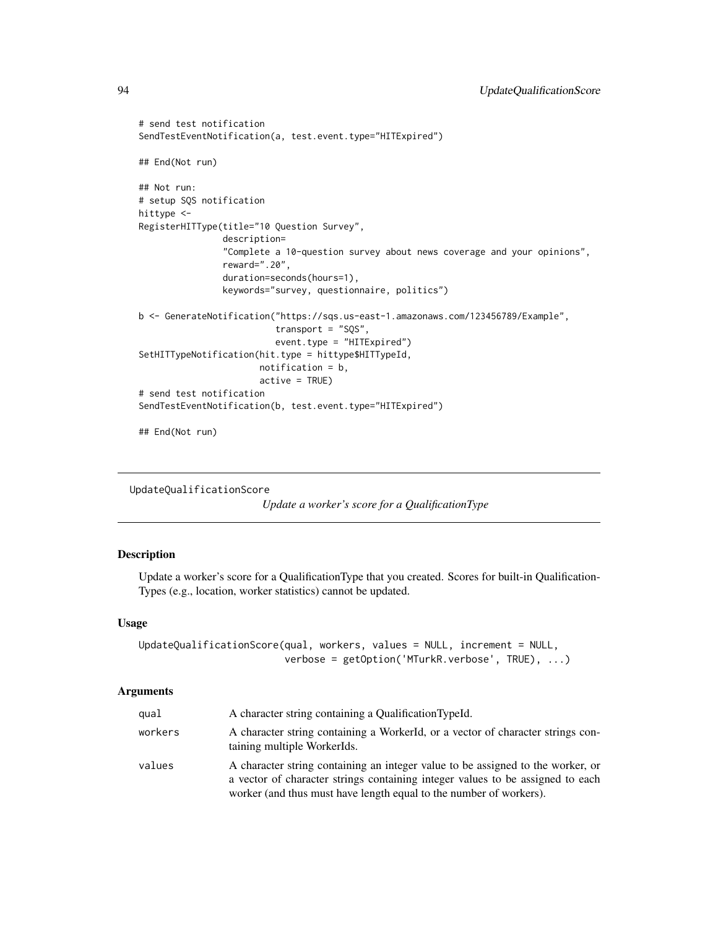```
# send test notification
SendTestEventNotification(a, test.event.type="HITExpired")
## End(Not run)
## Not run:
# setup SQS notification
hittype <-
RegisterHITType(title="10 Question Survey",
                description=
                "Complete a 10-question survey about news coverage and your opinions",
                reward=".20",
                duration=seconds(hours=1),
                keywords="survey, questionnaire, politics")
b <- GenerateNotification("https://sqs.us-east-1.amazonaws.com/123456789/Example",
                          transport = "SQS",
                          event.type = "HITExpired")
SetHITTypeNotification(hit.type = hittype$HITTypeId,
                       notification = b,
                       active = TRUE)
# send test notification
SendTestEventNotification(b, test.event.type="HITExpired")
## End(Not run)
```

```
UpdateQualificationScore
```
*Update a worker's score for a QualificationType*

# Description

Update a worker's score for a QualificationType that you created. Scores for built-in Qualification-Types (e.g., location, worker statistics) cannot be updated.

#### Usage

```
UpdateQualificationScore(qual, workers, values = NULL, increment = NULL,
                         verbose = getOption('MTurkR.verbose', TRUE), ...)
```

| qual    | A character string containing a Qualification TypeId.                                                                                                                                                                                   |
|---------|-----------------------------------------------------------------------------------------------------------------------------------------------------------------------------------------------------------------------------------------|
| workers | A character string containing a WorkerId, or a vector of character strings con-<br>taining multiple WorkerIds.                                                                                                                          |
| values  | A character string containing an integer value to be assigned to the worker, or<br>a vector of character strings containing integer values to be assigned to each<br>worker (and thus must have length equal to the number of workers). |

<span id="page-93-0"></span>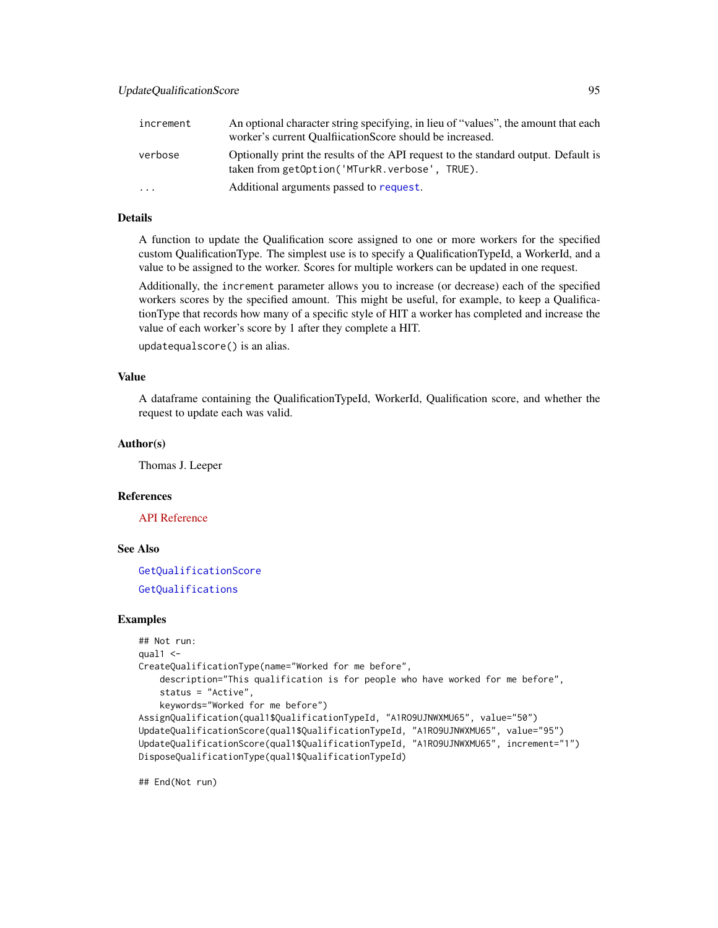<span id="page-94-0"></span>

| increment               | An optional character string specifying, in lieu of "values", the amount that each<br>worker's current Qualitication Score should be increased. |
|-------------------------|-------------------------------------------------------------------------------------------------------------------------------------------------|
| verbose                 | Optionally print the results of the API request to the standard output. Default is<br>taken from getOption('MTurkR.verbose', TRUE).             |
| $\cdot$ $\cdot$ $\cdot$ | Additional arguments passed to request.                                                                                                         |

A function to update the Qualification score assigned to one or more workers for the specified custom QualificationType. The simplest use is to specify a QualificationTypeId, a WorkerId, and a value to be assigned to the worker. Scores for multiple workers can be updated in one request.

Additionally, the increment parameter allows you to increase (or decrease) each of the specified workers scores by the specified amount. This might be useful, for example, to keep a QualificationType that records how many of a specific style of HIT a worker has completed and increase the value of each worker's score by 1 after they complete a HIT.

updatequalscore() is an alias.

#### Value

A dataframe containing the QualificationTypeId, WorkerId, Qualification score, and whether the request to update each was valid.

# Author(s)

Thomas J. Leeper

# References

[API Reference](http://docs.amazonwebservices.com/AWSMechTurk/latest/AWSMturkAPI/ApiReference_UpdateQualificationScoreOperation.html)

# See Also

[GetQualificationScore](#page-61-0)

[GetQualifications](#page-60-0)

#### Examples

```
## Not run:
qual1 <-
CreateQualificationType(name="Worked for me before",
   description="This qualification is for people who have worked for me before",
    status = "Active",
   keywords="Worked for me before")
AssignQualification(qual1$QualificationTypeId, "A1RO9UJNWXMU65", value="50")
UpdateQualificationScore(qual1$QualificationTypeId, "A1RO9UJNWXMU65", value="95")
UpdateQualificationScore(qual1$QualificationTypeId, "A1RO9UJNWXMU65", increment="1")
DisposeQualificationType(qual1$QualificationTypeId)
```
## End(Not run)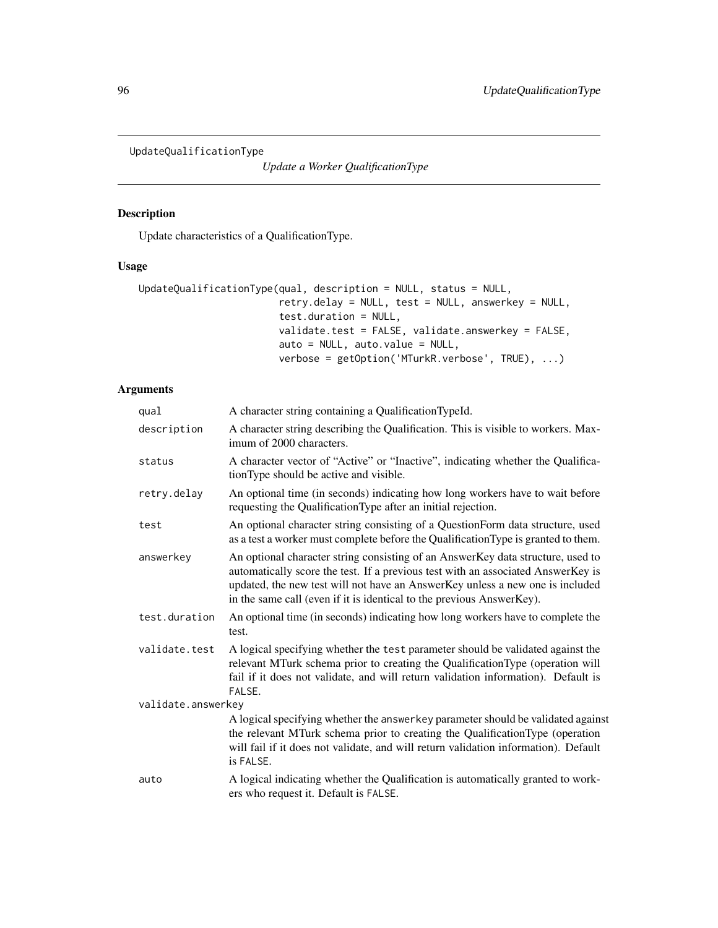<span id="page-95-1"></span><span id="page-95-0"></span>UpdateQualificationType

*Update a Worker QualificationType*

# Description

Update characteristics of a QualificationType.

# Usage

```
UpdateQualificationType(qual, description = NULL, status = NULL,
                        retry.delay = NULL, test = NULL, answerkey = NULL,
                        test.duration = NULL,
                        validate.test = FALSE, validate.answerkey = FALSE,
                        auto = NULL, auto.value = NULL,
                        verbose = getOption('MTurkR.verbose', TRUE), ...)
```

| qual               | A character string containing a QualificationTypeId.                                                                                                                                                                                                                                                                          |
|--------------------|-------------------------------------------------------------------------------------------------------------------------------------------------------------------------------------------------------------------------------------------------------------------------------------------------------------------------------|
| description        | A character string describing the Qualification. This is visible to workers. Max-<br>imum of 2000 characters.                                                                                                                                                                                                                 |
| status             | A character vector of "Active" or "Inactive", indicating whether the Qualifica-<br>tionType should be active and visible.                                                                                                                                                                                                     |
| retry.delay        | An optional time (in seconds) indicating how long workers have to wait before<br>requesting the QualificationType after an initial rejection.                                                                                                                                                                                 |
| test               | An optional character string consisting of a QuestionForm data structure, used<br>as a test a worker must complete before the Qualification Type is granted to them.                                                                                                                                                          |
| answerkey          | An optional character string consisting of an AnswerKey data structure, used to<br>automatically score the test. If a previous test with an associated AnswerKey is<br>updated, the new test will not have an AnswerKey unless a new one is included<br>in the same call (even if it is identical to the previous AnswerKey). |
| test.duration      | An optional time (in seconds) indicating how long workers have to complete the<br>test.                                                                                                                                                                                                                                       |
| validate.test      | A logical specifying whether the test parameter should be validated against the<br>relevant MTurk schema prior to creating the QualificationType (operation will<br>fail if it does not validate, and will return validation information). Default is<br>FALSE.                                                               |
| validate.answerkey |                                                                                                                                                                                                                                                                                                                               |
|                    | A logical specifying whether the answerkey parameter should be validated against<br>the relevant MTurk schema prior to creating the QualificationType (operation<br>will fail if it does not validate, and will return validation information). Default<br>is FALSE.                                                          |
| auto               | A logical indicating whether the Qualification is automatically granted to work-<br>ers who request it. Default is FALSE.                                                                                                                                                                                                     |
|                    |                                                                                                                                                                                                                                                                                                                               |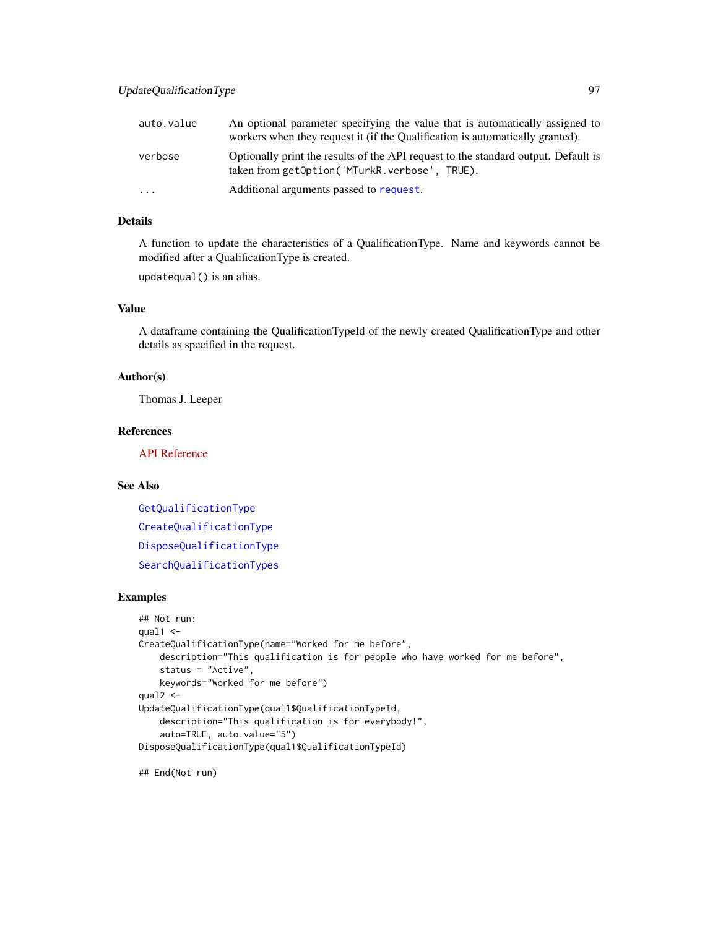<span id="page-96-0"></span>

| auto.value | An optional parameter specifying the value that is automatically assigned to<br>workers when they request it (if the Qualification is automatically granted). |
|------------|---------------------------------------------------------------------------------------------------------------------------------------------------------------|
| verbose    | Optionally print the results of the API request to the standard output. Default is<br>taken from getOption('MTurkR.verbose', TRUE).                           |
| $\cdots$   | Additional arguments passed to request.                                                                                                                       |

A function to update the characteristics of a QualificationType. Name and keywords cannot be modified after a QualificationType is created.

updatequal() is an alias.

# Value

A dataframe containing the QualificationTypeId of the newly created QualificationType and other details as specified in the request.

#### Author(s)

Thomas J. Leeper

# References

[API Reference](http://docs.amazonwebservices.com/AWSMechTurk/latest/AWSMturkAPI/ApiReference_UpdateQualificationTypeOperation.html)

#### See Also

[GetQualificationType](#page-63-0) [CreateQualificationType](#page-22-0) [DisposeQualificationType](#page-29-0) [SearchQualificationTypes](#page-85-0)

#### Examples

```
## Not run:
qual1 < -CreateQualificationType(name="Worked for me before",
   description="This qualification is for people who have worked for me before",
   status = "Active",
   keywords="Worked for me before")
qual2 <-
UpdateQualificationType(qual1$QualificationTypeId,
   description="This qualification is for everybody!",
    auto=TRUE, auto.value="5")
DisposeQualificationType(qual1$QualificationTypeId)
```
## End(Not run)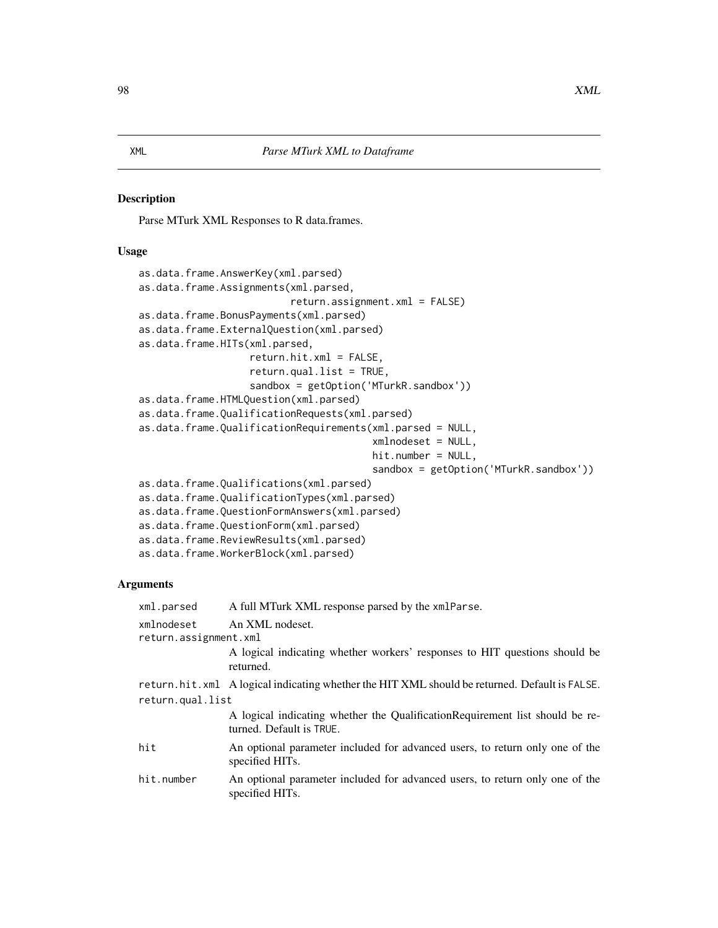# <span id="page-97-0"></span>Description

Parse MTurk XML Responses to R data.frames.

# Usage

```
as.data.frame.AnswerKey(xml.parsed)
as.data.frame.Assignments(xml.parsed,
                          return.assignment.xml = FALSE)
as.data.frame.BonusPayments(xml.parsed)
as.data.frame.ExternalQuestion(xml.parsed)
as.data.frame.HITs(xml.parsed,
                   return.hit.xml = FALSE,
                   return.qual.list = TRUE,
                   sandbox = getOption('MTurkR.sandbox'))
as.data.frame.HTMLQuestion(xml.parsed)
as.data.frame.QualificationRequests(xml.parsed)
as.data.frame.QualificationRequirements(xml.parsed = NULL,
                                        xmlnodeset = NULL,
                                        hit.number = NULL,
                                        sandbox = getOption('MTurkR.sandbox'))
as.data.frame.Qualifications(xml.parsed)
as.data.frame.QualificationTypes(xml.parsed)
as.data.frame.QuestionFormAnswers(xml.parsed)
as.data.frame.QuestionForm(xml.parsed)
as.data.frame.ReviewResults(xml.parsed)
as.data.frame.WorkerBlock(xml.parsed)
```

| A full MTurk XML response parsed by the xmlParse.                                                         |  |
|-----------------------------------------------------------------------------------------------------------|--|
| An XML nodeset.                                                                                           |  |
| return.assignment.xml                                                                                     |  |
| A logical indicating whether workers' responses to HIT questions should be<br>returned.                   |  |
| return.hit.xml A logical indicating whether the HIT XML should be returned. Default is FALSE.             |  |
| return.qual.list                                                                                          |  |
| A logical indicating whether the Qualification Requirement list should be re-<br>turned. Default is TRUE. |  |
| An optional parameter included for advanced users, to return only one of the<br>specified HITs.           |  |
| An optional parameter included for advanced users, to return only one of the<br>specified HITs.           |  |
|                                                                                                           |  |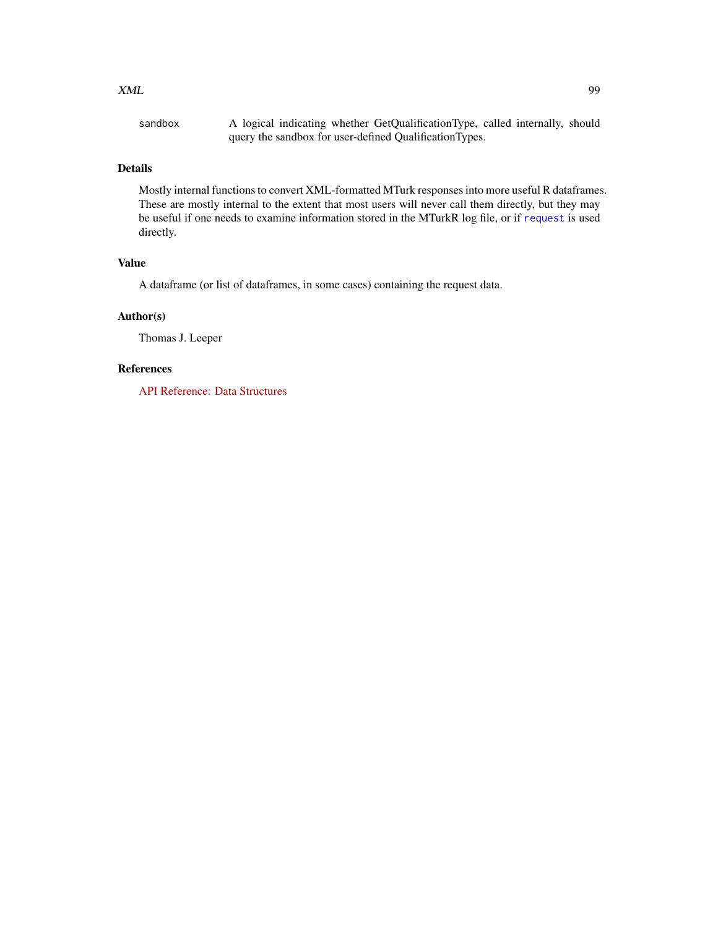#### <span id="page-98-0"></span> $XML$  99

| sandbox | A logical indicating whether GetQualificationType, called internally, should |
|---------|------------------------------------------------------------------------------|
|         | query the sandbox for user-defined QualificationTypes.                       |

# Details

Mostly internal functions to convert XML-formatted MTurk responses into more useful R dataframes. These are mostly internal to the extent that most users will never call them directly, but they may be useful if one needs to examine information stored in the MTurkR log file, or if [request](#page-81-0) is used directly.

#### Value

A dataframe (or list of dataframes, in some cases) containing the request data.

# Author(s)

Thomas J. Leeper

# References

[API Reference: Data Structures](http://docs.amazonwebservices.com/AWSMechTurk/latest/AWSMturkAPI/ApiReference_DataStructuresArticle.html)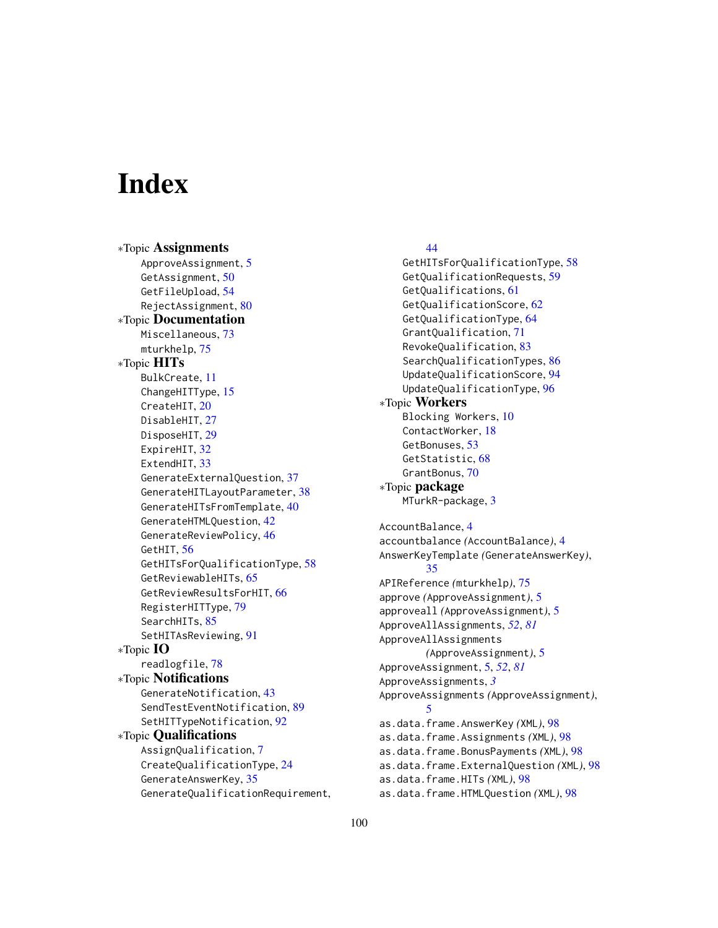# **Index**

∗Topic Assignments ApproveAssignment, [5](#page-4-2) GetAssignment, [50](#page-49-1) GetFileUpload, [54](#page-53-0) RejectAssignment, [80](#page-79-0) ∗Topic Documentation Miscellaneous, [73](#page-72-1) mturkhelp, [75](#page-74-0) ∗Topic HITs BulkCreate, [11](#page-10-0) ChangeHITType, [15](#page-14-1) CreateHIT, [20](#page-19-1) DisableHIT, [27](#page-26-0) DisposeHIT, [29](#page-28-0) ExpireHIT, [32](#page-31-0) ExtendHIT, [33](#page-32-0) GenerateExternalQuestion, [37](#page-36-0) GenerateHITLayoutParameter, [38](#page-37-0) GenerateHITsFromTemplate, [40](#page-39-0) GenerateHTMLQuestion, [42](#page-41-0) GenerateReviewPolicy, [46](#page-45-0) GetHIT, [56](#page-55-1) GetHITsForQualificationType, [58](#page-57-0) GetReviewableHITs, [65](#page-64-1) GetReviewResultsForHIT, [66](#page-65-0) RegisterHITType, [79](#page-78-0) SearchHITs, [85](#page-84-1) SetHITAsReviewing, [91](#page-90-0) ∗Topic IO readlogfile, [78](#page-77-1) ∗Topic Notifications GenerateNotification, [43](#page-42-1) SendTestEventNotification, [89](#page-88-1) SetHITTypeNotification, [92](#page-91-1) ∗Topic Qualifications AssignQualification, [7](#page-6-0) CreateQualificationType, [24](#page-23-0) GenerateAnswerKey, [35](#page-34-0) GenerateQualificationRequirement,

# [44](#page-43-1)

GetHITsForQualificationType, [58](#page-57-0) GetQualificationRequests, [59](#page-58-1) GetQualifications, [61](#page-60-1) GetQualificationScore, [62](#page-61-1) GetQualificationType, [64](#page-63-1) GrantQualification, [71](#page-70-2) RevokeQualification, [83](#page-82-0) SearchQualificationTypes, [86](#page-85-1) UpdateQualificationScore, [94](#page-93-0) UpdateQualificationType, [96](#page-95-1) ∗Topic Workers Blocking Workers, [10](#page-9-0) ContactWorker, [18](#page-17-0) GetBonuses, [53](#page-52-0) GetStatistic, [68](#page-67-0) GrantBonus, [70](#page-69-0) ∗Topic package MTurkR-package, [3](#page-2-0) AccountBalance, [4](#page-3-0) accountbalance *(*AccountBalance*)*, [4](#page-3-0) AnswerKeyTemplate *(*GenerateAnswerKey*)*, [35](#page-34-0) APIReference *(*mturkhelp*)*, [75](#page-74-0) approve *(*ApproveAssignment*)*, [5](#page-4-2) approveall *(*ApproveAssignment*)*, [5](#page-4-2) ApproveAllAssignments, *[52](#page-51-0)*, *[81](#page-80-0)* ApproveAllAssignments *(*ApproveAssignment*)*, [5](#page-4-2) ApproveAssignment, [5,](#page-4-2) *[52](#page-51-0)*, *[81](#page-80-0)* ApproveAssignments, *[3](#page-2-0)* ApproveAssignments *(*ApproveAssignment*)*, [5](#page-4-2) as.data.frame.AnswerKey *(*XML*)*, [98](#page-97-0) as.data.frame.Assignments *(*XML*)*, [98](#page-97-0) as.data.frame.BonusPayments *(*XML*)*, [98](#page-97-0) as.data.frame.ExternalQuestion *(*XML*)*, [98](#page-97-0) as.data.frame.HITs *(*XML*)*, [98](#page-97-0) as.data.frame.HTMLQuestion *(*XML*)*, [98](#page-97-0)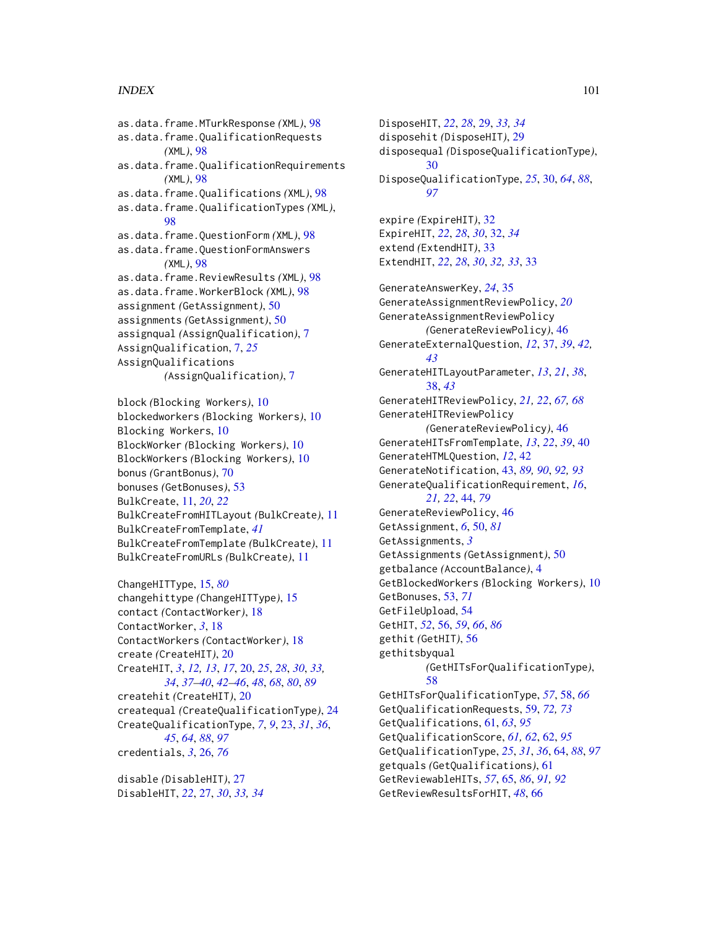#### $I$ NDEX  $101$

as.data.frame.MTurkResponse *(*XML*)*, [98](#page-97-0) as.data.frame.QualificationRequests *(*XML*)*, [98](#page-97-0) as.data.frame.QualificationRequirements *(*XML*)*, [98](#page-97-0) as.data.frame.Qualifications *(*XML*)*, [98](#page-97-0) as.data.frame.QualificationTypes *(*XML*)*, [98](#page-97-0) as.data.frame.QuestionForm *(*XML*)*, [98](#page-97-0) as.data.frame.QuestionFormAnswers *(*XML*)*, [98](#page-97-0) as.data.frame.ReviewResults *(*XML*)*, [98](#page-97-0) as.data.frame.WorkerBlock *(*XML*)*, [98](#page-97-0) assignment *(*GetAssignment*)*, [50](#page-49-1) assignments *(*GetAssignment*)*, [50](#page-49-1) assignqual *(*AssignQualification*)*, [7](#page-6-0) AssignQualification, [7,](#page-6-0) *[25](#page-24-0)* AssignQualifications *(*AssignQualification*)*, [7](#page-6-0) block *(*Blocking Workers*)*, [10](#page-9-0)

```
blockedworkers (Blocking Workers), 10
Blocking Workers, 10
BlockWorker (Blocking Workers), 10
BlockWorkers (Blocking Workers), 10
bonus (GrantBonus), 70
bonuses (GetBonuses), 53
BulkCreate, 11, 20, 22
BulkCreateFromHITLayout (BulkCreate), 11
BulkCreateFromTemplate, 41
BulkCreateFromTemplate (BulkCreate), 11
BulkCreateFromURLs (BulkCreate), 11
```
ChangeHITType, [15,](#page-14-1) *[80](#page-79-0)* changehittype *(*ChangeHITType*)*, [15](#page-14-1) contact *(*ContactWorker*)*, [18](#page-17-0) ContactWorker, *[3](#page-2-0)*, [18](#page-17-0) ContactWorkers *(*ContactWorker*)*, [18](#page-17-0) create *(*CreateHIT*)*, [20](#page-19-1) CreateHIT, *[3](#page-2-0)*, *[12,](#page-11-0) [13](#page-12-0)*, *[17](#page-16-0)*, [20,](#page-19-1) *[25](#page-24-0)*, *[28](#page-27-0)*, *[30](#page-29-1)*, *[33,](#page-32-0) [34](#page-33-0)*, *[37](#page-36-0)[–40](#page-39-0)*, *[42–](#page-41-0)[46](#page-45-0)*, *[48](#page-47-0)*, *[68](#page-67-0)*, *[80](#page-79-0)*, *[89](#page-88-1)* createhit *(*CreateHIT*)*, [20](#page-19-1) createqual *(*CreateQualificationType*)*, [24](#page-23-0) CreateQualificationType, *[7](#page-6-0)*, *[9](#page-8-0)*, [23,](#page-22-1) *[31](#page-30-0)*, *[36](#page-35-0)*, *[45](#page-44-0)*, *[64](#page-63-1)*, *[88](#page-87-1)*, *[97](#page-96-0)* credentials, *[3](#page-2-0)*, [26,](#page-25-1) *[76](#page-75-0)*

disable *(*DisableHIT*)*, [27](#page-26-0) DisableHIT, *[22](#page-21-0)*, [27,](#page-26-0) *[30](#page-29-1)*, *[33,](#page-32-0) [34](#page-33-0)* DisposeHIT, *[22](#page-21-0)*, *[28](#page-27-0)*, [29,](#page-28-0) *[33,](#page-32-0) [34](#page-33-0)* disposehit *(*DisposeHIT*)*, [29](#page-28-0) disposequal *(*DisposeQualificationType*)*,  $30$ DisposeQualificationType, *[25](#page-24-0)*, [30,](#page-29-1) *[64](#page-63-1)*, *[88](#page-87-1)*, *[97](#page-96-0)* expire *(*ExpireHIT*)*, [32](#page-31-0) ExpireHIT, *[22](#page-21-0)*, *[28](#page-27-0)*, *[30](#page-29-1)*, [32,](#page-31-0) *[34](#page-33-0)* extend *(*ExtendHIT*)*, [33](#page-32-0) ExtendHIT, *[22](#page-21-0)*, *[28](#page-27-0)*, *[30](#page-29-1)*, *[32,](#page-31-0) [33](#page-32-0)*, [33](#page-32-0) GenerateAnswerKey, *[24](#page-23-0)*, [35](#page-34-0) GenerateAssignmentReviewPolicy, *[20](#page-19-1)* GenerateAssignmentReviewPolicy *(*GenerateReviewPolicy*)*, [46](#page-45-0) GenerateExternalQuestion, *[12](#page-11-0)*, [37,](#page-36-0) *[39](#page-38-0)*, *[42,](#page-41-0) [43](#page-42-1)* GenerateHITLayoutParameter, *[13](#page-12-0)*, *[21](#page-20-0)*, *[38](#page-37-0)*, [38,](#page-37-0) *[43](#page-42-1)* GenerateHITReviewPolicy, *[21,](#page-20-0) [22](#page-21-0)*, *[67,](#page-66-0) [68](#page-67-0)* GenerateHITReviewPolicy *(*GenerateReviewPolicy*)*, [46](#page-45-0) GenerateHITsFromTemplate, *[13](#page-12-0)*, *[22](#page-21-0)*, *[39](#page-38-0)*, [40](#page-39-0) GenerateHTMLQuestion, *[12](#page-11-0)*, [42](#page-41-0) GenerateNotification, [43,](#page-42-1) *[89,](#page-88-1) [90](#page-89-0)*, *[92,](#page-91-1) [93](#page-92-0)* GenerateQualificationRequirement, *[16](#page-15-0)*, *[21,](#page-20-0) [22](#page-21-0)*, [44,](#page-43-1) *[79](#page-78-0)* GenerateReviewPolicy, [46](#page-45-0) GetAssignment, *[6](#page-5-0)*, [50,](#page-49-1) *[81](#page-80-0)* GetAssignments, *[3](#page-2-0)* GetAssignments *(*GetAssignment*)*, [50](#page-49-1) getbalance *(*AccountBalance*)*, [4](#page-3-0) GetBlockedWorkers *(*Blocking Workers*)*, [10](#page-9-0) GetBonuses, [53,](#page-52-0) *[71](#page-70-2)* GetFileUpload, [54](#page-53-0) GetHIT, *[52](#page-51-0)*, [56,](#page-55-1) *[59](#page-58-1)*, *[66](#page-65-0)*, *[86](#page-85-1)* gethit *(*GetHIT*)*, [56](#page-55-1) gethitsbyqual *(*GetHITsForQualificationType*)*, [58](#page-57-0) GetHITsForQualificationType, *[57](#page-56-0)*, [58,](#page-57-0) *[66](#page-65-0)* GetQualificationRequests, [59,](#page-58-1) *[72,](#page-71-0) [73](#page-72-1)* GetQualifications, [61,](#page-60-1) *[63](#page-62-0)*, *[95](#page-94-0)* GetQualificationScore, *[61,](#page-60-1) [62](#page-61-1)*, [62,](#page-61-1) *[95](#page-94-0)* GetQualificationType, *[25](#page-24-0)*, *[31](#page-30-0)*, *[36](#page-35-0)*, [64,](#page-63-1) *[88](#page-87-1)*, *[97](#page-96-0)* getquals *(*GetQualifications*)*, [61](#page-60-1) GetReviewableHITs, *[57](#page-56-0)*, [65,](#page-64-1) *[86](#page-85-1)*, *[91,](#page-90-0) [92](#page-91-1)* GetReviewResultsForHIT, *[48](#page-47-0)*, [66](#page-65-0)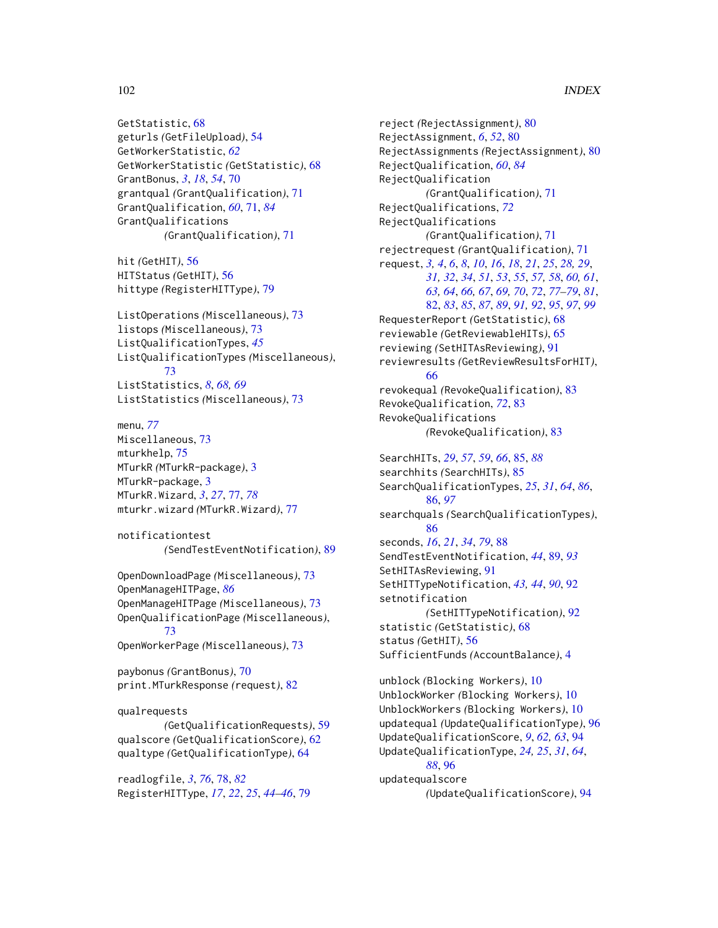# 102 INDEX

GetStatistic, [68](#page-67-0) geturls *(*GetFileUpload*)*, [54](#page-53-0) GetWorkerStatistic, *[62](#page-61-1)* GetWorkerStatistic *(*GetStatistic*)*, [68](#page-67-0) GrantBonus, *[3](#page-2-0)*, *[18](#page-17-0)*, *[54](#page-53-0)*, [70](#page-69-0) grantqual *(*GrantQualification*)*, [71](#page-70-2) GrantQualification, *[60](#page-59-0)*, [71,](#page-70-2) *[84](#page-83-0)* GrantQualifications *(*GrantQualification*)*, [71](#page-70-2)

hit *(*GetHIT*)*, [56](#page-55-1) HITStatus *(*GetHIT*)*, [56](#page-55-1) hittype *(*RegisterHITType*)*, [79](#page-78-0)

```
ListOperations (Miscellaneous), 73
listops (Miscellaneous), 73
ListQualificationTypes, 45
ListQualificationTypes (Miscellaneous),
        73
ListStatistics, 8, 68, 69
ListStatistics (Miscellaneous), 73
```
menu, *[77](#page-76-1)* Miscellaneous, [73](#page-72-1) mturkhelp, [75](#page-74-0) MTurkR *(*MTurkR-package*)*, [3](#page-2-0) MTurkR-package, [3](#page-2-0) MTurkR.Wizard, *[3](#page-2-0)*, *[27](#page-26-0)*, [77,](#page-76-1) *[78](#page-77-1)* mturkr.wizard *(*MTurkR.Wizard*)*, [77](#page-76-1)

```
notificationtest
        (SendTestEventNotification), 89
```
OpenDownloadPage *(*Miscellaneous*)*, [73](#page-72-1) OpenManageHITPage, *[86](#page-85-1)* OpenManageHITPage *(*Miscellaneous*)*, [73](#page-72-1) OpenQualificationPage *(*Miscellaneous*)*, [73](#page-72-1) OpenWorkerPage *(*Miscellaneous*)*, [73](#page-72-1)

paybonus *(*GrantBonus*)*, [70](#page-69-0) print.MTurkResponse *(*request*)*, [82](#page-81-1)

qualrequests *(*GetQualificationRequests*)*, [59](#page-58-1) qualscore *(*GetQualificationScore*)*, [62](#page-61-1) qualtype *(*GetQualificationType*)*, [64](#page-63-1)

readlogfile, *[3](#page-2-0)*, *[76](#page-75-0)*, [78,](#page-77-1) *[82](#page-81-1)* RegisterHITType, *[17](#page-16-0)*, *[22](#page-21-0)*, *[25](#page-24-0)*, *[44–](#page-43-1)[46](#page-45-0)*, [79](#page-78-0)

reject *(*RejectAssignment*)*, [80](#page-79-0) RejectAssignment, *[6](#page-5-0)*, *[52](#page-51-0)*, [80](#page-79-0) RejectAssignments *(*RejectAssignment*)*, [80](#page-79-0) RejectQualification, *[60](#page-59-0)*, *[84](#page-83-0)* RejectQualification *(*GrantQualification*)*, [71](#page-70-2) RejectQualifications, *[72](#page-71-0)* RejectQualifications *(*GrantQualification*)*, [71](#page-70-2) rejectrequest *(*GrantQualification*)*, [71](#page-70-2) request, *[3,](#page-2-0) [4](#page-3-0)*, *[6](#page-5-0)*, *[8](#page-7-0)*, *[10](#page-9-0)*, *[16](#page-15-0)*, *[18](#page-17-0)*, *[21](#page-20-0)*, *[25](#page-24-0)*, *[28,](#page-27-0) [29](#page-28-0)*, *[31,](#page-30-0) [32](#page-31-0)*, *[34](#page-33-0)*, *[51](#page-50-0)*, *[53](#page-52-0)*, *[55](#page-54-0)*, *[57,](#page-56-0) [58](#page-57-0)*, *[60,](#page-59-0) [61](#page-60-1)*, *[63,](#page-62-0) [64](#page-63-1)*, *[66,](#page-65-0) [67](#page-66-0)*, *[69,](#page-68-0) [70](#page-69-0)*, *[72](#page-71-0)*, *[77](#page-76-1)[–79](#page-78-0)*, *[81](#page-80-0)*, [82,](#page-81-1) *[83](#page-82-0)*, *[85](#page-84-1)*, *[87](#page-86-0)*, *[89](#page-88-1)*, *[91,](#page-90-0) [92](#page-91-1)*, *[95](#page-94-0)*, *[97](#page-96-0)*, *[99](#page-98-0)* RequesterReport *(*GetStatistic*)*, [68](#page-67-0) reviewable *(*GetReviewableHITs*)*, [65](#page-64-1) reviewing *(*SetHITAsReviewing*)*, [91](#page-90-0) reviewresults *(*GetReviewResultsForHIT*)*, [66](#page-65-0) revokequal *(*RevokeQualification*)*, [83](#page-82-0) RevokeQualification, *[72](#page-71-0)*, [83](#page-82-0) RevokeQualifications *(*RevokeQualification*)*, [83](#page-82-0) SearchHITs, *[29](#page-28-0)*, *[57](#page-56-0)*, *[59](#page-58-1)*, *[66](#page-65-0)*, [85,](#page-84-1) *[88](#page-87-1)* searchhits *(*SearchHITs*)*, [85](#page-84-1) SearchQualificationTypes, *[25](#page-24-0)*, *[31](#page-30-0)*, *[64](#page-63-1)*, *[86](#page-85-1)*, [86,](#page-85-1) *[97](#page-96-0)* searchquals *(*SearchQualificationTypes*)*,

[86](#page-85-1) seconds, *[16](#page-15-0)*, *[21](#page-20-0)*, *[34](#page-33-0)*, *[79](#page-78-0)*, [88](#page-87-1) SendTestEventNotification, *[44](#page-43-1)*, [89,](#page-88-1) *[93](#page-92-0)* SetHITAsReviewing, [91](#page-90-0) SetHITTypeNotification, *[43,](#page-42-1) [44](#page-43-1)*, *[90](#page-89-0)*, [92](#page-91-1) setnotification *(*SetHITTypeNotification*)*, [92](#page-91-1) statistic *(*GetStatistic*)*, [68](#page-67-0) status *(*GetHIT*)*, [56](#page-55-1) SufficientFunds *(*AccountBalance*)*, [4](#page-3-0)

unblock *(*Blocking Workers*)*, [10](#page-9-0) UnblockWorker *(*Blocking Workers*)*, [10](#page-9-0) UnblockWorkers *(*Blocking Workers*)*, [10](#page-9-0) updatequal *(*UpdateQualificationType*)*, [96](#page-95-1) UpdateQualificationScore, *[9](#page-8-0)*, *[62,](#page-61-1) [63](#page-62-0)*, [94](#page-93-0) UpdateQualificationType, *[24,](#page-23-0) [25](#page-24-0)*, *[31](#page-30-0)*, *[64](#page-63-1)*, *[88](#page-87-1)*, [96](#page-95-1) updatequalscore *(*UpdateQualificationScore*)*, [94](#page-93-0)